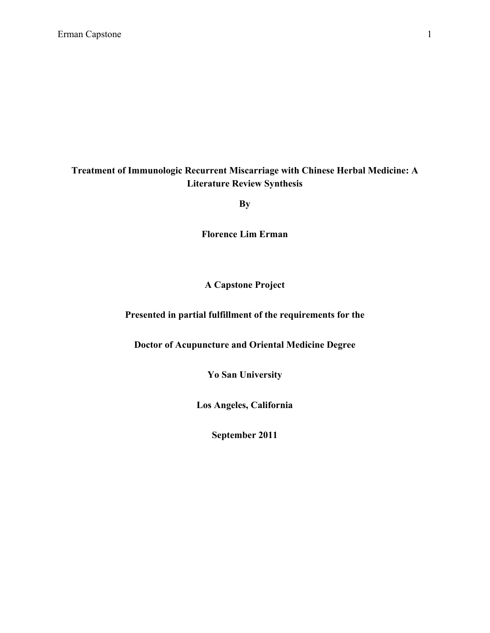# **Treatment of Immunologic Recurrent Miscarriage with Chinese Herbal Medicine: A Literature Review Synthesis**

**By**

**Florence Lim Erman**

## **A Capstone Project**

## **Presented in partial fulfillment of the requirements for the**

**Doctor of Acupuncture and Oriental Medicine Degree**

**Yo San University**

**Los Angeles, California**

**September 2011**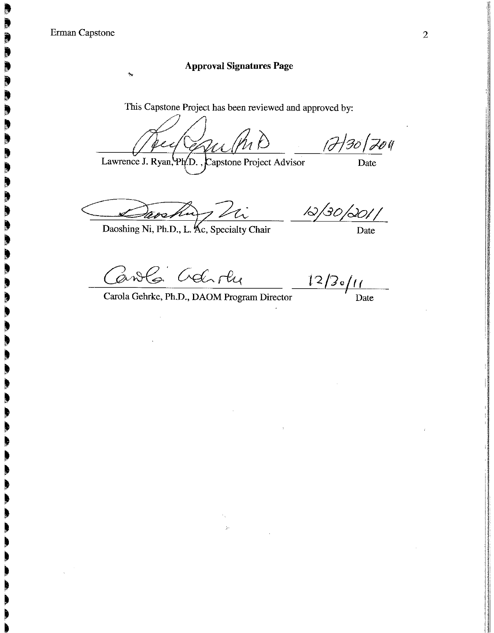## **Approval Signatures Page**

÷.

This Capstone Project has been reviewed and approved by:

anell 17/30/204

Lawrence J. Ryan, Ph<sub>(D.</sub>, Capstone Project Advisor

Date

 $\overline{\text{Date}}$ 

rocking this

Canola Gelioly

Daoshing Ni, Ph.D., L. Kc, Specialty Chair

 $\frac{12}{2}$  o  $\frac{11}{2}$  Date

12/30/2011

Carola Gehrke, Ph.D., DAOM Program Director

 $\mathbf{y}_0$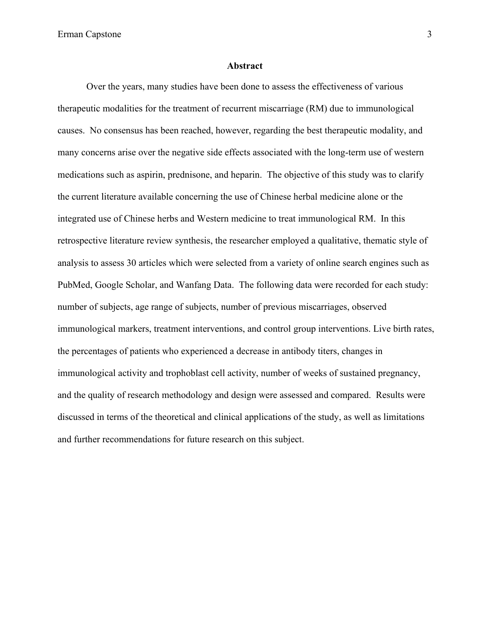#### **Abstract**

Over the years, many studies have been done to assess the effectiveness of various therapeutic modalities for the treatment of recurrent miscarriage (RM) due to immunological causes. No consensus has been reached, however, regarding the best therapeutic modality, and many concerns arise over the negative side effects associated with the long-term use of western medications such as aspirin, prednisone, and heparin. The objective of this study was to clarify the current literature available concerning the use of Chinese herbal medicine alone or the integrated use of Chinese herbs and Western medicine to treat immunological RM. In this retrospective literature review synthesis, the researcher employed a qualitative, thematic style of analysis to assess 30 articles which were selected from a variety of online search engines such as PubMed, Google Scholar, and Wanfang Data. The following data were recorded for each study: number of subjects, age range of subjects, number of previous miscarriages, observed immunological markers, treatment interventions, and control group interventions. Live birth rates, the percentages of patients who experienced a decrease in antibody titers, changes in immunological activity and trophoblast cell activity, number of weeks of sustained pregnancy, and the quality of research methodology and design were assessed and compared. Results were discussed in terms of the theoretical and clinical applications of the study, as well as limitations and further recommendations for future research on this subject.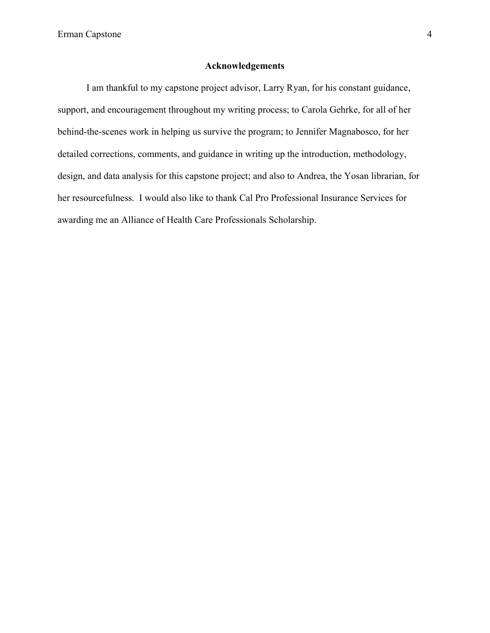## **Acknowledgements**

I am thankful to my capstone project advisor, Larry Ryan, for his constant guidance, support, and encouragement throughout my writing process; to Carola Gehrke, for all of her behind-the-scenes work in helping us survive the program; to Jennifer Magnabosco, for her detailed corrections, comments, and guidance in writing up the introduction, methodology, design, and data analysis for this capstone project; and also to Andrea, the Yosan librarian, for her resourcefulness. I would also like to thank Cal Pro Professional Insurance Services for awarding me an Alliance of Health Care Professionals Scholarship.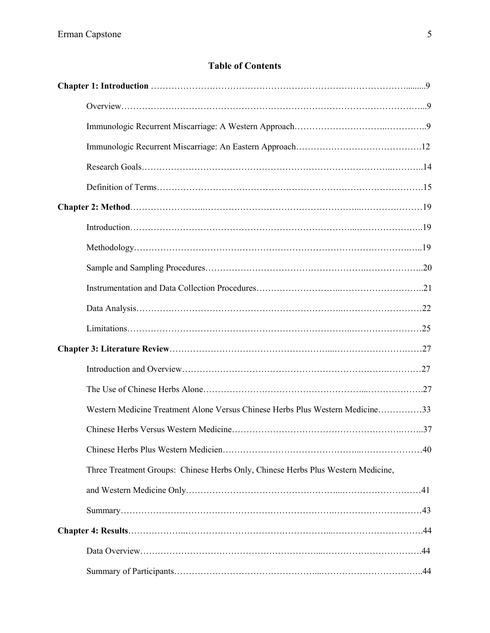# **Table of Contents**

| Western Medicine Treatment Alone Versus Chinese Herbs Plus Western Medicine33    |  |
|----------------------------------------------------------------------------------|--|
|                                                                                  |  |
|                                                                                  |  |
| Three Treatment Groups: Chinese Herbs Only, Chinese Herbs Plus Western Medicine, |  |
|                                                                                  |  |
|                                                                                  |  |
|                                                                                  |  |
|                                                                                  |  |
|                                                                                  |  |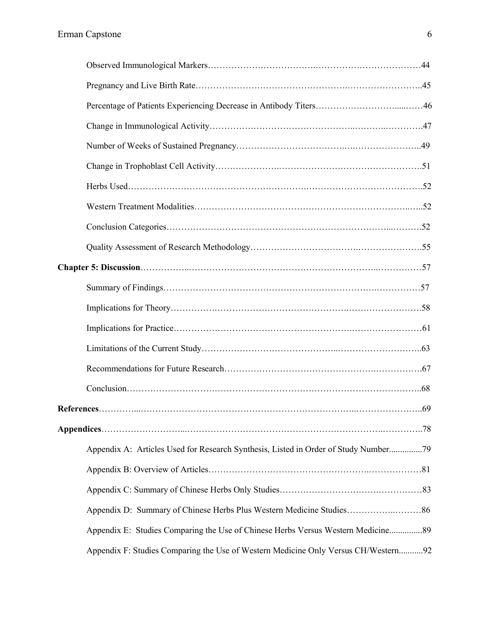| Appendix A: Articles Used for Research Synthesis, Listed in Order of Study Number79 |  |
|-------------------------------------------------------------------------------------|--|
|                                                                                     |  |
|                                                                                     |  |
|                                                                                     |  |
| Appendix E: Studies Comparing the Use of Chinese Herbs Versus Western Medicine89    |  |
| Appendix F: Studies Comparing the Use of Western Medicine Only Versus CH/Western92  |  |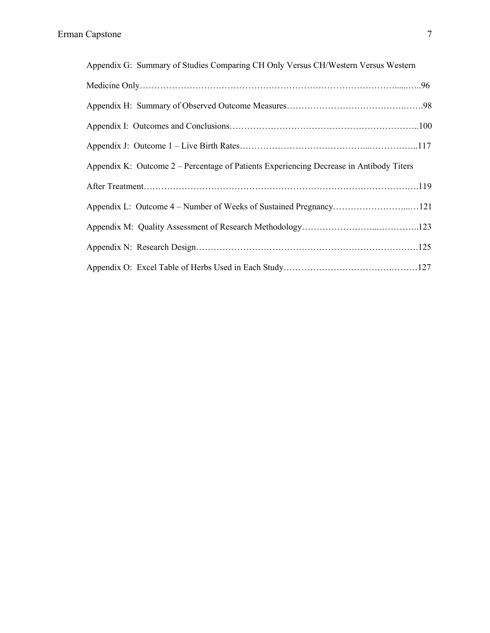| Appendix G: Summary of Studies Comparing CH Only Versus CH/Western Versus Western       |  |
|-----------------------------------------------------------------------------------------|--|
|                                                                                         |  |
|                                                                                         |  |
|                                                                                         |  |
|                                                                                         |  |
| Appendix K: Outcome 2 – Percentage of Patients Experiencing Decrease in Antibody Titers |  |
|                                                                                         |  |
|                                                                                         |  |
|                                                                                         |  |
|                                                                                         |  |
|                                                                                         |  |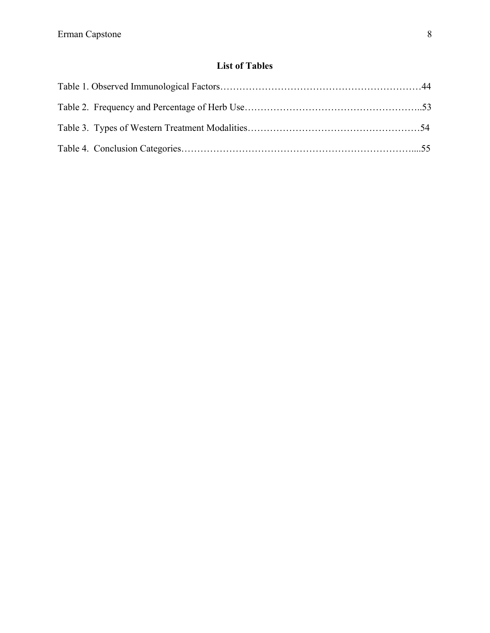# **List of Tables**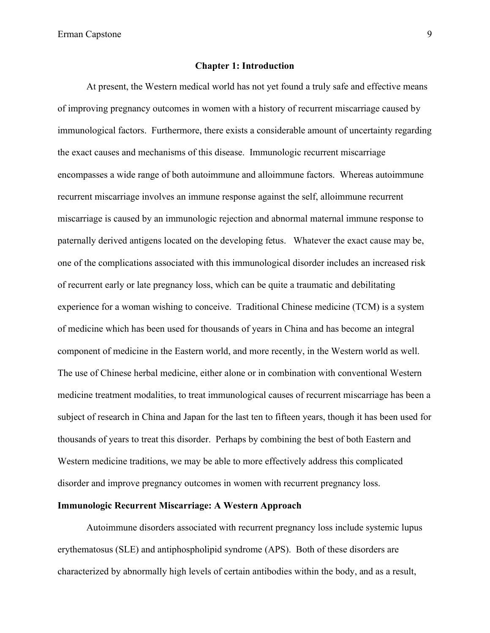#### **Chapter 1: Introduction**

At present, the Western medical world has not yet found a truly safe and effective means of improving pregnancy outcomes in women with a history of recurrent miscarriage caused by immunological factors. Furthermore, there exists a considerable amount of uncertainty regarding the exact causes and mechanisms of this disease. Immunologic recurrent miscarriage encompasses a wide range of both autoimmune and alloimmune factors. Whereas autoimmune recurrent miscarriage involves an immune response against the self, alloimmune recurrent miscarriage is caused by an immunologic rejection and abnormal maternal immune response to paternally derived antigens located on the developing fetus. Whatever the exact cause may be, one of the complications associated with this immunological disorder includes an increased risk of recurrent early or late pregnancy loss, which can be quite a traumatic and debilitating experience for a woman wishing to conceive. Traditional Chinese medicine (TCM) is a system of medicine which has been used for thousands of years in China and has become an integral component of medicine in the Eastern world, and more recently, in the Western world as well. The use of Chinese herbal medicine, either alone or in combination with conventional Western medicine treatment modalities, to treat immunological causes of recurrent miscarriage has been a subject of research in China and Japan for the last ten to fifteen years, though it has been used for thousands of years to treat this disorder. Perhaps by combining the best of both Eastern and Western medicine traditions, we may be able to more effectively address this complicated disorder and improve pregnancy outcomes in women with recurrent pregnancy loss.

## **Immunologic Recurrent Miscarriage: A Western Approach**

Autoimmune disorders associated with recurrent pregnancy loss include systemic lupus erythematosus (SLE) and antiphospholipid syndrome (APS). Both of these disorders are characterized by abnormally high levels of certain antibodies within the body, and as a result,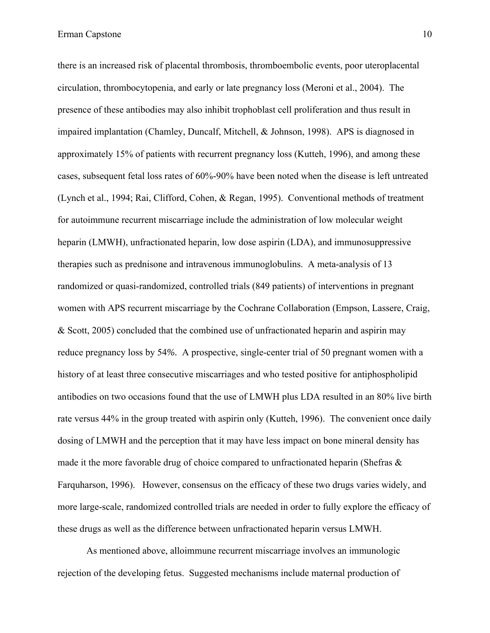there is an increased risk of placental thrombosis, thromboembolic events, poor uteroplacental circulation, thrombocytopenia, and early or late pregnancy loss (Meroni et al., 2004). The presence of these antibodies may also inhibit trophoblast cell proliferation and thus result in impaired implantation (Chamley, Duncalf, Mitchell, & Johnson, 1998). APS is diagnosed in approximately 15% of patients with recurrent pregnancy loss (Kutteh, 1996), and among these cases, subsequent fetal loss rates of 60%-90% have been noted when the disease is left untreated (Lynch et al., 1994; Rai, Clifford, Cohen, & Regan, 1995). Conventional methods of treatment for autoimmune recurrent miscarriage include the administration of low molecular weight heparin (LMWH), unfractionated heparin, low dose aspirin (LDA), and immunosuppressive therapies such as prednisone and intravenous immunoglobulins. A meta-analysis of 13 randomized or quasi-randomized, controlled trials (849 patients) of interventions in pregnant women with APS recurrent miscarriage by the Cochrane Collaboration (Empson, Lassere, Craig, & Scott, 2005) concluded that the combined use of unfractionated heparin and aspirin may reduce pregnancy loss by 54*%.* A prospective, single-center trial of 50 pregnant women with a history of at least three consecutive miscarriages and who tested positive for antiphospholipid antibodies on two occasions found that the use of LMWH plus LDA resulted in an 80% live birth rate versus 44% in the group treated with aspirin only (Kutteh, 1996). The convenient once daily dosing of LMWH and the perception that it may have less impact on bone mineral density has made it the more favorable drug of choice compared to unfractionated heparin (Shefras & Farquharson, 1996). However, consensus on the efficacy of these two drugs varies widely, and more large-scale, randomized controlled trials are needed in order to fully explore the efficacy of these drugs as well as the difference between unfractionated heparin versus LMWH.

As mentioned above, alloimmune recurrent miscarriage involves an immunologic rejection of the developing fetus. Suggested mechanisms include maternal production of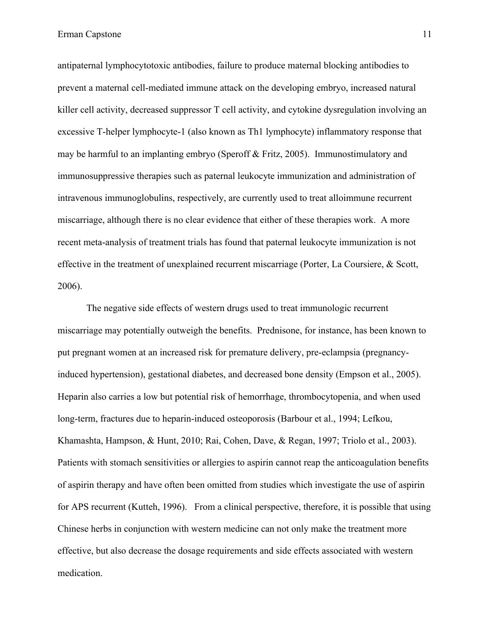antipaternal lymphocytotoxic antibodies, failure to produce maternal blocking antibodies to prevent a maternal cell-mediated immune attack on the developing embryo, increased natural killer cell activity, decreased suppressor T cell activity, and cytokine dysregulation involving an excessive T-helper lymphocyte-1 (also known as Th1 lymphocyte) inflammatory response that may be harmful to an implanting embryo (Speroff & Fritz, 2005). Immunostimulatory and immunosuppressive therapies such as paternal leukocyte immunization and administration of intravenous immunoglobulins, respectively, are currently used to treat alloimmune recurrent miscarriage, although there is no clear evidence that either of these therapies work. A more recent meta-analysis of treatment trials has found that paternal leukocyte immunization is not effective in the treatment of unexplained recurrent miscarriage (Porter, La Coursiere, & Scott, 2006).

The negative side effects of western drugs used to treat immunologic recurrent miscarriage may potentially outweigh the benefits. Prednisone, for instance, has been known to put pregnant women at an increased risk for premature delivery, pre-eclampsia (pregnancyinduced hypertension), gestational diabetes, and decreased bone density (Empson et al., 2005). Heparin also carries a low but potential risk of hemorrhage, thrombocytopenia, and when used long-term, fractures due to heparin-induced osteoporosis (Barbour et al., 1994; Lefkou, Khamashta, Hampson, & Hunt, 2010; Rai, Cohen, Dave, & Regan, 1997; Triolo et al., 2003). Patients with stomach sensitivities or allergies to aspirin cannot reap the anticoagulation benefits of aspirin therapy and have often been omitted from studies which investigate the use of aspirin for APS recurrent (Kutteh, 1996). From a clinical perspective, therefore, it is possible that using Chinese herbs in conjunction with western medicine can not only make the treatment more effective, but also decrease the dosage requirements and side effects associated with western medication.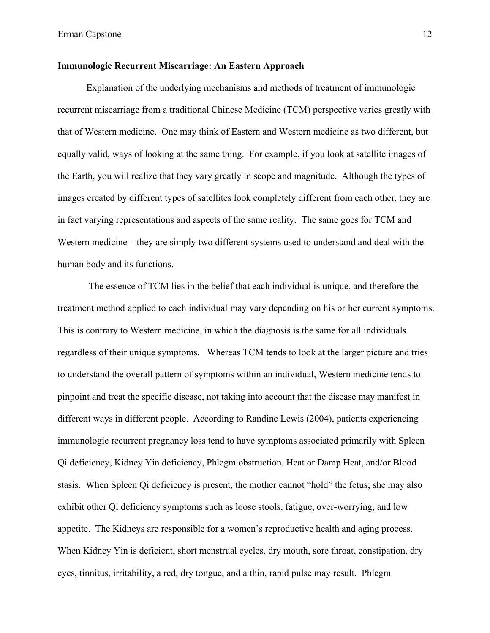## **Immunologic Recurrent Miscarriage: An Eastern Approach**

Explanation of the underlying mechanisms and methods of treatment of immunologic recurrent miscarriage from a traditional Chinese Medicine (TCM) perspective varies greatly with that of Western medicine. One may think of Eastern and Western medicine as two different, but equally valid, ways of looking at the same thing. For example, if you look at satellite images of the Earth, you will realize that they vary greatly in scope and magnitude. Although the types of images created by different types of satellites look completely different from each other, they are in fact varying representations and aspects of the same reality. The same goes for TCM and Western medicine – they are simply two different systems used to understand and deal with the human body and its functions.

The essence of TCM lies in the belief that each individual is unique, and therefore the treatment method applied to each individual may vary depending on his or her current symptoms. This is contrary to Western medicine, in which the diagnosis is the same for all individuals regardless of their unique symptoms. Whereas TCM tends to look at the larger picture and tries to understand the overall pattern of symptoms within an individual, Western medicine tends to pinpoint and treat the specific disease, not taking into account that the disease may manifest in different ways in different people. According to Randine Lewis (2004), patients experiencing immunologic recurrent pregnancy loss tend to have symptoms associated primarily with Spleen Qi deficiency, Kidney Yin deficiency, Phlegm obstruction, Heat or Damp Heat, and/or Blood stasis. When Spleen Qi deficiency is present, the mother cannot "hold" the fetus; she may also exhibit other Qi deficiency symptoms such as loose stools, fatigue, over-worrying, and low appetite. The Kidneys are responsible for a women's reproductive health and aging process. When Kidney Yin is deficient, short menstrual cycles, dry mouth, sore throat, constipation, dry eyes, tinnitus, irritability, a red, dry tongue, and a thin, rapid pulse may result. Phlegm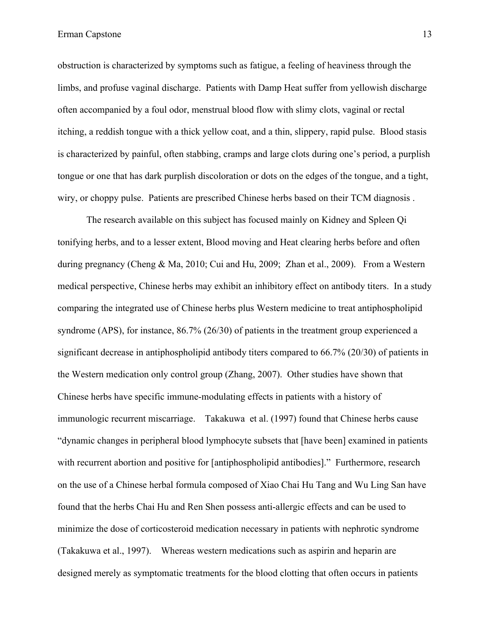obstruction is characterized by symptoms such as fatigue, a feeling of heaviness through the limbs, and profuse vaginal discharge. Patients with Damp Heat suffer from yellowish discharge often accompanied by a foul odor, menstrual blood flow with slimy clots, vaginal or rectal itching, a reddish tongue with a thick yellow coat, and a thin, slippery, rapid pulse. Blood stasis is characterized by painful, often stabbing, cramps and large clots during one's period, a purplish tongue or one that has dark purplish discoloration or dots on the edges of the tongue, and a tight, wiry, or choppy pulse. Patients are prescribed Chinese herbs based on their TCM diagnosis .

The research available on this subject has focused mainly on Kidney and Spleen Qi tonifying herbs, and to a lesser extent, Blood moving and Heat clearing herbs before and often during pregnancy (Cheng & Ma, 2010; Cui and Hu, 2009; Zhan et al., 2009). From a Western medical perspective, Chinese herbs may exhibit an inhibitory effect on antibody titers. In a study comparing the integrated use of Chinese herbs plus Western medicine to treat antiphospholipid syndrome (APS), for instance, 86.7% (26/30) of patients in the treatment group experienced a significant decrease in antiphospholipid antibody titers compared to 66.7% (20/30) of patients in the Western medication only control group (Zhang, 2007). Other studies have shown that Chinese herbs have specific immune-modulating effects in patients with a history of immunologic recurrent miscarriage. Takakuwa et al. (1997) found that Chinese herbs cause "dynamic changes in peripheral blood lymphocyte subsets that [have been] examined in patients with recurrent abortion and positive for [antiphospholipid antibodies]." Furthermore, research on the use of a Chinese herbal formula composed of Xiao Chai Hu Tang and Wu Ling San have found that the herbs Chai Hu and Ren Shen possess anti-allergic effects and can be used to minimize the dose of corticosteroid medication necessary in patients with nephrotic syndrome (Takakuwa et al., 1997). Whereas western medications such as aspirin and heparin are designed merely as symptomatic treatments for the blood clotting that often occurs in patients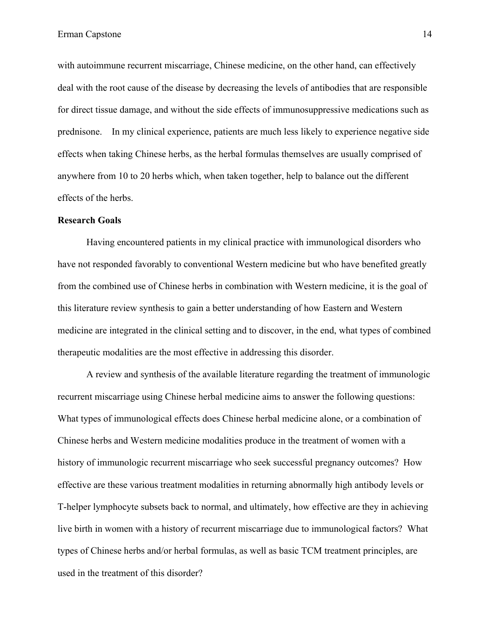with autoimmune recurrent miscarriage, Chinese medicine, on the other hand, can effectively deal with the root cause of the disease by decreasing the levels of antibodies that are responsible for direct tissue damage, and without the side effects of immunosuppressive medications such as prednisone. In my clinical experience, patients are much less likely to experience negative side effects when taking Chinese herbs, as the herbal formulas themselves are usually comprised of anywhere from 10 to 20 herbs which, when taken together, help to balance out the different effects of the herbs.

### **Research Goals**

Having encountered patients in my clinical practice with immunological disorders who have not responded favorably to conventional Western medicine but who have benefited greatly from the combined use of Chinese herbs in combination with Western medicine, it is the goal of this literature review synthesis to gain a better understanding of how Eastern and Western medicine are integrated in the clinical setting and to discover, in the end, what types of combined therapeutic modalities are the most effective in addressing this disorder.

A review and synthesis of the available literature regarding the treatment of immunologic recurrent miscarriage using Chinese herbal medicine aims to answer the following questions: What types of immunological effects does Chinese herbal medicine alone, or a combination of Chinese herbs and Western medicine modalities produce in the treatment of women with a history of immunologic recurrent miscarriage who seek successful pregnancy outcomes? How effective are these various treatment modalities in returning abnormally high antibody levels or T-helper lymphocyte subsets back to normal, and ultimately, how effective are they in achieving live birth in women with a history of recurrent miscarriage due to immunological factors? What types of Chinese herbs and/or herbal formulas, as well as basic TCM treatment principles, are used in the treatment of this disorder?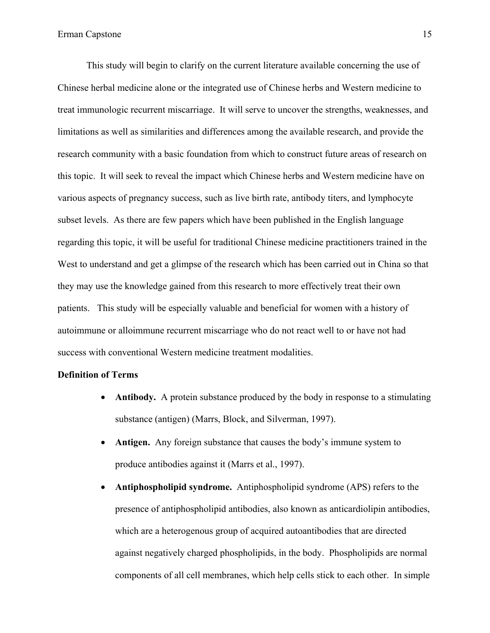This study will begin to clarify on the current literature available concerning the use of Chinese herbal medicine alone or the integrated use of Chinese herbs and Western medicine to treat immunologic recurrent miscarriage. It will serve to uncover the strengths, weaknesses, and limitations as well as similarities and differences among the available research, and provide the research community with a basic foundation from which to construct future areas of research on this topic. It will seek to reveal the impact which Chinese herbs and Western medicine have on various aspects of pregnancy success, such as live birth rate, antibody titers, and lymphocyte subset levels. As there are few papers which have been published in the English language regarding this topic, it will be useful for traditional Chinese medicine practitioners trained in the West to understand and get a glimpse of the research which has been carried out in China so that they may use the knowledge gained from this research to more effectively treat their own patients. This study will be especially valuable and beneficial for women with a history of autoimmune or alloimmune recurrent miscarriage who do not react well to or have not had success with conventional Western medicine treatment modalities.

### **Definition of Terms**

- **Antibody.** A protein substance produced by the body in response to a stimulating substance (antigen) (Marrs, Block, and Silverman, 1997).
- **Antigen.** Any foreign substance that causes the body's immune system to produce antibodies against it (Marrs et al., 1997).
- **Antiphospholipid syndrome.** Antiphospholipid syndrome (APS) refers to the presence of antiphospholipid antibodies, also known as anticardiolipin antibodies, which are a heterogenous group of acquired autoantibodies that are directed against negatively charged phospholipids, in the body. Phospholipids are normal components of all cell membranes, which help cells stick to each other. In simple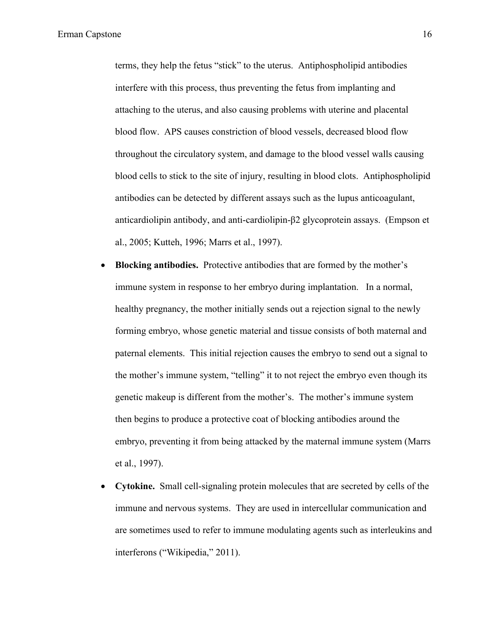terms, they help the fetus "stick" to the uterus. Antiphospholipid antibodies interfere with this process, thus preventing the fetus from implanting and attaching to the uterus, and also causing problems with uterine and placental blood flow. APS causes constriction of blood vessels, decreased blood flow throughout the circulatory system, and damage to the blood vessel walls causing blood cells to stick to the site of injury, resulting in blood clots. Antiphospholipid antibodies can be detected by different assays such as the lupus anticoagulant, anticardiolipin antibody, and anti-cardiolipin-β2 glycoprotein assays. (Empson et al., 2005; Kutteh, 1996; Marrs et al., 1997).

- **Blocking antibodies.** Protective antibodies that are formed by the mother's immune system in response to her embryo during implantation. In a normal, healthy pregnancy, the mother initially sends out a rejection signal to the newly forming embryo, whose genetic material and tissue consists of both maternal and paternal elements. This initial rejection causes the embryo to send out a signal to the mother's immune system, "telling" it to not reject the embryo even though its genetic makeup is different from the mother's. The mother's immune system then begins to produce a protective coat of blocking antibodies around the embryo, preventing it from being attacked by the maternal immune system (Marrs et al., 1997).
- **Cytokine.** Small cell-signaling protein molecules that are secreted by cells of the immune and nervous systems. They are used in intercellular communication and are sometimes used to refer to immune modulating agents such as interleukins and interferons ("Wikipedia," 2011).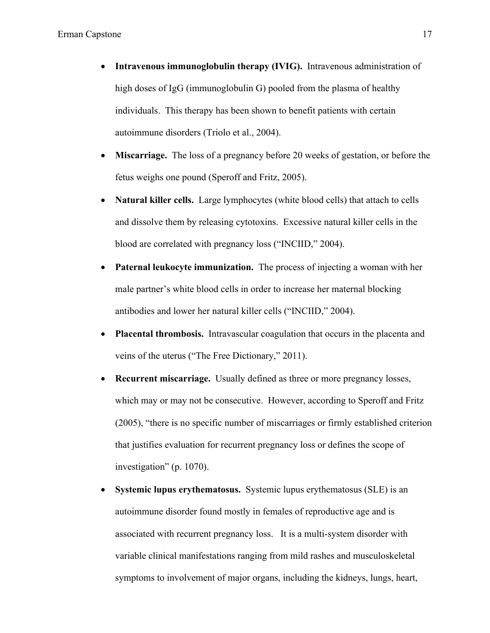- **Intravenous immunoglobulin therapy (IVIG).** Intravenous administration of high doses of IgG (immunoglobulin G) pooled from the plasma of healthy individuals. This therapy has been shown to benefit patients with certain autoimmune disorders (Triolo et al., 2004).
- **Miscarriage.** The loss of a pregnancy before 20 weeks of gestation, or before the fetus weighs one pound (Speroff and Fritz, 2005).
- **Natural killer cells.** Large lymphocytes (white blood cells) that attach to cells and dissolve them by releasing cytotoxins. Excessive natural killer cells in the blood are correlated with pregnancy loss ("INCIID," 2004).
- **Paternal leukocyte immunization.** The process of injecting a woman with her male partner's white blood cells in order to increase her maternal blocking antibodies and lower her natural killer cells ("INCIID," 2004).
- **Placental thrombosis.** Intravascular coagulation that occurs in the placenta and veins of the uterus ("The Free Dictionary," 2011).
- **Recurrent miscarriage.** Usually defined as three or more pregnancy losses, which may or may not be consecutive. However, according to Speroff and Fritz (2005), "there is no specific number of miscarriages or firmly established criterion that justifies evaluation for recurrent pregnancy loss or defines the scope of investigation" (p. 1070).
- **Systemic lupus erythematosus.** Systemic lupus erythematosus (SLE) is an autoimmune disorder found mostly in females of reproductive age and is associated with recurrent pregnancy loss. It is a multi-system disorder with variable clinical manifestations ranging from mild rashes and musculoskeletal symptoms to involvement of major organs, including the kidneys, lungs, heart,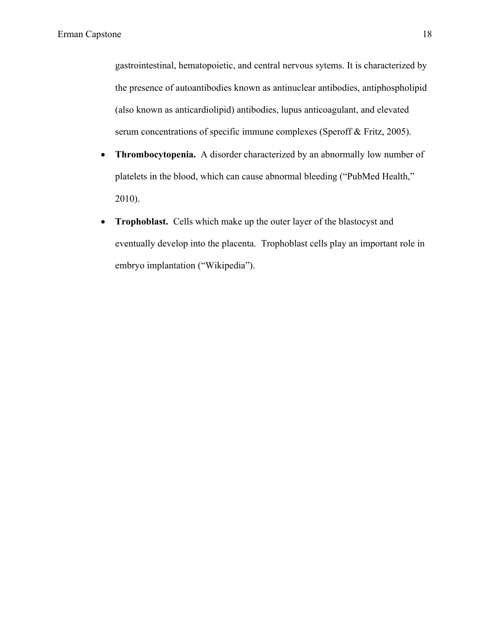gastrointestinal, hematopoietic, and central nervous sytems. It is characterized by the presence of autoantibodies known as antinuclear antibodies, antiphospholipid (also known as anticardiolipid) antibodies, lupus anticoagulant, and elevated serum concentrations of specific immune complexes (Speroff & Fritz, 2005).

- **Thrombocytopenia.** A disorder characterized by an abnormally low number of platelets in the blood, which can cause abnormal bleeding ("PubMed Health," 2010).
- **Trophoblast.** Cells which make up the outer layer of the blastocyst and eventually develop into the placenta. Trophoblast cells play an important role in embryo implantation ("Wikipedia").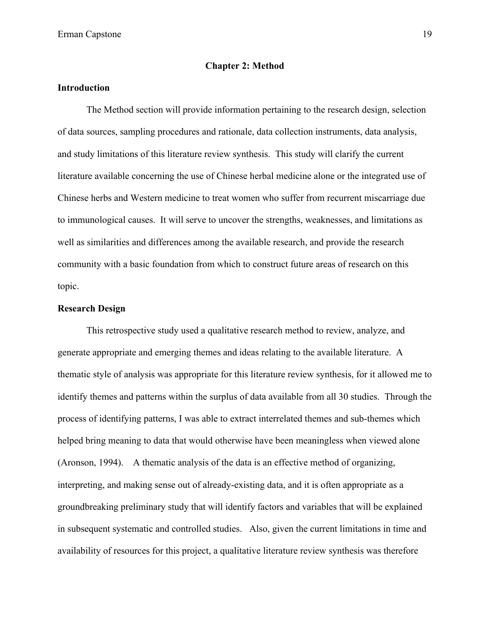#### **Chapter 2: Method**

## **Introduction**

The Method section will provide information pertaining to the research design, selection of data sources, sampling procedures and rationale, data collection instruments, data analysis, and study limitations of this literature review synthesis. This study will clarify the current literature available concerning the use of Chinese herbal medicine alone or the integrated use of Chinese herbs and Western medicine to treat women who suffer from recurrent miscarriage due to immunological causes. It will serve to uncover the strengths, weaknesses, and limitations as well as similarities and differences among the available research, and provide the research community with a basic foundation from which to construct future areas of research on this topic.

## **Research Design**

This retrospective study used a qualitative research method to review, analyze, and generate appropriate and emerging themes and ideas relating to the available literature. A thematic style of analysis was appropriate for this literature review synthesis, for it allowed me to identify themes and patterns within the surplus of data available from all 30 studies. Through the process of identifying patterns, I was able to extract interrelated themes and sub-themes which helped bring meaning to data that would otherwise have been meaningless when viewed alone (Aronson, 1994). A thematic analysis of the data is an effective method of organizing, interpreting, and making sense out of already-existing data, and it is often appropriate as a groundbreaking preliminary study that will identify factors and variables that will be explained in subsequent systematic and controlled studies. Also, given the current limitations in time and availability of resources for this project, a qualitative literature review synthesis was therefore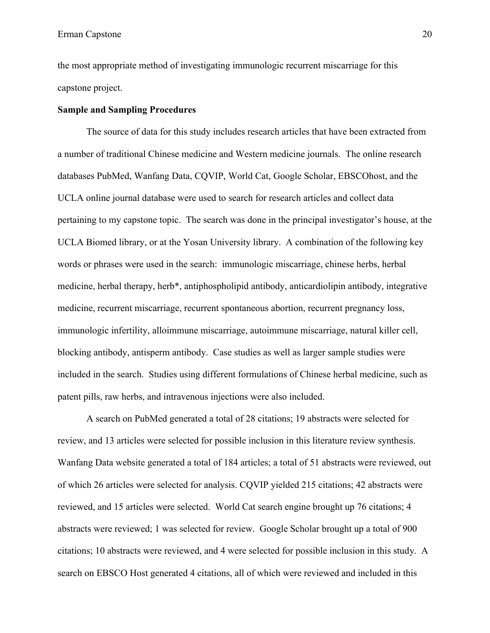the most appropriate method of investigating immunologic recurrent miscarriage for this capstone project.

## **Sample and Sampling Procedures**

The source of data for this study includes research articles that have been extracted from a number of traditional Chinese medicine and Western medicine journals. The online research databases PubMed, Wanfang Data, CQVIP, World Cat, Google Scholar, EBSCOhost, and the UCLA online journal database were used to search for research articles and collect data pertaining to my capstone topic. The search was done in the principal investigator's house, at the UCLA Biomed library, or at the Yosan University library. A combination of the following key words or phrases were used in the search: immunologic miscarriage, chinese herbs, herbal medicine, herbal therapy, herb\*, antiphospholipid antibody, anticardiolipin antibody, integrative medicine, recurrent miscarriage, recurrent spontaneous abortion, recurrent pregnancy loss, immunologic infertility, alloimmune miscarriage, autoimmune miscarriage, natural killer cell, blocking antibody, antisperm antibody. Case studies as well as larger sample studies were included in the search. Studies using different formulations of Chinese herbal medicine, such as patent pills, raw herbs, and intravenous injections were also included.

A search on PubMed generated a total of 28 citations; 19 abstracts were selected for review, and 13 articles were selected for possible inclusion in this literature review synthesis. Wanfang Data website generated a total of 184 articles; a total of 51 abstracts were reviewed, out of which 26 articles were selected for analysis. CQVIP yielded 215 citations; 42 abstracts were reviewed, and 15 articles were selected. World Cat search engine brought up 76 citations; 4 abstracts were reviewed; 1 was selected for review. Google Scholar brought up a total of 900 citations; 10 abstracts were reviewed, and 4 were selected for possible inclusion in this study. A search on EBSCO Host generated 4 citations, all of which were reviewed and included in this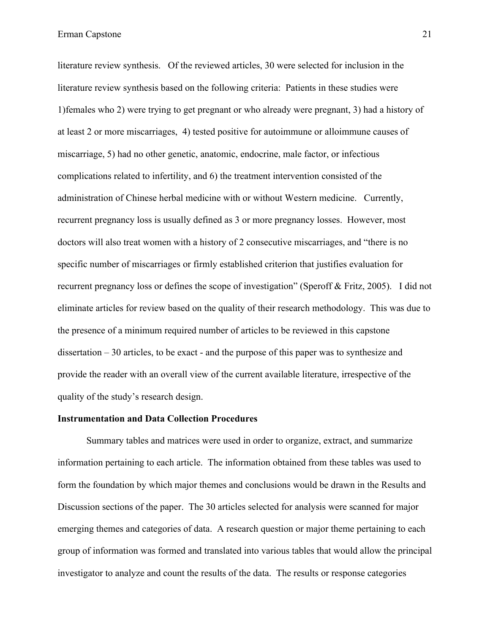literature review synthesis. Of the reviewed articles, 30 were selected for inclusion in the literature review synthesis based on the following criteria: Patients in these studies were 1)females who 2) were trying to get pregnant or who already were pregnant, 3) had a history of at least 2 or more miscarriages, 4) tested positive for autoimmune or alloimmune causes of miscarriage, 5) had no other genetic, anatomic, endocrine, male factor, or infectious complications related to infertility, and 6) the treatment intervention consisted of the administration of Chinese herbal medicine with or without Western medicine. Currently, recurrent pregnancy loss is usually defined as 3 or more pregnancy losses. However, most doctors will also treat women with a history of 2 consecutive miscarriages, and "there is no specific number of miscarriages or firmly established criterion that justifies evaluation for recurrent pregnancy loss or defines the scope of investigation" (Speroff & Fritz, 2005). I did not eliminate articles for review based on the quality of their research methodology. This was due to the presence of a minimum required number of articles to be reviewed in this capstone dissertation – 30 articles, to be exact - and the purpose of this paper was to synthesize and provide the reader with an overall view of the current available literature, irrespective of the quality of the study's research design.

## **Instrumentation and Data Collection Procedures**

Summary tables and matrices were used in order to organize, extract, and summarize information pertaining to each article. The information obtained from these tables was used to form the foundation by which major themes and conclusions would be drawn in the Results and Discussion sections of the paper. The 30 articles selected for analysis were scanned for major emerging themes and categories of data. A research question or major theme pertaining to each group of information was formed and translated into various tables that would allow the principal investigator to analyze and count the results of the data. The results or response categories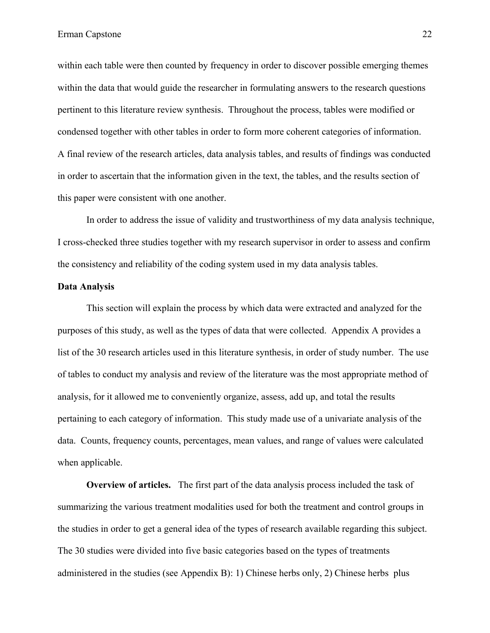within each table were then counted by frequency in order to discover possible emerging themes within the data that would guide the researcher in formulating answers to the research questions pertinent to this literature review synthesis. Throughout the process, tables were modified or condensed together with other tables in order to form more coherent categories of information. A final review of the research articles, data analysis tables, and results of findings was conducted in order to ascertain that the information given in the text, the tables, and the results section of this paper were consistent with one another.

In order to address the issue of validity and trustworthiness of my data analysis technique, I cross-checked three studies together with my research supervisor in order to assess and confirm the consistency and reliability of the coding system used in my data analysis tables.

#### **Data Analysis**

This section will explain the process by which data were extracted and analyzed for the purposes of this study, as well as the types of data that were collected. Appendix A provides a list of the 30 research articles used in this literature synthesis, in order of study number. The use of tables to conduct my analysis and review of the literature was the most appropriate method of analysis, for it allowed me to conveniently organize, assess, add up, and total the results pertaining to each category of information. This study made use of a univariate analysis of the data. Counts, frequency counts, percentages, mean values, and range of values were calculated when applicable.

**Overview of articles.**The first part of the data analysis process included the task of summarizing the various treatment modalities used for both the treatment and control groups in the studies in order to get a general idea of the types of research available regarding this subject. The 30 studies were divided into five basic categories based on the types of treatments administered in the studies (see Appendix B): 1) Chinese herbs only, 2) Chinese herbs plus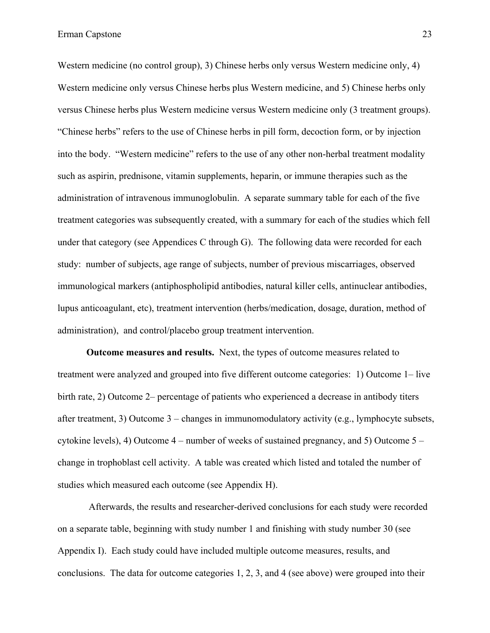Western medicine (no control group), 3) Chinese herbs only versus Western medicine only, 4) Western medicine only versus Chinese herbs plus Western medicine, and 5) Chinese herbs only versus Chinese herbs plus Western medicine versus Western medicine only (3 treatment groups). "Chinese herbs" refers to the use of Chinese herbs in pill form, decoction form, or by injection into the body. "Western medicine" refers to the use of any other non-herbal treatment modality such as aspirin, prednisone, vitamin supplements, heparin, or immune therapies such as the administration of intravenous immunoglobulin. A separate summary table for each of the five treatment categories was subsequently created, with a summary for each of the studies which fell under that category (see Appendices C through G). The following data were recorded for each study: number of subjects, age range of subjects, number of previous miscarriages, observed immunological markers (antiphospholipid antibodies, natural killer cells, antinuclear antibodies, lupus anticoagulant, etc), treatment intervention (herbs/medication, dosage, duration, method of administration), and control/placebo group treatment intervention.

**Outcome measures and results.** Next, the types of outcome measures related to treatment were analyzed and grouped into five different outcome categories: 1) Outcome 1– live birth rate, 2) Outcome 2– percentage of patients who experienced a decrease in antibody titers after treatment, 3) Outcome 3 – changes in immunomodulatory activity (e.g., lymphocyte subsets, cytokine levels), 4) Outcome 4 – number of weeks of sustained pregnancy, and 5) Outcome 5 – change in trophoblast cell activity. A table was created which listed and totaled the number of studies which measured each outcome (see Appendix H).

Afterwards, the results and researcher-derived conclusions for each study were recorded on a separate table, beginning with study number 1 and finishing with study number 30 (see Appendix I). Each study could have included multiple outcome measures, results, and conclusions. The data for outcome categories 1, 2, 3, and 4 (see above) were grouped into their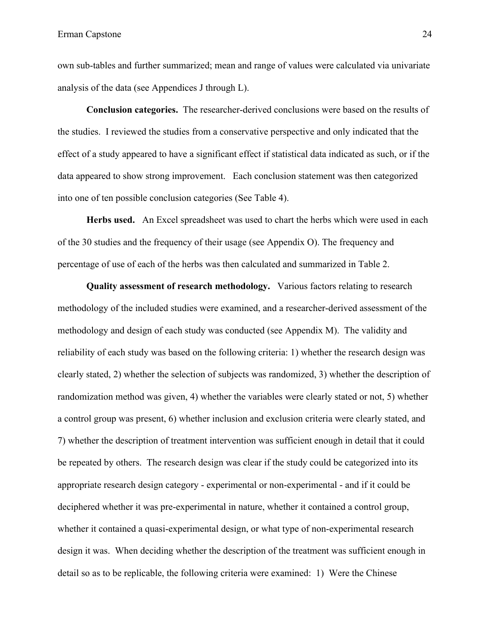own sub-tables and further summarized; mean and range of values were calculated via univariate analysis of the data (see Appendices J through L).

**Conclusion categories.** The researcher-derived conclusions were based on the results of the studies. I reviewed the studies from a conservative perspective and only indicated that the effect of a study appeared to have a significant effect if statistical data indicated as such, or if the data appeared to show strong improvement. Each conclusion statement was then categorized into one of ten possible conclusion categories (See Table 4).

**Herbs used.** An Excel spreadsheet was used to chart the herbs which were used in each of the 30 studies and the frequency of their usage (see Appendix O). The frequency and percentage of use of each of the herbs was then calculated and summarized in Table 2.

**Quality assessment of research methodology.** Various factors relating to research methodology of the included studies were examined, and a researcher-derived assessment of the methodology and design of each study was conducted (see Appendix M). The validity and reliability of each study was based on the following criteria: 1) whether the research design was clearly stated, 2) whether the selection of subjects was randomized, 3) whether the description of randomization method was given, 4) whether the variables were clearly stated or not, 5) whether a control group was present, 6) whether inclusion and exclusion criteria were clearly stated, and 7) whether the description of treatment intervention was sufficient enough in detail that it could be repeated by others. The research design was clear if the study could be categorized into its appropriate research design category - experimental or non-experimental - and if it could be deciphered whether it was pre-experimental in nature, whether it contained a control group, whether it contained a quasi-experimental design, or what type of non-experimental research design it was. When deciding whether the description of the treatment was sufficient enough in detail so as to be replicable, the following criteria were examined: 1) Were the Chinese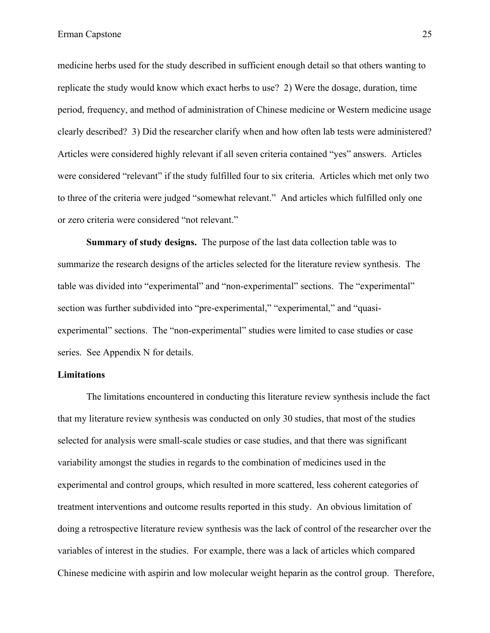medicine herbs used for the study described in sufficient enough detail so that others wanting to replicate the study would know which exact herbs to use? 2) Were the dosage, duration, time period, frequency, and method of administration of Chinese medicine or Western medicine usage clearly described? 3) Did the researcher clarify when and how often lab tests were administered? Articles were considered highly relevant if all seven criteria contained "yes" answers. Articles were considered "relevant" if the study fulfilled four to six criteria. Articles which met only two to three of the criteria were judged "somewhat relevant." And articles which fulfilled only one or zero criteria were considered "not relevant."

**Summary of study designs.** The purpose of the last data collection table was to summarize the research designs of the articles selected for the literature review synthesis. The table was divided into "experimental" and "non-experimental" sections. The "experimental" section was further subdivided into "pre-experimental," "experimental," and "quasiexperimental" sections. The "non-experimental" studies were limited to case studies or case series. See Appendix N for details.

## **Limitations**

The limitations encountered in conducting this literature review synthesis include the fact that my literature review synthesis was conducted on only 30 studies, that most of the studies selected for analysis were small-scale studies or case studies, and that there was significant variability amongst the studies in regards to the combination of medicines used in the experimental and control groups, which resulted in more scattered, less coherent categories of treatment interventions and outcome results reported in this study. An obvious limitation of doing a retrospective literature review synthesis was the lack of control of the researcher over the variables of interest in the studies. For example, there was a lack of articles which compared Chinese medicine with aspirin and low molecular weight heparin as the control group. Therefore,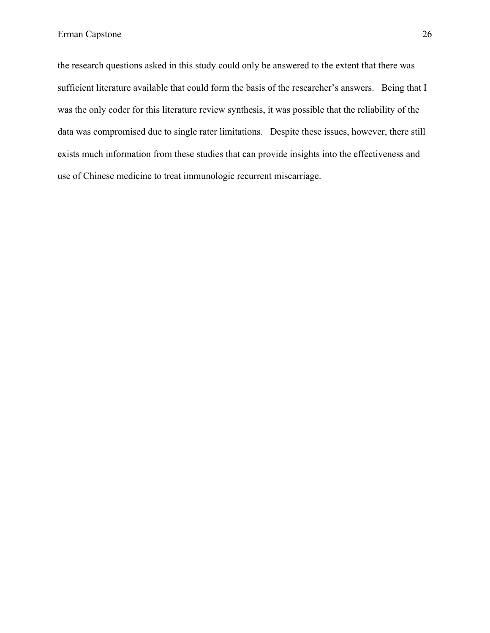the research questions asked in this study could only be answered to the extent that there was sufficient literature available that could form the basis of the researcher's answers. Being that I was the only coder for this literature review synthesis, it was possible that the reliability of the data was compromised due to single rater limitations. Despite these issues, however, there still exists much information from these studies that can provide insights into the effectiveness and use of Chinese medicine to treat immunologic recurrent miscarriage.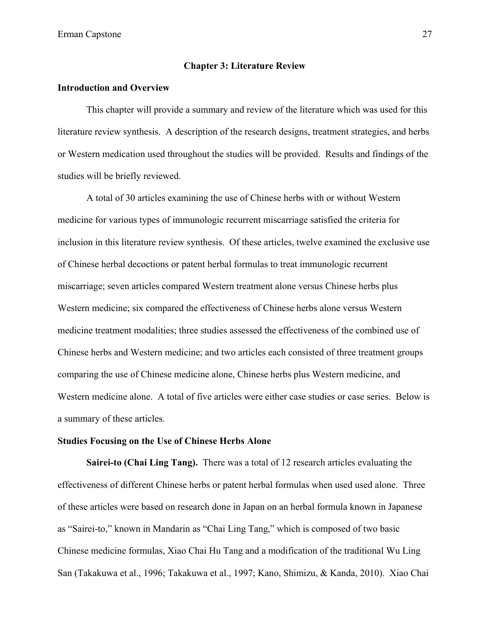#### **Chapter 3: Literature Review**

### **Introduction and Overview**

This chapter will provide a summary and review of the literature which was used for this literature review synthesis. A description of the research designs, treatment strategies, and herbs or Western medication used throughout the studies will be provided. Results and findings of the studies will be briefly reviewed.

A total of 30 articles examining the use of Chinese herbs with or without Western medicine for various types of immunologic recurrent miscarriage satisfied the criteria for inclusion in this literature review synthesis. Of these articles, twelve examined the exclusive use of Chinese herbal decoctions or patent herbal formulas to treat immunologic recurrent miscarriage; seven articles compared Western treatment alone versus Chinese herbs plus Western medicine; six compared the effectiveness of Chinese herbs alone versus Western medicine treatment modalities; three studies assessed the effectiveness of the combined use of Chinese herbs and Western medicine; and two articles each consisted of three treatment groups comparing the use of Chinese medicine alone, Chinese herbs plus Western medicine, and Western medicine alone. A total of five articles were either case studies or case series. Below is a summary of these articles.

## **Studies Focusing on the Use of Chinese Herbs Alone**

**Sairei-to (Chai Ling Tang).** There was a total of 12 research articles evaluating the effectiveness of different Chinese herbs or patent herbal formulas when used used alone. Three of these articles were based on research done in Japan on an herbal formula known in Japanese as "Sairei-to," known in Mandarin as "Chai Ling Tang," which is composed of two basic Chinese medicine formulas, Xiao Chai Hu Tang and a modification of the traditional Wu Ling San (Takakuwa et al., 1996; Takakuwa et al., 1997; Kano, Shimizu, & Kanda, 2010). Xiao Chai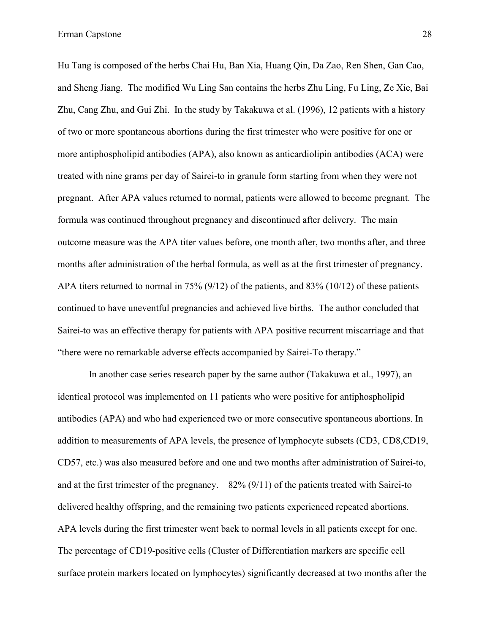Hu Tang is composed of the herbs Chai Hu, Ban Xia, Huang Qin, Da Zao, Ren Shen, Gan Cao, and Sheng Jiang. The modified Wu Ling San contains the herbs Zhu Ling, Fu Ling, Ze Xie, Bai Zhu, Cang Zhu, and Gui Zhi. In the study by Takakuwa et al. (1996), 12 patients with a history of two or more spontaneous abortions during the first trimester who were positive for one or more antiphospholipid antibodies (APA), also known as anticardiolipin antibodies (ACA) were treated with nine grams per day of Sairei-to in granule form starting from when they were not pregnant. After APA values returned to normal, patients were allowed to become pregnant. The formula was continued throughout pregnancy and discontinued after delivery. The main outcome measure was the APA titer values before, one month after, two months after, and three months after administration of the herbal formula, as well as at the first trimester of pregnancy. APA titers returned to normal in 75% (9/12) of the patients, and 83% (10/12) of these patients continued to have uneventful pregnancies and achieved live births. The author concluded that Sairei-to was an effective therapy for patients with APA positive recurrent miscarriage and that "there were no remarkable adverse effects accompanied by Sairei-To therapy."

In another case series research paper by the same author (Takakuwa et al., 1997), an identical protocol was implemented on 11 patients who were positive for antiphospholipid antibodies (APA) and who had experienced two or more consecutive spontaneous abortions. In addition to measurements of APA levels, the presence of lymphocyte subsets (CD3, CD8,CD19, CD57, etc.) was also measured before and one and two months after administration of Sairei-to, and at the first trimester of the pregnancy. 82% (9/11) of the patients treated with Sairei-to delivered healthy offspring, and the remaining two patients experienced repeated abortions. APA levels during the first trimester went back to normal levels in all patients except for one. The percentage of CD19-positive cells (Cluster of Differentiation markers are specific cell surface protein markers located on lymphocytes) significantly decreased at two months after the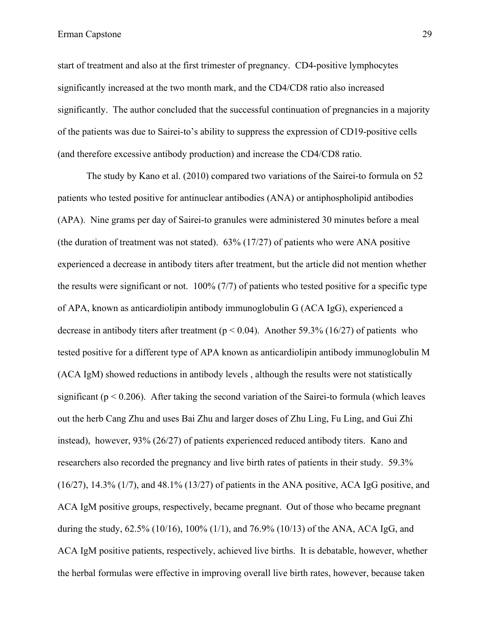start of treatment and also at the first trimester of pregnancy. CD4-positive lymphocytes significantly increased at the two month mark, and the CD4/CD8 ratio also increased significantly. The author concluded that the successful continuation of pregnancies in a majority of the patients was due to Sairei-to's ability to suppress the expression of CD19-positive cells (and therefore excessive antibody production) and increase the CD4/CD8 ratio.

The study by Kano et al. (2010) compared two variations of the Sairei-to formula on 52 patients who tested positive for antinuclear antibodies (ANA) or antiphospholipid antibodies (APA). Nine grams per day of Sairei-to granules were administered 30 minutes before a meal (the duration of treatment was not stated). 63% (17/27) of patients who were ANA positive experienced a decrease in antibody titers after treatment, but the article did not mention whether the results were significant or not. 100% (7/7) of patients who tested positive for a specific type of APA, known as anticardiolipin antibody immunoglobulin G (ACA IgG), experienced a decrease in antibody titers after treatment ( $p < 0.04$ ). Another 59.3% (16/27) of patients who tested positive for a different type of APA known as anticardiolipin antibody immunoglobulin M (ACA IgM) showed reductions in antibody levels , although the results were not statistically significant ( $p < 0.206$ ). After taking the second variation of the Sairei-to formula (which leaves out the herb Cang Zhu and uses Bai Zhu and larger doses of Zhu Ling, Fu Ling, and Gui Zhi instead), however, 93% (26/27) of patients experienced reduced antibody titers. Kano and researchers also recorded the pregnancy and live birth rates of patients in their study. 59.3% (16/27), 14.3% (1/7), and 48.1% (13/27) of patients in the ANA positive, ACA IgG positive, and ACA IgM positive groups, respectively, became pregnant. Out of those who became pregnant during the study,  $62.5\%$  (10/16), 100% (1/1), and 76.9% (10/13) of the ANA, ACA IgG, and ACA IgM positive patients, respectively, achieved live births. It is debatable, however, whether the herbal formulas were effective in improving overall live birth rates, however, because taken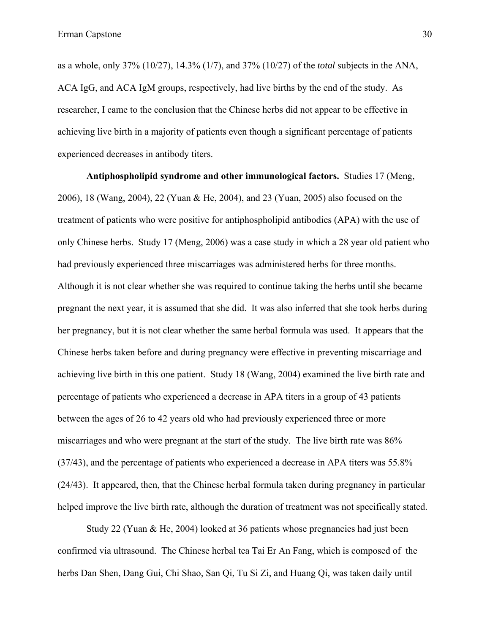as a whole, only 37% (10/27), 14.3% (1/7), and 37% (10/27) of the *total* subjects in the ANA, ACA IgG, and ACA IgM groups, respectively, had live births by the end of the study. As researcher, I came to the conclusion that the Chinese herbs did not appear to be effective in achieving live birth in a majority of patients even though a significant percentage of patients experienced decreases in antibody titers.

**Antiphospholipid syndrome and other immunological factors.** Studies 17 (Meng, 2006), 18 (Wang, 2004), 22 (Yuan & He, 2004), and 23 (Yuan, 2005) also focused on the treatment of patients who were positive for antiphospholipid antibodies (APA) with the use of only Chinese herbs. Study 17 (Meng, 2006) was a case study in which a 28 year old patient who had previously experienced three miscarriages was administered herbs for three months. Although it is not clear whether she was required to continue taking the herbs until she became pregnant the next year, it is assumed that she did. It was also inferred that she took herbs during her pregnancy, but it is not clear whether the same herbal formula was used. It appears that the Chinese herbs taken before and during pregnancy were effective in preventing miscarriage and achieving live birth in this one patient. Study 18 (Wang, 2004) examined the live birth rate and percentage of patients who experienced a decrease in APA titers in a group of 43 patients between the ages of 26 to 42 years old who had previously experienced three or more miscarriages and who were pregnant at the start of the study. The live birth rate was 86% (37/43), and the percentage of patients who experienced a decrease in APA titers was 55.8% (24/43). It appeared, then, that the Chinese herbal formula taken during pregnancy in particular helped improve the live birth rate, although the duration of treatment was not specifically stated.

Study 22 (Yuan & He, 2004) looked at 36 patients whose pregnancies had just been confirmed via ultrasound. The Chinese herbal tea Tai Er An Fang, which is composed of the herbs Dan Shen, Dang Gui, Chi Shao, San Qi, Tu Si Zi, and Huang Qi, was taken daily until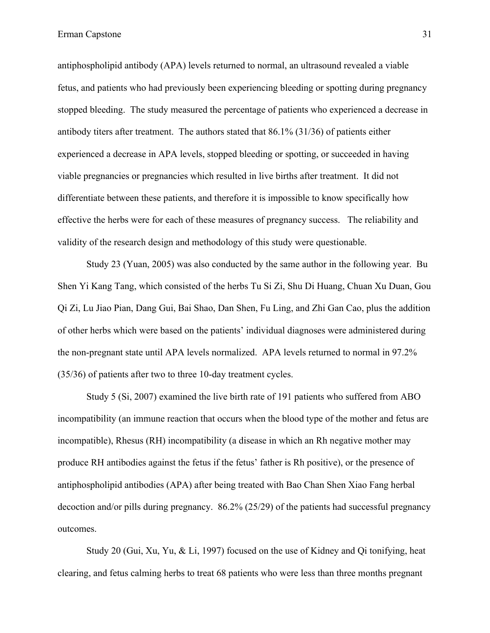antiphospholipid antibody (APA) levels returned to normal, an ultrasound revealed a viable fetus, and patients who had previously been experiencing bleeding or spotting during pregnancy stopped bleeding. The study measured the percentage of patients who experienced a decrease in antibody titers after treatment. The authors stated that 86.1% (31/36) of patients either experienced a decrease in APA levels, stopped bleeding or spotting, or succeeded in having viable pregnancies or pregnancies which resulted in live births after treatment. It did not differentiate between these patients, and therefore it is impossible to know specifically how effective the herbs were for each of these measures of pregnancy success. The reliability and validity of the research design and methodology of this study were questionable.

Study 23 (Yuan, 2005) was also conducted by the same author in the following year. Bu Shen Yi Kang Tang, which consisted of the herbs Tu Si Zi, Shu Di Huang, Chuan Xu Duan, Gou Qi Zi, Lu Jiao Pian, Dang Gui, Bai Shao, Dan Shen, Fu Ling, and Zhi Gan Cao, plus the addition of other herbs which were based on the patients' individual diagnoses were administered during the non-pregnant state until APA levels normalized. APA levels returned to normal in 97.2% (35/36) of patients after two to three 10-day treatment cycles.

Study 5 (Si, 2007) examined the live birth rate of 191 patients who suffered from ABO incompatibility (an immune reaction that occurs when the blood type of the mother and fetus are incompatible), Rhesus (RH) incompatibility (a disease in which an Rh negative mother may produce RH antibodies against the fetus if the fetus' father is Rh positive), or the presence of antiphospholipid antibodies (APA) after being treated with Bao Chan Shen Xiao Fang herbal decoction and/or pills during pregnancy. 86.2% (25/29) of the patients had successful pregnancy outcomes.

Study 20 (Gui, Xu, Yu, & Li, 1997) focused on the use of Kidney and Qi tonifying, heat clearing, and fetus calming herbs to treat 68 patients who were less than three months pregnant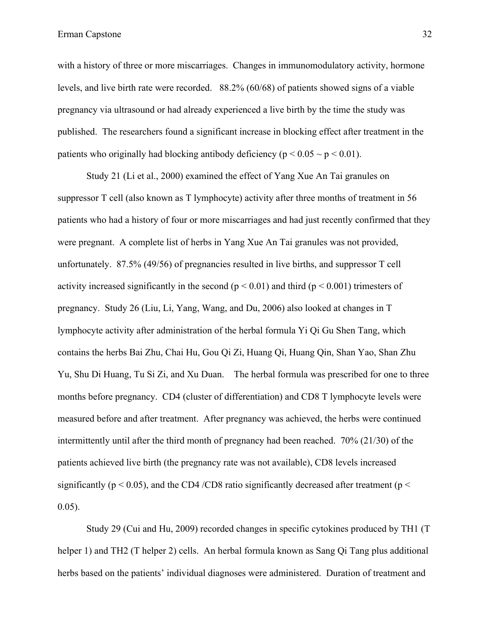with a history of three or more miscarriages. Changes in immunomodulatory activity, hormone levels, and live birth rate were recorded. 88.2% (60/68) of patients showed signs of a viable pregnancy via ultrasound or had already experienced a live birth by the time the study was published. The researchers found a significant increase in blocking effect after treatment in the patients who originally had blocking antibody deficiency ( $p < 0.05 \sim p < 0.01$ ).

Study 21 (Li et al., 2000) examined the effect of Yang Xue An Tai granules on suppressor T cell (also known as T lymphocyte) activity after three months of treatment in 56 patients who had a history of four or more miscarriages and had just recently confirmed that they were pregnant. A complete list of herbs in Yang Xue An Tai granules was not provided, unfortunately. 87.5% (49/56) of pregnancies resulted in live births, and suppressor T cell activity increased significantly in the second ( $p < 0.01$ ) and third ( $p < 0.001$ ) trimesters of pregnancy. Study 26 (Liu, Li, Yang, Wang, and Du, 2006) also looked at changes in T lymphocyte activity after administration of the herbal formula Yi Qi Gu Shen Tang, which contains the herbs Bai Zhu, Chai Hu, Gou Qi Zi, Huang Qi, Huang Qin, Shan Yao, Shan Zhu Yu, Shu Di Huang, Tu Si Zi, and Xu Duan. The herbal formula was prescribed for one to three months before pregnancy. CD4 (cluster of differentiation) and CD8 T lymphocyte levels were measured before and after treatment. After pregnancy was achieved, the herbs were continued intermittently until after the third month of pregnancy had been reached. 70% (21/30) of the patients achieved live birth (the pregnancy rate was not available), CD8 levels increased significantly ( $p < 0.05$ ), and the CD4/CD8 ratio significantly decreased after treatment ( $p <$ 0.05).

Study 29 (Cui and Hu, 2009) recorded changes in specific cytokines produced by TH1 (T helper 1) and TH2 (T helper 2) cells. An herbal formula known as Sang Qi Tang plus additional herbs based on the patients' individual diagnoses were administered. Duration of treatment and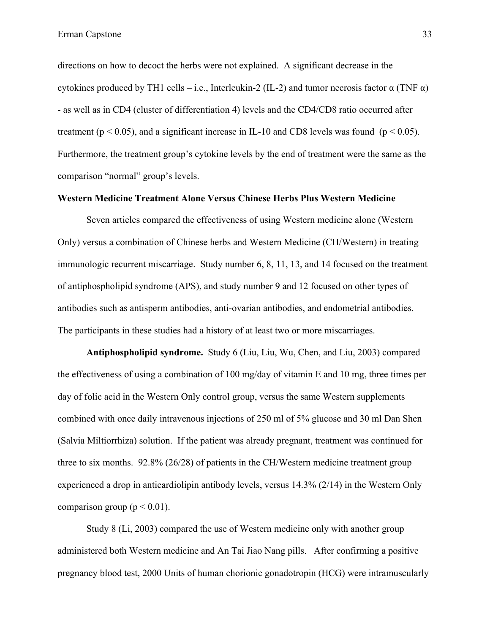directions on how to decoct the herbs were not explained. A significant decrease in the cytokines produced by TH1 cells – i.e., Interleukin-2 (IL-2) and tumor necrosis factor  $\alpha$  (TNF  $\alpha$ ) - as well as in CD4 (cluster of differentiation 4) levels and the CD4/CD8 ratio occurred after treatment ( $p < 0.05$ ), and a significant increase in IL-10 and CD8 levels was found ( $p < 0.05$ ). Furthermore, the treatment group's cytokine levels by the end of treatment were the same as the comparison "normal" group's levels.

## **Western Medicine Treatment Alone Versus Chinese Herbs Plus Western Medicine**

Seven articles compared the effectiveness of using Western medicine alone (Western Only) versus a combination of Chinese herbs and Western Medicine (CH/Western) in treating immunologic recurrent miscarriage. Study number 6, 8, 11, 13, and 14 focused on the treatment of antiphospholipid syndrome (APS), and study number 9 and 12 focused on other types of antibodies such as antisperm antibodies, anti-ovarian antibodies, and endometrial antibodies. The participants in these studies had a history of at least two or more miscarriages.

**Antiphospholipid syndrome.** Study 6 (Liu, Liu, Wu, Chen, and Liu, 2003) compared the effectiveness of using a combination of 100 mg/day of vitamin E and 10 mg, three times per day of folic acid in the Western Only control group, versus the same Western supplements combined with once daily intravenous injections of 250 ml of 5% glucose and 30 ml Dan Shen (Salvia Miltiorrhiza) solution. If the patient was already pregnant, treatment was continued for three to six months. 92.8% (26/28) of patients in the CH/Western medicine treatment group experienced a drop in anticardiolipin antibody levels, versus 14.3% (2/14) in the Western Only comparison group ( $p < 0.01$ ).

Study 8 (Li, 2003) compared the use of Western medicine only with another group administered both Western medicine and An Tai Jiao Nang pills. After confirming a positive pregnancy blood test, 2000 Units of human chorionic gonadotropin (HCG) were intramuscularly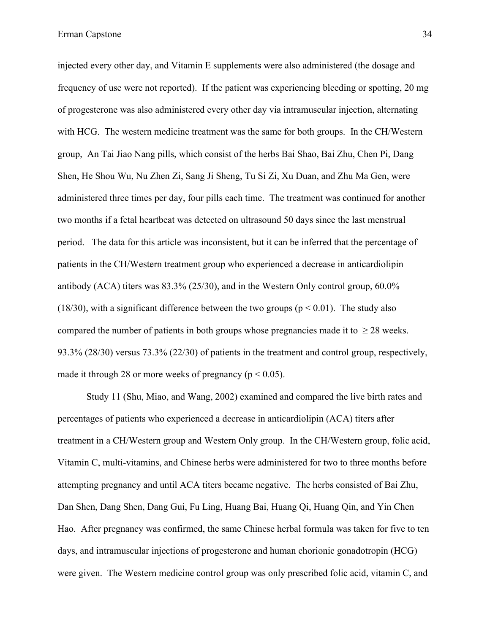injected every other day, and Vitamin E supplements were also administered (the dosage and frequency of use were not reported). If the patient was experiencing bleeding or spotting, 20 mg of progesterone was also administered every other day via intramuscular injection, alternating with HCG. The western medicine treatment was the same for both groups. In the CH/Western group, An Tai Jiao Nang pills, which consist of the herbs Bai Shao, Bai Zhu, Chen Pi, Dang Shen, He Shou Wu, Nu Zhen Zi, Sang Ji Sheng, Tu Si Zi, Xu Duan, and Zhu Ma Gen, were administered three times per day, four pills each time. The treatment was continued for another two months if a fetal heartbeat was detected on ultrasound 50 days since the last menstrual period. The data for this article was inconsistent, but it can be inferred that the percentage of patients in the CH/Western treatment group who experienced a decrease in anticardiolipin antibody (ACA) titers was 83.3% (25/30), and in the Western Only control group, 60.0% (18/30), with a significant difference between the two groups ( $p < 0.01$ ). The study also compared the number of patients in both groups whose pregnancies made it to  $> 28$  weeks. 93.3% (28/30) versus 73.3% (22/30) of patients in the treatment and control group, respectively,

made it through 28 or more weeks of pregnancy ( $p < 0.05$ ).

Study 11 (Shu, Miao, and Wang, 2002) examined and compared the live birth rates and percentages of patients who experienced a decrease in anticardiolipin (ACA) titers after treatment in a CH/Western group and Western Only group. In the CH/Western group, folic acid, Vitamin C, multi-vitamins, and Chinese herbs were administered for two to three months before attempting pregnancy and until ACA titers became negative. The herbs consisted of Bai Zhu, Dan Shen, Dang Shen, Dang Gui, Fu Ling, Huang Bai, Huang Qi, Huang Qin, and Yin Chen Hao. After pregnancy was confirmed, the same Chinese herbal formula was taken for five to ten days, and intramuscular injections of progesterone and human chorionic gonadotropin (HCG) were given. The Western medicine control group was only prescribed folic acid, vitamin C, and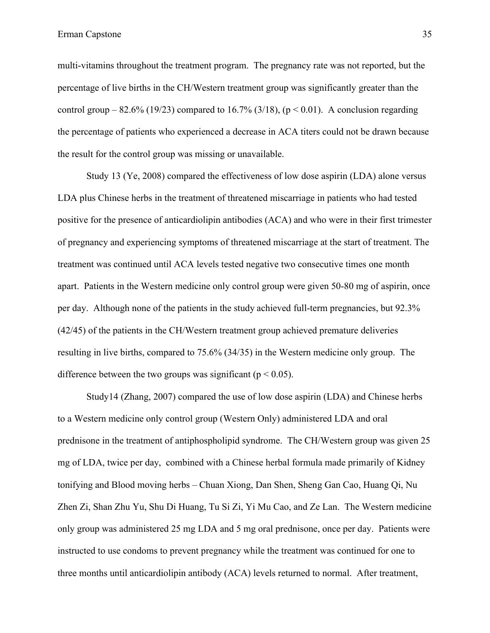multi-vitamins throughout the treatment program. The pregnancy rate was not reported, but the percentage of live births in the CH/Western treatment group was significantly greater than the control group – 82.6% (19/23) compared to 16.7% (3/18), ( $p < 0.01$ ). A conclusion regarding the percentage of patients who experienced a decrease in ACA titers could not be drawn because the result for the control group was missing or unavailable.

Study 13 (Ye, 2008) compared the effectiveness of low dose aspirin (LDA) alone versus LDA plus Chinese herbs in the treatment of threatened miscarriage in patients who had tested positive for the presence of anticardiolipin antibodies (ACA) and who were in their first trimester of pregnancy and experiencing symptoms of threatened miscarriage at the start of treatment. The treatment was continued until ACA levels tested negative two consecutive times one month apart. Patients in the Western medicine only control group were given 50-80 mg of aspirin, once per day. Although none of the patients in the study achieved full-term pregnancies, but 92.3% (42/45) of the patients in the CH/Western treatment group achieved premature deliveries resulting in live births, compared to 75.6% (34/35) in the Western medicine only group. The difference between the two groups was significant ( $p < 0.05$ ).

Study14 (Zhang, 2007) compared the use of low dose aspirin (LDA) and Chinese herbs to a Western medicine only control group (Western Only) administered LDA and oral prednisone in the treatment of antiphospholipid syndrome. The CH/Western group was given 25 mg of LDA, twice per day, combined with a Chinese herbal formula made primarily of Kidney tonifying and Blood moving herbs – Chuan Xiong, Dan Shen, Sheng Gan Cao, Huang Qi, Nu Zhen Zi, Shan Zhu Yu, Shu Di Huang, Tu Si Zi, Yi Mu Cao, and Ze Lan. The Western medicine only group was administered 25 mg LDA and 5 mg oral prednisone, once per day. Patients were instructed to use condoms to prevent pregnancy while the treatment was continued for one to three months until anticardiolipin antibody (ACA) levels returned to normal. After treatment,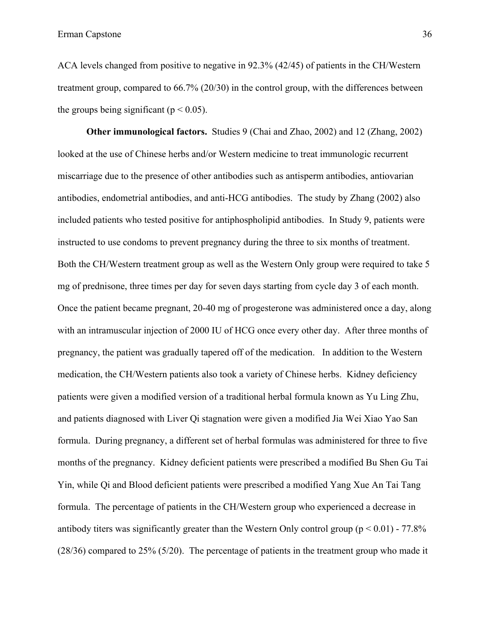ACA levels changed from positive to negative in 92.3% (42/45) of patients in the CH/Western treatment group, compared to 66.7% (20/30) in the control group, with the differences between the groups being significant ( $p < 0.05$ ).

**Other immunological factors.** Studies 9 (Chai and Zhao, 2002) and 12 (Zhang, 2002) looked at the use of Chinese herbs and/or Western medicine to treat immunologic recurrent miscarriage due to the presence of other antibodies such as antisperm antibodies, antiovarian antibodies, endometrial antibodies, and anti-HCG antibodies. The study by Zhang (2002) also included patients who tested positive for antiphospholipid antibodies. In Study 9, patients were instructed to use condoms to prevent pregnancy during the three to six months of treatment. Both the CH/Western treatment group as well as the Western Only group were required to take 5 mg of prednisone, three times per day for seven days starting from cycle day 3 of each month. Once the patient became pregnant, 20-40 mg of progesterone was administered once a day, along with an intramuscular injection of 2000 IU of HCG once every other day. After three months of pregnancy, the patient was gradually tapered off of the medication. In addition to the Western medication, the CH/Western patients also took a variety of Chinese herbs. Kidney deficiency patients were given a modified version of a traditional herbal formula known as Yu Ling Zhu, and patients diagnosed with Liver Qi stagnation were given a modified Jia Wei Xiao Yao San formula. During pregnancy, a different set of herbal formulas was administered for three to five months of the pregnancy. Kidney deficient patients were prescribed a modified Bu Shen Gu Tai Yin, while Qi and Blood deficient patients were prescribed a modified Yang Xue An Tai Tang formula. The percentage of patients in the CH/Western group who experienced a decrease in antibody titers was significantly greater than the Western Only control group ( $p \le 0.01$ ) - 77.8% (28/36) compared to 25% (5/20). The percentage of patients in the treatment group who made it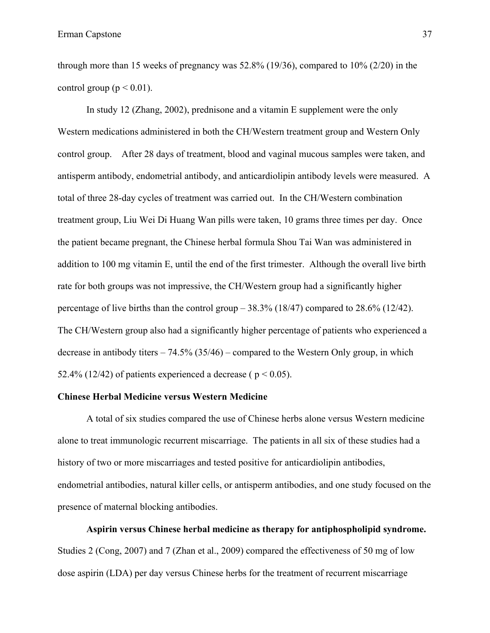through more than 15 weeks of pregnancy was 52.8% (19/36), compared to 10% (2/20) in the control group ( $p < 0.01$ ).

In study 12 (Zhang, 2002), prednisone and a vitamin E supplement were the only Western medications administered in both the CH/Western treatment group and Western Only control group. After 28 days of treatment, blood and vaginal mucous samples were taken, and antisperm antibody, endometrial antibody, and anticardiolipin antibody levels were measured. A total of three 28-day cycles of treatment was carried out. In the CH/Western combination treatment group, Liu Wei Di Huang Wan pills were taken, 10 grams three times per day. Once the patient became pregnant, the Chinese herbal formula Shou Tai Wan was administered in addition to 100 mg vitamin E, until the end of the first trimester. Although the overall live birth rate for both groups was not impressive, the CH/Western group had a significantly higher percentage of live births than the control group  $-38.3\%$  (18/47) compared to 28.6% (12/42). The CH/Western group also had a significantly higher percentage of patients who experienced a decrease in antibody titers  $-74.5\%$  (35/46) – compared to the Western Only group, in which 52.4% (12/42) of patients experienced a decrease ( $p < 0.05$ ).

## **Chinese Herbal Medicine versus Western Medicine**

A total of six studies compared the use of Chinese herbs alone versus Western medicine alone to treat immunologic recurrent miscarriage. The patients in all six of these studies had a history of two or more miscarriages and tested positive for anticardiolipin antibodies, endometrial antibodies, natural killer cells, or antisperm antibodies, and one study focused on the presence of maternal blocking antibodies.

**Aspirin versus Chinese herbal medicine as therapy for antiphospholipid syndrome.** Studies 2 (Cong, 2007) and 7 (Zhan et al., 2009) compared the effectiveness of 50 mg of low dose aspirin (LDA) per day versus Chinese herbs for the treatment of recurrent miscarriage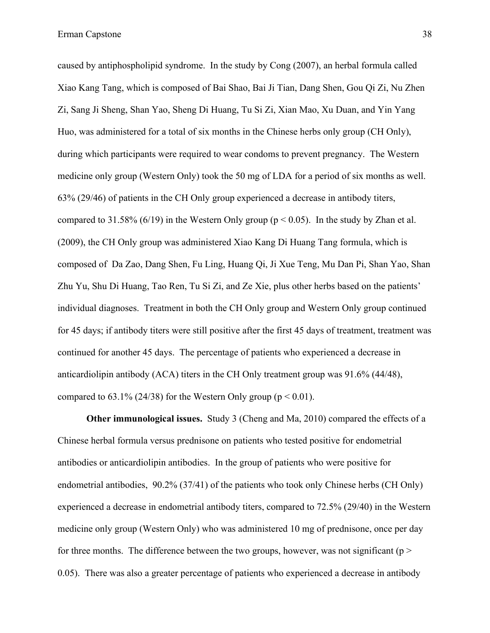caused by antiphospholipid syndrome. In the study by Cong (2007), an herbal formula called Xiao Kang Tang, which is composed of Bai Shao, Bai Ji Tian, Dang Shen, Gou Qi Zi, Nu Zhen Zi, Sang Ji Sheng, Shan Yao, Sheng Di Huang, Tu Si Zi, Xian Mao, Xu Duan, and Yin Yang Huo, was administered for a total of six months in the Chinese herbs only group (CH Only), during which participants were required to wear condoms to prevent pregnancy. The Western medicine only group (Western Only) took the 50 mg of LDA for a period of six months as well. 63% (29/46) of patients in the CH Only group experienced a decrease in antibody titers, compared to 31.58% (6/19) in the Western Only group ( $p < 0.05$ ). In the study by Zhan et al. (2009), the CH Only group was administered Xiao Kang Di Huang Tang formula, which is composed of Da Zao, Dang Shen, Fu Ling, Huang Qi, Ji Xue Teng, Mu Dan Pi, Shan Yao, Shan Zhu Yu, Shu Di Huang, Tao Ren, Tu Si Zi, and Ze Xie, plus other herbs based on the patients' individual diagnoses. Treatment in both the CH Only group and Western Only group continued for 45 days; if antibody titers were still positive after the first 45 days of treatment, treatment was continued for another 45 days. The percentage of patients who experienced a decrease in anticardiolipin antibody (ACA) titers in the CH Only treatment group was 91.6% (44/48), compared to  $63.1\%$  (24/38) for the Western Only group ( $p < 0.01$ ).

**Other immunological issues.** Study 3 (Cheng and Ma, 2010) compared the effects of a Chinese herbal formula versus prednisone on patients who tested positive for endometrial antibodies or anticardiolipin antibodies. In the group of patients who were positive for endometrial antibodies, 90.2% (37/41) of the patients who took only Chinese herbs (CH Only) experienced a decrease in endometrial antibody titers, compared to 72.5% (29/40) in the Western medicine only group (Western Only) who was administered 10 mg of prednisone, once per day for three months. The difference between the two groups, however, was not significant ( $p >$ 0.05). There was also a greater percentage of patients who experienced a decrease in antibody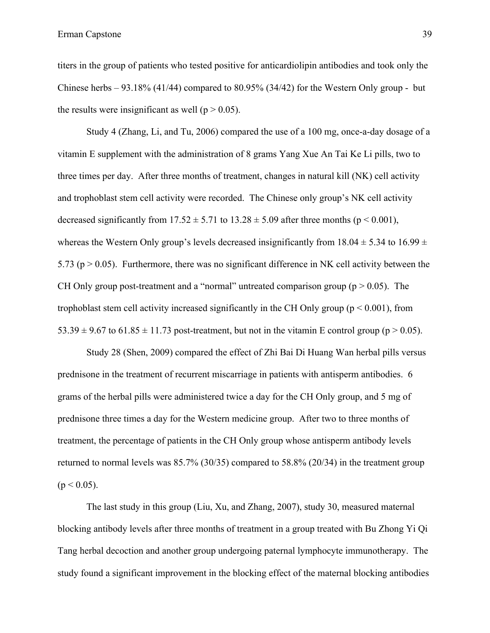titers in the group of patients who tested positive for anticardiolipin antibodies and took only the Chinese herbs  $-93.18\%$  (41/44) compared to 80.95% (34/42) for the Western Only group - but the results were insignificant as well ( $p > 0.05$ ).

Study 4 (Zhang, Li, and Tu, 2006) compared the use of a 100 mg, once-a-day dosage of a vitamin E supplement with the administration of 8 grams Yang Xue An Tai Ke Li pills, two to three times per day. After three months of treatment, changes in natural kill (NK) cell activity and trophoblast stem cell activity were recorded. The Chinese only group's NK cell activity decreased significantly from  $17.52 \pm 5.71$  to  $13.28 \pm 5.09$  after three months (p < 0.001), whereas the Western Only group's levels decreased insignificantly from  $18.04 \pm 5.34$  to  $16.99 \pm 1.0$ 5.73 ( $p > 0.05$ ). Furthermore, there was no significant difference in NK cell activity between the CH Only group post-treatment and a "normal" untreated comparison group ( $p > 0.05$ ). The trophoblast stem cell activity increased significantly in the CH Only group ( $p \le 0.001$ ), from  $53.39 \pm 9.67$  to  $61.85 \pm 11.73$  post-treatment, but not in the vitamin E control group (p > 0.05).

Study 28 (Shen, 2009) compared the effect of Zhi Bai Di Huang Wan herbal pills versus prednisone in the treatment of recurrent miscarriage in patients with antisperm antibodies. 6 grams of the herbal pills were administered twice a day for the CH Only group, and 5 mg of prednisone three times a day for the Western medicine group. After two to three months of treatment, the percentage of patients in the CH Only group whose antisperm antibody levels returned to normal levels was 85.7% (30/35) compared to 58.8% (20/34) in the treatment group  $(p < 0.05)$ .

The last study in this group (Liu, Xu, and Zhang, 2007), study 30, measured maternal blocking antibody levels after three months of treatment in a group treated with Bu Zhong Yi Qi Tang herbal decoction and another group undergoing paternal lymphocyte immunotherapy. The study found a significant improvement in the blocking effect of the maternal blocking antibodies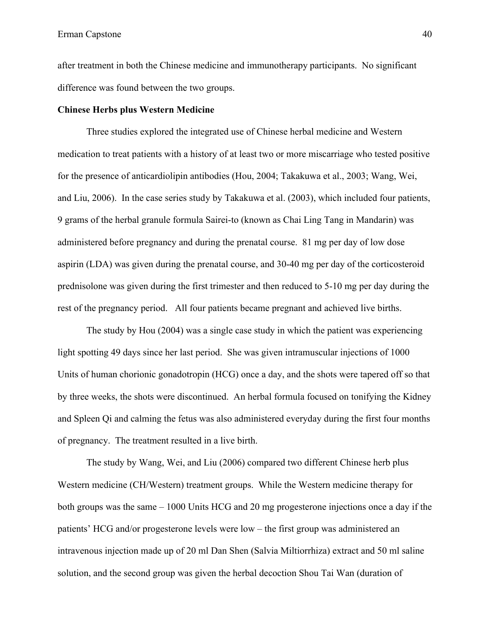after treatment in both the Chinese medicine and immunotherapy participants. No significant difference was found between the two groups.

#### **Chinese Herbs plus Western Medicine**

Three studies explored the integrated use of Chinese herbal medicine and Western medication to treat patients with a history of at least two or more miscarriage who tested positive for the presence of anticardiolipin antibodies (Hou, 2004; Takakuwa et al., 2003; Wang, Wei, and Liu, 2006). In the case series study by Takakuwa et al. (2003), which included four patients, 9 grams of the herbal granule formula Sairei-to (known as Chai Ling Tang in Mandarin) was administered before pregnancy and during the prenatal course. 81 mg per day of low dose aspirin (LDA) was given during the prenatal course, and 30-40 mg per day of the corticosteroid prednisolone was given during the first trimester and then reduced to 5-10 mg per day during the rest of the pregnancy period. All four patients became pregnant and achieved live births.

The study by Hou (2004) was a single case study in which the patient was experiencing light spotting 49 days since her last period. She was given intramuscular injections of 1000 Units of human chorionic gonadotropin (HCG) once a day, and the shots were tapered off so that by three weeks, the shots were discontinued. An herbal formula focused on tonifying the Kidney and Spleen Qi and calming the fetus was also administered everyday during the first four months of pregnancy. The treatment resulted in a live birth.

The study by Wang, Wei, and Liu (2006) compared two different Chinese herb plus Western medicine (CH/Western) treatment groups. While the Western medicine therapy for both groups was the same – 1000 Units HCG and 20 mg progesterone injections once a day if the patients' HCG and/or progesterone levels were low – the first group was administered an intravenous injection made up of 20 ml Dan Shen (Salvia Miltiorrhiza) extract and 50 ml saline solution, and the second group was given the herbal decoction Shou Tai Wan (duration of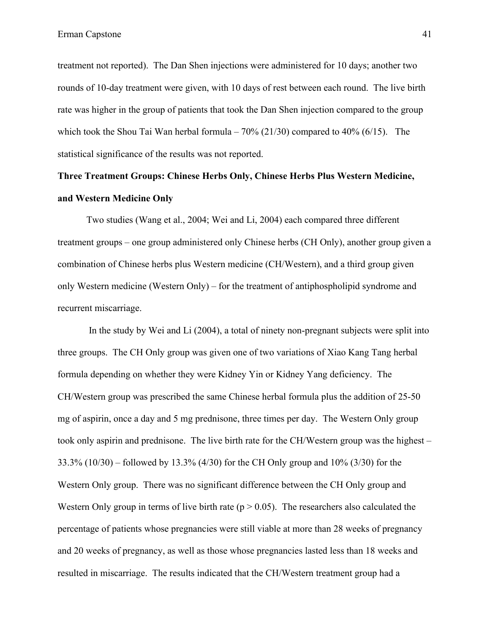treatment not reported). The Dan Shen injections were administered for 10 days; another two rounds of 10-day treatment were given, with 10 days of rest between each round. The live birth rate was higher in the group of patients that took the Dan Shen injection compared to the group which took the Shou Tai Wan herbal formula –  $70\%$  (21/30) compared to 40% (6/15). The statistical significance of the results was not reported.

# **Three Treatment Groups: Chinese Herbs Only, Chinese Herbs Plus Western Medicine, and Western Medicine Only**

Two studies (Wang et al., 2004; Wei and Li, 2004) each compared three different treatment groups – one group administered only Chinese herbs (CH Only), another group given a combination of Chinese herbs plus Western medicine (CH/Western), and a third group given only Western medicine (Western Only) – for the treatment of antiphospholipid syndrome and recurrent miscarriage.

In the study by Wei and Li (2004), a total of ninety non-pregnant subjects were split into three groups. The CH Only group was given one of two variations of Xiao Kang Tang herbal formula depending on whether they were Kidney Yin or Kidney Yang deficiency. The CH/Western group was prescribed the same Chinese herbal formula plus the addition of 25-50 mg of aspirin, once a day and 5 mg prednisone, three times per day. The Western Only group took only aspirin and prednisone. The live birth rate for the CH/Western group was the highest – 33.3% (10/30) – followed by 13.3% (4/30) for the CH Only group and 10% (3/30) for the Western Only group. There was no significant difference between the CH Only group and Western Only group in terms of live birth rate ( $p > 0.05$ ). The researchers also calculated the percentage of patients whose pregnancies were still viable at more than 28 weeks of pregnancy and 20 weeks of pregnancy, as well as those whose pregnancies lasted less than 18 weeks and resulted in miscarriage. The results indicated that the CH/Western treatment group had a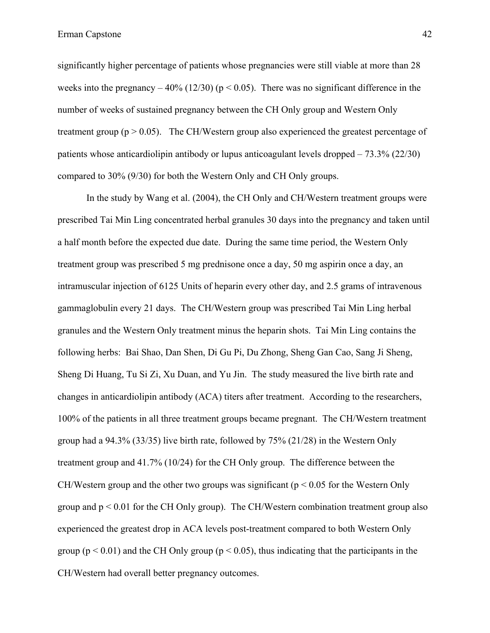significantly higher percentage of patients whose pregnancies were still viable at more than 28 weeks into the pregnancy  $-40\%$  (12/30) (p < 0.05). There was no significant difference in the number of weeks of sustained pregnancy between the CH Only group and Western Only treatment group ( $p > 0.05$ ). The CH/Western group also experienced the greatest percentage of patients whose anticardiolipin antibody or lupus anticoagulant levels dropped – 73.3% (22/30) compared to 30% (9/30) for both the Western Only and CH Only groups.

In the study by Wang et al. (2004), the CH Only and CH/Western treatment groups were prescribed Tai Min Ling concentrated herbal granules 30 days into the pregnancy and taken until a half month before the expected due date. During the same time period, the Western Only treatment group was prescribed 5 mg prednisone once a day, 50 mg aspirin once a day, an intramuscular injection of 6125 Units of heparin every other day, and 2.5 grams of intravenous gammaglobulin every 21 days. The CH/Western group was prescribed Tai Min Ling herbal granules and the Western Only treatment minus the heparin shots. Tai Min Ling contains the following herbs: Bai Shao, Dan Shen, Di Gu Pi, Du Zhong, Sheng Gan Cao, Sang Ji Sheng, Sheng Di Huang, Tu Si Zi, Xu Duan, and Yu Jin. The study measured the live birth rate and changes in anticardiolipin antibody (ACA) titers after treatment. According to the researchers, 100% of the patients in all three treatment groups became pregnant. The CH/Western treatment group had a 94.3% (33/35) live birth rate, followed by 75% (21/28) in the Western Only treatment group and 41.7% (10/24) for the CH Only group. The difference between the CH/Western group and the other two groups was significant ( $p < 0.05$  for the Western Only group and  $p < 0.01$  for the CH Only group). The CH/Western combination treatment group also experienced the greatest drop in ACA levels post-treatment compared to both Western Only group ( $p < 0.01$ ) and the CH Only group ( $p < 0.05$ ), thus indicating that the participants in the CH/Western had overall better pregnancy outcomes.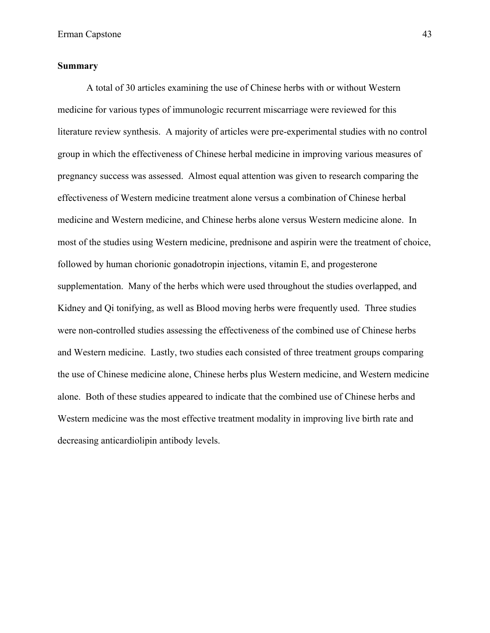## **Summary**

A total of 30 articles examining the use of Chinese herbs with or without Western medicine for various types of immunologic recurrent miscarriage were reviewed for this literature review synthesis. A majority of articles were pre-experimental studies with no control group in which the effectiveness of Chinese herbal medicine in improving various measures of pregnancy success was assessed. Almost equal attention was given to research comparing the effectiveness of Western medicine treatment alone versus a combination of Chinese herbal medicine and Western medicine, and Chinese herbs alone versus Western medicine alone. In most of the studies using Western medicine, prednisone and aspirin were the treatment of choice, followed by human chorionic gonadotropin injections, vitamin E, and progesterone supplementation. Many of the herbs which were used throughout the studies overlapped, and Kidney and Qi tonifying, as well as Blood moving herbs were frequently used. Three studies were non-controlled studies assessing the effectiveness of the combined use of Chinese herbs and Western medicine. Lastly, two studies each consisted of three treatment groups comparing the use of Chinese medicine alone, Chinese herbs plus Western medicine, and Western medicine alone. Both of these studies appeared to indicate that the combined use of Chinese herbs and Western medicine was the most effective treatment modality in improving live birth rate and decreasing anticardiolipin antibody levels.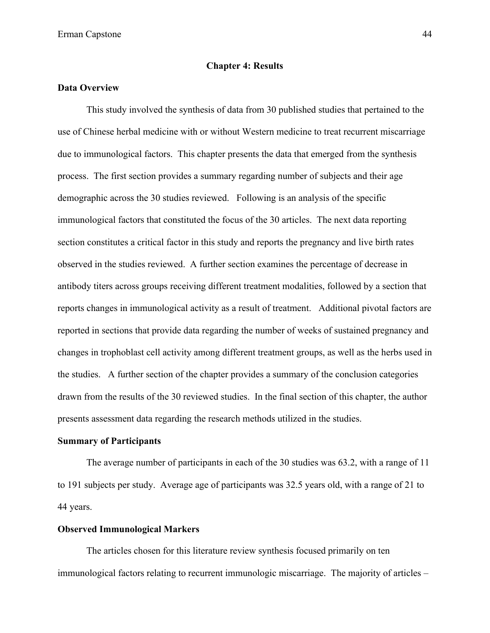#### **Chapter 4: Results**

### **Data Overview**

This study involved the synthesis of data from 30 published studies that pertained to the use of Chinese herbal medicine with or without Western medicine to treat recurrent miscarriage due to immunological factors. This chapter presents the data that emerged from the synthesis process. The first section provides a summary regarding number of subjects and their age demographic across the 30 studies reviewed. Following is an analysis of the specific immunological factors that constituted the focus of the 30 articles. The next data reporting section constitutes a critical factor in this study and reports the pregnancy and live birth rates observed in the studies reviewed. A further section examines the percentage of decrease in antibody titers across groups receiving different treatment modalities, followed by a section that reports changes in immunological activity as a result of treatment. Additional pivotal factors are reported in sections that provide data regarding the number of weeks of sustained pregnancy and changes in trophoblast cell activity among different treatment groups, as well as the herbs used in the studies. A further section of the chapter provides a summary of the conclusion categories drawn from the results of the 30 reviewed studies. In the final section of this chapter, the author presents assessment data regarding the research methods utilized in the studies.

#### **Summary of Participants**

The average number of participants in each of the 30 studies was 63.2, with a range of 11 to 191 subjects per study. Average age of participants was 32.5 years old, with a range of 21 to 44 years.

## **Observed Immunological Markers**

The articles chosen for this literature review synthesis focused primarily on ten immunological factors relating to recurrent immunologic miscarriage. The majority of articles –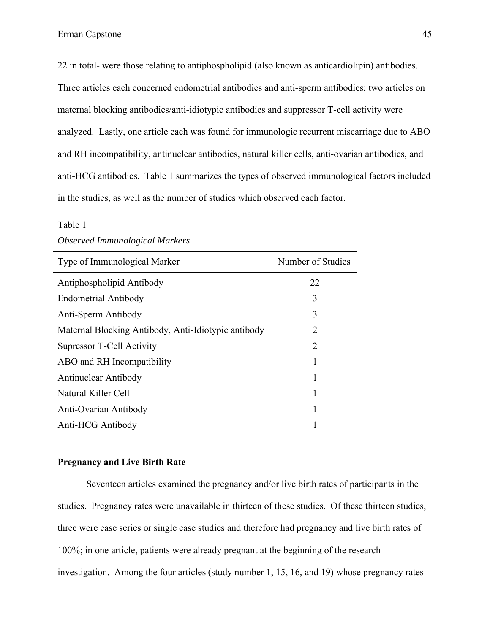22 in total- were those relating to antiphospholipid (also known as anticardiolipin) antibodies. Three articles each concerned endometrial antibodies and anti-sperm antibodies; two articles on maternal blocking antibodies/anti-idiotypic antibodies and suppressor T-cell activity were analyzed. Lastly, one article each was found for immunologic recurrent miscarriage due to ABO and RH incompatibility, antinuclear antibodies, natural killer cells, anti-ovarian antibodies, and anti-HCG antibodies. Table 1 summarizes the types of observed immunological factors included in the studies, as well as the number of studies which observed each factor.

#### Table 1

| Type of Immunological Marker                        | Number of Studies |  |  |
|-----------------------------------------------------|-------------------|--|--|
| Antiphospholipid Antibody                           | 22                |  |  |
| <b>Endometrial Antibody</b>                         | 3                 |  |  |
| Anti-Sperm Antibody                                 | 3                 |  |  |
| Maternal Blocking Antibody, Anti-Idiotypic antibody | 2                 |  |  |
| Supressor T-Cell Activity                           | 2                 |  |  |
| ABO and RH Incompatibility                          |                   |  |  |
| <b>Antinuclear Antibody</b>                         | 1                 |  |  |
| Natural Killer Cell                                 |                   |  |  |
| Anti-Ovarian Antibody                               |                   |  |  |
| Anti-HCG Antibody                                   |                   |  |  |

#### *Observed Immunological Markers*

## **Pregnancy and Live Birth Rate**

Seventeen articles examined the pregnancy and/or live birth rates of participants in the studies. Pregnancy rates were unavailable in thirteen of these studies. Of these thirteen studies, three were case series or single case studies and therefore had pregnancy and live birth rates of 100%; in one article, patients were already pregnant at the beginning of the research investigation. Among the four articles (study number 1, 15, 16, and 19) whose pregnancy rates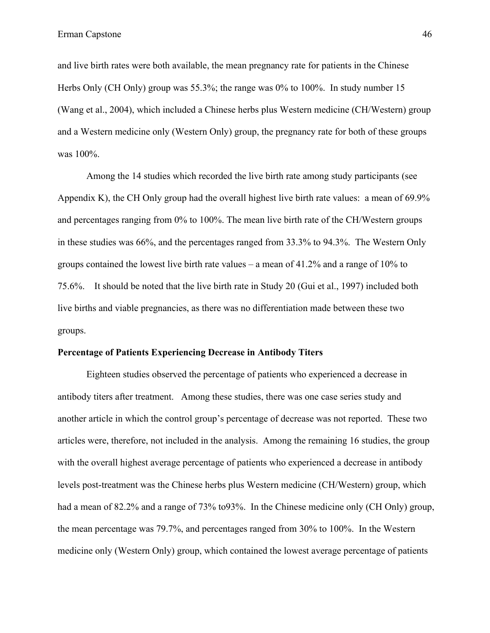and live birth rates were both available, the mean pregnancy rate for patients in the Chinese Herbs Only (CH Only) group was 55.3%; the range was 0% to 100%. In study number 15 (Wang et al., 2004), which included a Chinese herbs plus Western medicine (CH/Western) group and a Western medicine only (Western Only) group, the pregnancy rate for both of these groups was 100%.

Among the 14 studies which recorded the live birth rate among study participants (see Appendix K), the CH Only group had the overall highest live birth rate values: a mean of 69.9% and percentages ranging from 0% to 100%. The mean live birth rate of the CH/Western groups in these studies was 66%, and the percentages ranged from 33.3% to 94.3%. The Western Only groups contained the lowest live birth rate values – a mean of 41.2% and a range of 10% to 75.6%. It should be noted that the live birth rate in Study 20 (Gui et al., 1997) included both live births and viable pregnancies, as there was no differentiation made between these two groups.

#### **Percentage of Patients Experiencing Decrease in Antibody Titers**

Eighteen studies observed the percentage of patients who experienced a decrease in antibody titers after treatment. Among these studies, there was one case series study and another article in which the control group's percentage of decrease was not reported. These two articles were, therefore, not included in the analysis. Among the remaining 16 studies, the group with the overall highest average percentage of patients who experienced a decrease in antibody levels post-treatment was the Chinese herbs plus Western medicine (CH/Western) group, which had a mean of 82.2% and a range of 73% to93%. In the Chinese medicine only (CH Only) group, the mean percentage was 79.7%, and percentages ranged from 30% to 100%. In the Western medicine only (Western Only) group, which contained the lowest average percentage of patients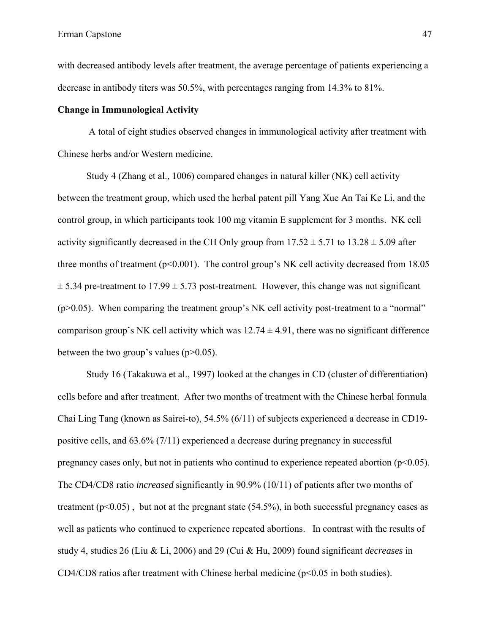with decreased antibody levels after treatment, the average percentage of patients experiencing a decrease in antibody titers was 50.5%, with percentages ranging from 14.3% to 81%.

## **Change in Immunological Activity**

A total of eight studies observed changes in immunological activity after treatment with Chinese herbs and/or Western medicine.

Study 4 (Zhang et al., 1006) compared changes in natural killer (NK) cell activity between the treatment group, which used the herbal patent pill Yang Xue An Tai Ke Li, and the control group, in which participants took 100 mg vitamin E supplement for 3 months. NK cell activity significantly decreased in the CH Only group from  $17.52 \pm 5.71$  to  $13.28 \pm 5.09$  after three months of treatment ( $p<0.001$ ). The control group's NK cell activity decreased from 18.05  $\pm$  5.34 pre-treatment to 17.99  $\pm$  5.73 post-treatment. However, this change was not significant  $(p>0.05)$ . When comparing the treatment group's NK cell activity post-treatment to a "normal" comparison group's NK cell activity which was  $12.74 \pm 4.91$ , there was no significant difference between the two group's values  $(p>0.05)$ .

Study 16 (Takakuwa et al., 1997) looked at the changes in CD (cluster of differentiation) cells before and after treatment. After two months of treatment with the Chinese herbal formula Chai Ling Tang (known as Sairei-to), 54.5% (6/11) of subjects experienced a decrease in CD19 positive cells, and 63.6% (7/11) experienced a decrease during pregnancy in successful pregnancy cases only, but not in patients who continud to experience repeated abortion ( $p<0.05$ ). The CD4/CD8 ratio *increased* significantly in 90.9% (10/11) of patients after two months of treatment  $(p<0.05)$ , but not at the pregnant state  $(54.5\%)$ , in both successful pregnancy cases as well as patients who continued to experience repeated abortions. In contrast with the results of study 4, studies 26 (Liu & Li, 2006) and 29 (Cui & Hu, 2009) found significant *decreases* in CD4/CD8 ratios after treatment with Chinese herbal medicine ( $p$ <0.05 in both studies).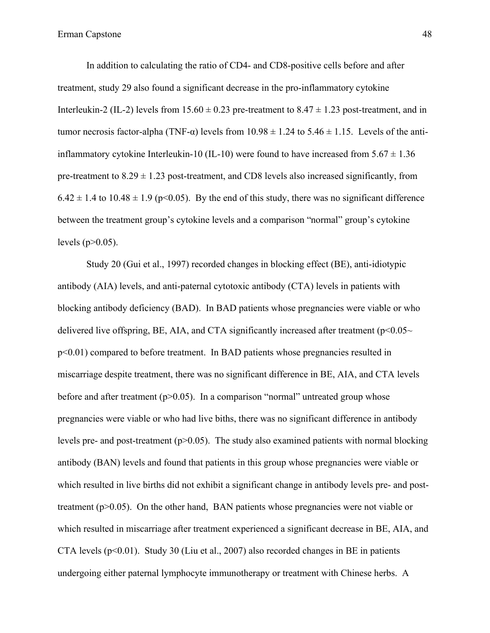In addition to calculating the ratio of CD4- and CD8-positive cells before and after treatment, study 29 also found a significant decrease in the pro-inflammatory cytokine Interleukin-2 (IL-2) levels from  $15.60 \pm 0.23$  pre-treatment to  $8.47 \pm 1.23$  post-treatment, and in tumor necrosis factor-alpha (TNF- $\alpha$ ) levels from 10.98  $\pm$  1.24 to 5.46  $\pm$  1.15. Levels of the antiinflammatory cytokine Interleukin-10 (IL-10) were found to have increased from  $5.67 \pm 1.36$ pre-treatment to  $8.29 \pm 1.23$  post-treatment, and CD8 levels also increased significantly, from  $6.42 \pm 1.4$  to  $10.48 \pm 1.9$  (p<0.05). By the end of this study, there was no significant difference between the treatment group's cytokine levels and a comparison "normal" group's cytokine levels ( $p > 0.05$ ).

Study 20 (Gui et al., 1997) recorded changes in blocking effect (BE), anti-idiotypic antibody (AIA) levels, and anti-paternal cytotoxic antibody (CTA) levels in patients with blocking antibody deficiency (BAD). In BAD patients whose pregnancies were viable or who delivered live offspring, BE, AIA, and CTA significantly increased after treatment ( $p<0.05\sim$ p<0.01) compared to before treatment. In BAD patients whose pregnancies resulted in miscarriage despite treatment, there was no significant difference in BE, AIA, and CTA levels before and after treatment  $(p>0.05)$ . In a comparison "normal" untreated group whose pregnancies were viable or who had live biths, there was no significant difference in antibody levels pre- and post-treatment ( $p>0.05$ ). The study also examined patients with normal blocking antibody (BAN) levels and found that patients in this group whose pregnancies were viable or which resulted in live births did not exhibit a significant change in antibody levels pre- and posttreatment (p>0.05). On the other hand, BAN patients whose pregnancies were not viable or which resulted in miscarriage after treatment experienced a significant decrease in BE, AIA, and CTA levels  $(p<0.01)$ . Study 30 (Liu et al., 2007) also recorded changes in BE in patients undergoing either paternal lymphocyte immunotherapy or treatment with Chinese herbs. A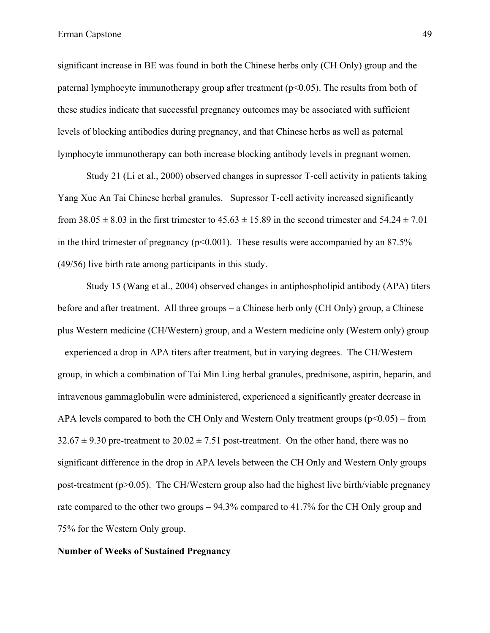significant increase in BE was found in both the Chinese herbs only (CH Only) group and the paternal lymphocyte immunotherapy group after treatment (p<0.05). The results from both of these studies indicate that successful pregnancy outcomes may be associated with sufficient levels of blocking antibodies during pregnancy, and that Chinese herbs as well as paternal lymphocyte immunotherapy can both increase blocking antibody levels in pregnant women.

Study 21 (Li et al., 2000) observed changes in supressor T-cell activity in patients taking Yang Xue An Tai Chinese herbal granules. Supressor T-cell activity increased significantly from  $38.05 \pm 8.03$  in the first trimester to  $45.63 \pm 15.89$  in the second trimester and  $54.24 \pm 7.01$ in the third trimester of pregnancy ( $p<0.001$ ). These results were accompanied by an 87.5% (49/56) live birth rate among participants in this study.

Study 15 (Wang et al., 2004) observed changes in antiphospholipid antibody (APA) titers before and after treatment. All three groups – a Chinese herb only (CH Only) group, a Chinese plus Western medicine (CH/Western) group, and a Western medicine only (Western only) group – experienced a drop in APA titers after treatment, but in varying degrees. The CH/Western group, in which a combination of Tai Min Ling herbal granules, prednisone, aspirin, heparin, and intravenous gammaglobulin were administered, experienced a significantly greater decrease in APA levels compared to both the CH Only and Western Only treatment groups  $(p<0.05)$  – from  $32.67 \pm 9.30$  pre-treatment to  $20.02 \pm 7.51$  post-treatment. On the other hand, there was no significant difference in the drop in APA levels between the CH Only and Western Only groups post-treatment ( $p>0.05$ ). The CH/Western group also had the highest live birth/viable pregnancy rate compared to the other two groups – 94.3% compared to 41.7% for the CH Only group and 75% for the Western Only group.

## **Number of Weeks of Sustained Pregnancy**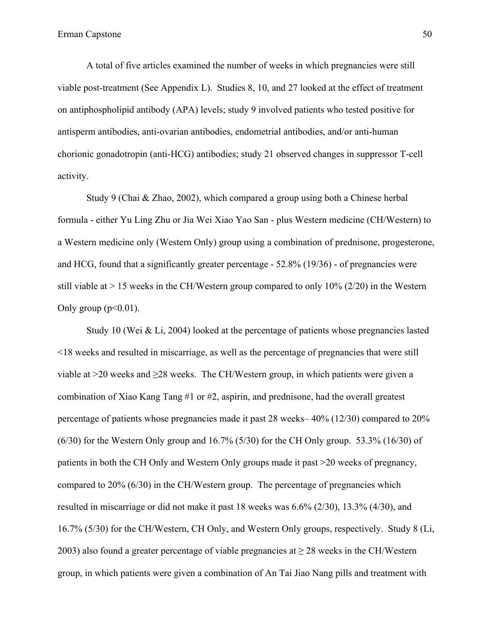A total of five articles examined the number of weeks in which pregnancies were still viable post-treatment (See Appendix L). Studies 8, 10, and 27 looked at the effect of treatment on antiphospholipid antibody (APA) levels; study 9 involved patients who tested positive for antisperm antibodies, anti-ovarian antibodies, endometrial antibodies, and/or anti-human chorionic gonadotropin (anti-HCG) antibodies; study 21 observed changes in suppressor T-cell activity.

Study 9 (Chai & Zhao, 2002), which compared a group using both a Chinese herbal formula - either Yu Ling Zhu or Jia Wei Xiao Yao San - plus Western medicine (CH/Western) to a Western medicine only (Western Only) group using a combination of prednisone, progesterone, and HCG, found that a significantly greater percentage - 52.8% (19/36) - of pregnancies were still viable at  $> 15$  weeks in the CH/Western group compared to only 10% (2/20) in the Western Only group  $(p<0.01)$ .

Study 10 (Wei & Li, 2004) looked at the percentage of patients whose pregnancies lasted <18 weeks and resulted in miscarriage, as well as the percentage of pregnancies that were still viable at  $>$ 20 weeks and  $\geq$ 28 weeks. The CH/Western group, in which patients were given a combination of Xiao Kang Tang #1 or #2, aspirin, and prednisone, had the overall greatest percentage of patients whose pregnancies made it past 28 weeks– 40% (12/30) compared to 20%  $(6/30)$  for the Western Only group and  $16.7\%$  (5/30) for the CH Only group. 53.3% (16/30) of patients in both the CH Only and Western Only groups made it past >20 weeks of pregnancy, compared to 20% (6/30) in the CH/Western group. The percentage of pregnancies which resulted in miscarriage or did not make it past 18 weeks was 6.6% (2/30), 13.3% (4/30), and 16.7% (5/30) for the CH/Western, CH Only, and Western Only groups, respectively. Study 8 (Li, 2003) also found a greater percentage of viable pregnancies at ≥ 28 weeks in the CH/Western group, in which patients were given a combination of An Tai Jiao Nang pills and treatment with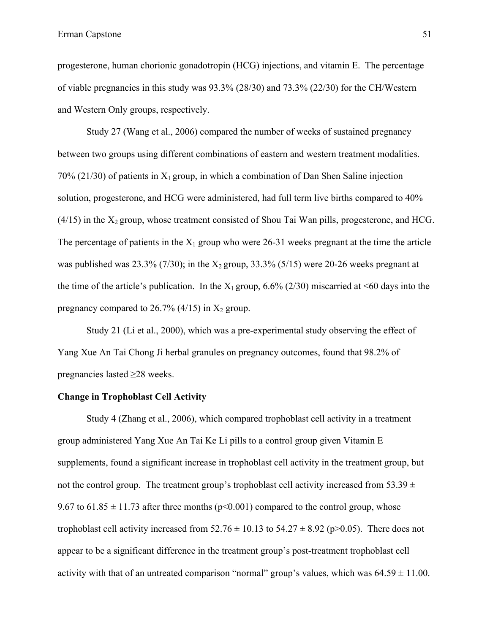progesterone, human chorionic gonadotropin (HCG) injections, and vitamin E. The percentage of viable pregnancies in this study was 93.3% (28/30) and 73.3% (22/30) for the CH/Western and Western Only groups, respectively.

Study 27 (Wang et al., 2006) compared the number of weeks of sustained pregnancy between two groups using different combinations of eastern and western treatment modalities. 70% (21/30) of patients in  $X_1$  group, in which a combination of Dan Shen Saline injection solution, progesterone, and HCG were administered, had full term live births compared to 40%  $(4/15)$  in the  $X_2$  group, whose treatment consisted of Shou Tai Wan pills, progesterone, and HCG. The percentage of patients in the  $X_1$  group who were 26-31 weeks pregnant at the time the article was published was  $23.3\%$  (7/30); in the  $X_2$  group, 33.3% (5/15) were 20-26 weeks pregnant at the time of the article's publication. In the  $X_1$  group, 6.6% (2/30) miscarried at <60 days into the pregnancy compared to 26.7% (4/15) in  $X_2$  group.

Study 21 (Li et al., 2000), which was a pre-experimental study observing the effect of Yang Xue An Tai Chong Ji herbal granules on pregnancy outcomes, found that 98.2% of pregnancies lasted ≥28 weeks.

## **Change in Trophoblast Cell Activity**

Study 4 (Zhang et al., 2006), which compared trophoblast cell activity in a treatment group administered Yang Xue An Tai Ke Li pills to a control group given Vitamin E supplements, found a significant increase in trophoblast cell activity in the treatment group, but not the control group. The treatment group's trophoblast cell activity increased from 53.39  $\pm$ 9.67 to 61.85  $\pm$  11.73 after three months (p<0.001) compared to the control group, whose trophoblast cell activity increased from  $52.76 \pm 10.13$  to  $54.27 \pm 8.92$  (p $>0.05$ ). There does not appear to be a significant difference in the treatment group's post-treatment trophoblast cell activity with that of an untreated comparison "normal" group's values, which was  $64.59 \pm 11.00$ .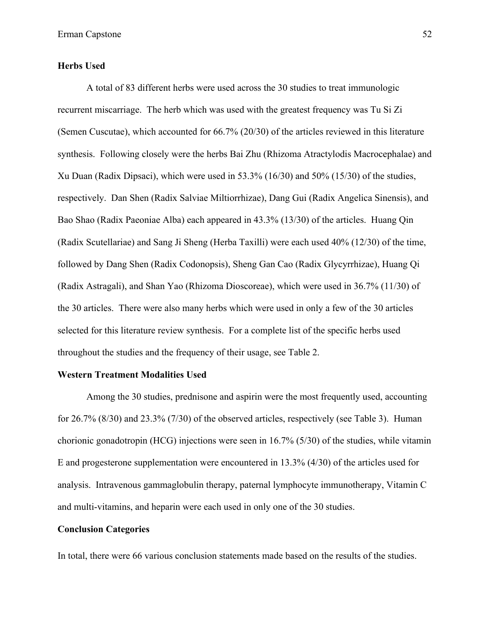## **Herbs Used**

A total of 83 different herbs were used across the 30 studies to treat immunologic recurrent miscarriage. The herb which was used with the greatest frequency was Tu Si Zi (Semen Cuscutae), which accounted for 66.7% (20/30) of the articles reviewed in this literature synthesis. Following closely were the herbs Bai Zhu (Rhizoma Atractylodis Macrocephalae) and Xu Duan (Radix Dipsaci), which were used in 53.3% (16/30) and 50% (15/30) of the studies, respectively. Dan Shen (Radix Salviae Miltiorrhizae), Dang Gui (Radix Angelica Sinensis), and Bao Shao (Radix Paeoniae Alba) each appeared in 43.3% (13/30) of the articles. Huang Qin (Radix Scutellariae) and Sang Ji Sheng (Herba Taxilli) were each used 40% (12/30) of the time, followed by Dang Shen (Radix Codonopsis), Sheng Gan Cao (Radix Glycyrrhizae), Huang Qi (Radix Astragali), and Shan Yao (Rhizoma Dioscoreae), which were used in 36.7% (11/30) of the 30 articles. There were also many herbs which were used in only a few of the 30 articles selected for this literature review synthesis. For a complete list of the specific herbs used throughout the studies and the frequency of their usage, see Table 2.

#### **Western Treatment Modalities Used**

Among the 30 studies, prednisone and aspirin were the most frequently used, accounting for 26.7% (8/30) and 23.3% (7/30) of the observed articles, respectively (see Table 3). Human chorionic gonadotropin (HCG) injections were seen in 16.7% (5/30) of the studies, while vitamin E and progesterone supplementation were encountered in 13.3% (4/30) of the articles used for analysis. Intravenous gammaglobulin therapy, paternal lymphocyte immunotherapy, Vitamin C and multi-vitamins, and heparin were each used in only one of the 30 studies.

#### **Conclusion Categories**

In total, there were 66 various conclusion statements made based on the results of the studies.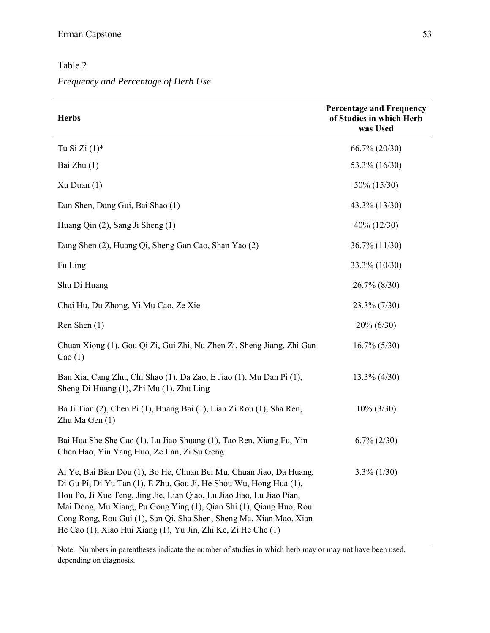## Table 2

*Frequency and Percentage of Herb Use*

| <b>Herbs</b>                                                                                                                                                                                                                                                                                                                                                                                                                   | <b>Percentage and Frequency</b><br>of Studies in which Herb<br>was Used |  |  |  |
|--------------------------------------------------------------------------------------------------------------------------------------------------------------------------------------------------------------------------------------------------------------------------------------------------------------------------------------------------------------------------------------------------------------------------------|-------------------------------------------------------------------------|--|--|--|
| Tu Si Zi $(1)^*$                                                                                                                                                                                                                                                                                                                                                                                                               | 66.7% (20/30)                                                           |  |  |  |
| Bai Zhu (1)                                                                                                                                                                                                                                                                                                                                                                                                                    | 53.3% (16/30)                                                           |  |  |  |
| $Xu$ Duan $(1)$                                                                                                                                                                                                                                                                                                                                                                                                                | 50% (15/30)                                                             |  |  |  |
| Dan Shen, Dang Gui, Bai Shao (1)                                                                                                                                                                                                                                                                                                                                                                                               | 43.3% (13/30)                                                           |  |  |  |
| Huang Qin (2), Sang Ji Sheng (1)                                                                                                                                                                                                                                                                                                                                                                                               | $40\% (12/30)$                                                          |  |  |  |
| Dang Shen (2), Huang Qi, Sheng Gan Cao, Shan Yao (2)                                                                                                                                                                                                                                                                                                                                                                           | 36.7% (11/30)                                                           |  |  |  |
| Fu Ling                                                                                                                                                                                                                                                                                                                                                                                                                        | 33.3% (10/30)                                                           |  |  |  |
| Shu Di Huang                                                                                                                                                                                                                                                                                                                                                                                                                   | 26.7% (8/30)                                                            |  |  |  |
| Chai Hu, Du Zhong, Yi Mu Cao, Ze Xie                                                                                                                                                                                                                                                                                                                                                                                           | 23.3% (7/30)                                                            |  |  |  |
| Ren Shen (1)                                                                                                                                                                                                                                                                                                                                                                                                                   | $20\% (6/30)$                                                           |  |  |  |
| Chuan Xiong (1), Gou Qi Zi, Gui Zhi, Nu Zhen Zi, Sheng Jiang, Zhi Gan<br>Cao $(1)$                                                                                                                                                                                                                                                                                                                                             | $16.7\% (5/30)$                                                         |  |  |  |
| Ban Xia, Cang Zhu, Chi Shao (1), Da Zao, E Jiao (1), Mu Dan Pi (1),<br>Sheng Di Huang (1), Zhi Mu (1), Zhu Ling                                                                                                                                                                                                                                                                                                                | $13.3\%$ (4/30)                                                         |  |  |  |
| Ba Ji Tian (2), Chen Pi (1), Huang Bai (1), Lian Zi Rou (1), Sha Ren,<br>Zhu Ma Gen (1)                                                                                                                                                                                                                                                                                                                                        | $10\% (3/30)$                                                           |  |  |  |
| Bai Hua She She Cao (1), Lu Jiao Shuang (1), Tao Ren, Xiang Fu, Yin<br>Chen Hao, Yin Yang Huo, Ze Lan, Zi Su Geng                                                                                                                                                                                                                                                                                                              | $6.7\%$ (2/30)                                                          |  |  |  |
| Ai Ye, Bai Bian Dou (1), Bo He, Chuan Bei Mu, Chuan Jiao, Da Huang,<br>Di Gu Pi, Di Yu Tan (1), E Zhu, Gou Ji, He Shou Wu, Hong Hua (1),<br>Hou Po, Ji Xue Teng, Jing Jie, Lian Qiao, Lu Jiao Jiao, Lu Jiao Pian,<br>Mai Dong, Mu Xiang, Pu Gong Ying (1), Qian Shi (1), Qiang Huo, Rou<br>Cong Rong, Rou Gui (1), San Qi, Sha Shen, Sheng Ma, Xian Mao, Xian<br>He Cao (1), Xiao Hui Xiang (1), Yu Jin, Zhi Ke, Zi He Che (1) | $3.3\%$ (1/30)                                                          |  |  |  |

Note. Numbers in parentheses indicate the number of studies in which herb may or may not have been used, depending on diagnosis.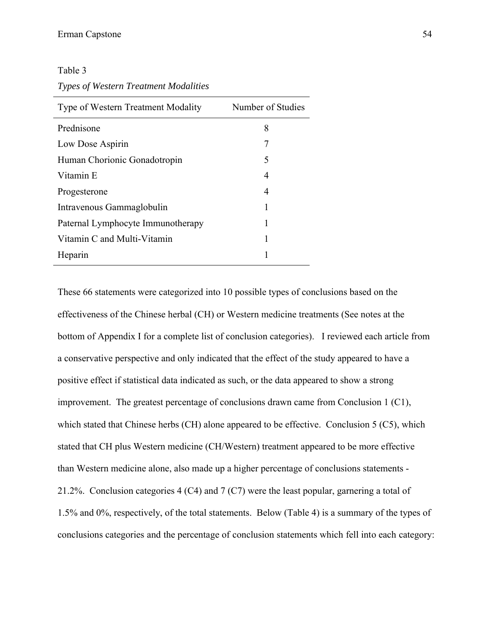Table 3

*Types of Western Treatment Modalities*

| Type of Western Treatment Modality | Number of Studies |
|------------------------------------|-------------------|
| Prednisone                         | 8                 |
| Low Dose Aspirin                   | 7                 |
| Human Chorionic Gonadotropin       | 5                 |
| Vitamin E                          | 4                 |
| Progesterone                       | 4                 |
| Intravenous Gammaglobulin          | 1                 |
| Paternal Lymphocyte Immunotherapy  | 1                 |
| Vitamin C and Multi-Vitamin        | 1                 |
| Heparin                            | 1                 |

These 66 statements were categorized into 10 possible types of conclusions based on the effectiveness of the Chinese herbal (CH) or Western medicine treatments (See notes at the bottom of Appendix I for a complete list of conclusion categories). I reviewed each article from a conservative perspective and only indicated that the effect of the study appeared to have a positive effect if statistical data indicated as such, or the data appeared to show a strong improvement. The greatest percentage of conclusions drawn came from Conclusion 1 (C1), which stated that Chinese herbs (CH) alone appeared to be effective. Conclusion 5 (C5), which stated that CH plus Western medicine (CH/Western) treatment appeared to be more effective than Western medicine alone, also made up a higher percentage of conclusions statements - 21.2%. Conclusion categories 4 (C4) and 7 (C7) were the least popular, garnering a total of 1.5% and 0%, respectively, of the total statements. Below (Table 4) is a summary of the types of conclusions categories and the percentage of conclusion statements which fell into each category: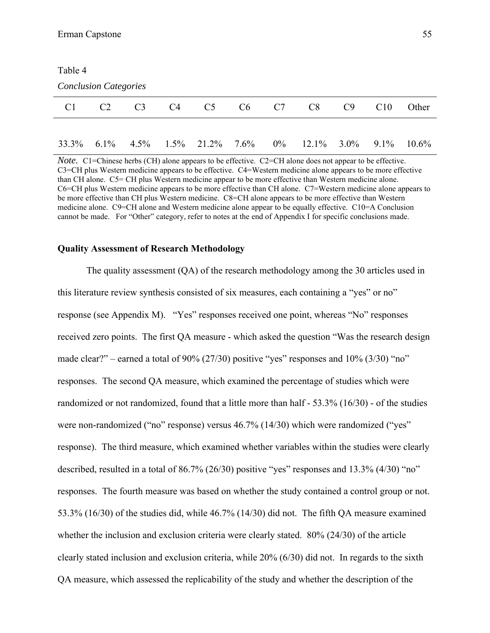| Table 4                      |                |                |                |                                  |                |       |          |         |         |          |  |
|------------------------------|----------------|----------------|----------------|----------------------------------|----------------|-------|----------|---------|---------|----------|--|
| <b>Conclusion Categories</b> |                |                |                |                                  |                |       |          |         |         |          |  |
| C <sub>1</sub>               | C <sub>2</sub> | C <sub>3</sub> | C <sub>4</sub> | C <sub>5</sub>                   | C <sub>6</sub> | C7    | C8       | C9      | C10     | Other    |  |
|                              |                |                |                |                                  |                |       |          |         |         |          |  |
| 33.3%                        | $6.1\%$        |                |                | $4.5\%$ $1.5\%$ $21.2\%$ $7.6\%$ |                | $0\%$ | $12.1\%$ | $3.0\%$ | $9.1\%$ | $10.6\%$ |  |

*Note.* C1=Chinese herbs (CH) alone appears to be effective. C2=CH alone does not appear to be effective. C3=CH plus Western medicine appears to be effective. C4=Western medicine alone appears to be more effective than CH alone. C5= CH plus Western medicine appear to be more effective than Western medicine alone. C6=CH plus Western medicine appears to be more effective than CH alone. C7=Western medicine alone appears to be more effective than CH plus Western medicine. C8=CH alone appears to be more effective than Western medicine alone. C9=CH alone and Western medicine alone appear to be equally effective. C10=A Conclusion cannot be made. For "Other" category, refer to notes at the end of Appendix I for specific conclusions made.

#### **Quality Assessment of Research Methodology**

The quality assessment (QA) of the research methodology among the 30 articles used in this literature review synthesis consisted of six measures, each containing a "yes" or no" response (see Appendix M). "Yes" responses received one point, whereas "No" responses received zero points. The first QA measure - which asked the question "Was the research design made clear?" – earned a total of 90% (27/30) positive "yes" responses and 10% (3/30) "no" responses. The second QA measure, which examined the percentage of studies which were randomized or not randomized, found that a little more than half - 53.3% (16/30) - of the studies were non-randomized ("no" response) versus 46.7% (14/30) which were randomized ("yes" response). The third measure, which examined whether variables within the studies were clearly described, resulted in a total of 86.7% (26/30) positive "yes" responses and 13.3% (4/30) "no" responses. The fourth measure was based on whether the study contained a control group or not. 53.3% (16/30) of the studies did, while 46.7% (14/30) did not. The fifth QA measure examined whether the inclusion and exclusion criteria were clearly stated. 80% (24/30) of the article clearly stated inclusion and exclusion criteria, while 20% (6/30) did not. In regards to the sixth QA measure, which assessed the replicability of the study and whether the description of the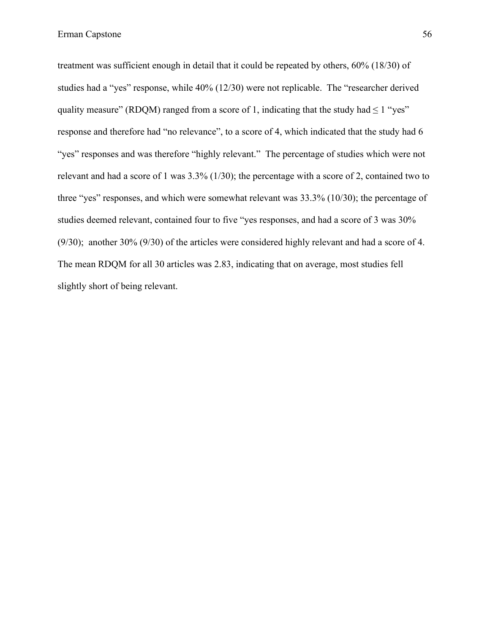treatment was sufficient enough in detail that it could be repeated by others, 60% (18/30) of studies had a "yes" response, while 40% (12/30) were not replicable. The "researcher derived quality measure" (RDQM) ranged from a score of 1, indicating that the study had  $\leq 1$  "yes" response and therefore had "no relevance", to a score of 4, which indicated that the study had 6 "yes" responses and was therefore "highly relevant." The percentage of studies which were not relevant and had a score of 1 was 3.3% (1/30); the percentage with a score of 2, contained two to three "yes" responses, and which were somewhat relevant was 33.3% (10/30); the percentage of studies deemed relevant, contained four to five "yes responses, and had a score of 3 was 30% (9/30); another 30% (9/30) of the articles were considered highly relevant and had a score of 4. The mean RDQM for all 30 articles was 2.83, indicating that on average, most studies fell slightly short of being relevant.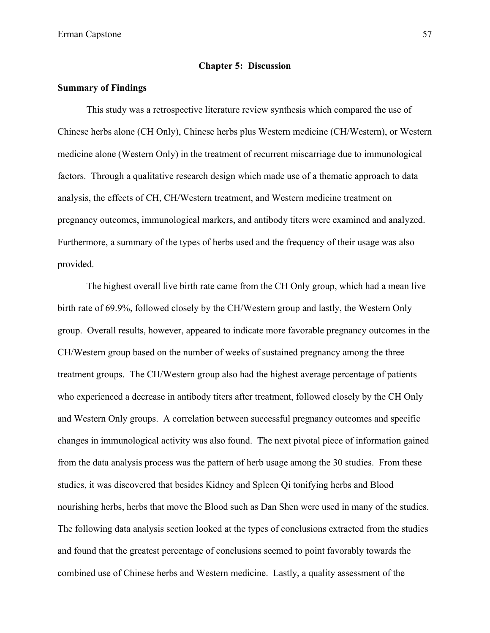#### **Chapter 5: Discussion**

## **Summary of Findings**

This study was a retrospective literature review synthesis which compared the use of Chinese herbs alone (CH Only), Chinese herbs plus Western medicine (CH/Western), or Western medicine alone (Western Only) in the treatment of recurrent miscarriage due to immunological factors. Through a qualitative research design which made use of a thematic approach to data analysis, the effects of CH, CH/Western treatment, and Western medicine treatment on pregnancy outcomes, immunological markers, and antibody titers were examined and analyzed. Furthermore, a summary of the types of herbs used and the frequency of their usage was also provided.

The highest overall live birth rate came from the CH Only group, which had a mean live birth rate of 69.9%, followed closely by the CH/Western group and lastly, the Western Only group. Overall results, however, appeared to indicate more favorable pregnancy outcomes in the CH/Western group based on the number of weeks of sustained pregnancy among the three treatment groups. The CH/Western group also had the highest average percentage of patients who experienced a decrease in antibody titers after treatment, followed closely by the CH Only and Western Only groups. A correlation between successful pregnancy outcomes and specific changes in immunological activity was also found. The next pivotal piece of information gained from the data analysis process was the pattern of herb usage among the 30 studies. From these studies, it was discovered that besides Kidney and Spleen Qi tonifying herbs and Blood nourishing herbs, herbs that move the Blood such as Dan Shen were used in many of the studies. The following data analysis section looked at the types of conclusions extracted from the studies and found that the greatest percentage of conclusions seemed to point favorably towards the combined use of Chinese herbs and Western medicine. Lastly, a quality assessment of the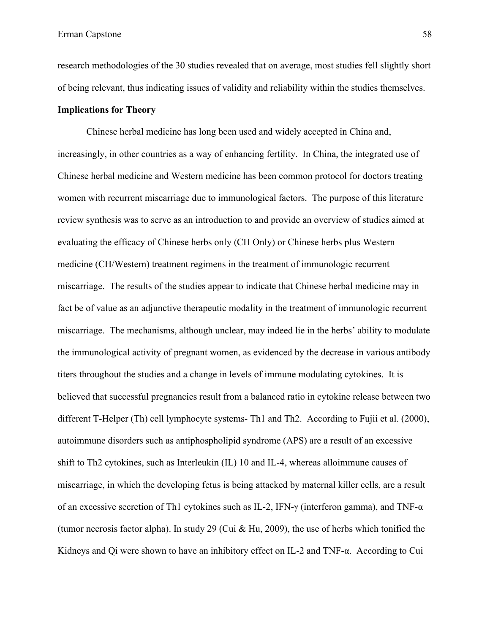research methodologies of the 30 studies revealed that on average, most studies fell slightly short of being relevant, thus indicating issues of validity and reliability within the studies themselves.

## **Implications for Theory**

Chinese herbal medicine has long been used and widely accepted in China and, increasingly, in other countries as a way of enhancing fertility. In China, the integrated use of Chinese herbal medicine and Western medicine has been common protocol for doctors treating women with recurrent miscarriage due to immunological factors. The purpose of this literature review synthesis was to serve as an introduction to and provide an overview of studies aimed at evaluating the efficacy of Chinese herbs only (CH Only) or Chinese herbs plus Western medicine (CH/Western) treatment regimens in the treatment of immunologic recurrent miscarriage. The results of the studies appear to indicate that Chinese herbal medicine may in fact be of value as an adjunctive therapeutic modality in the treatment of immunologic recurrent miscarriage. The mechanisms, although unclear, may indeed lie in the herbs' ability to modulate the immunological activity of pregnant women, as evidenced by the decrease in various antibody titers throughout the studies and a change in levels of immune modulating cytokines. It is believed that successful pregnancies result from a balanced ratio in cytokine release between two different T-Helper (Th) cell lymphocyte systems- Th1 and Th2. According to Fujii et al. (2000), autoimmune disorders such as antiphospholipid syndrome (APS) are a result of an excessive shift to Th2 cytokines, such as Interleukin (IL) 10 and IL-4, whereas alloimmune causes of miscarriage, in which the developing fetus is being attacked by maternal killer cells, are a result of an excessive secretion of Th1 cytokines such as IL-2, IFN-γ (interferon gamma), and TNF-α (tumor necrosis factor alpha). In study 29 (Cui & Hu, 2009), the use of herbs which tonified the Kidneys and Qi were shown to have an inhibitory effect on IL-2 and TNF-α. According to Cui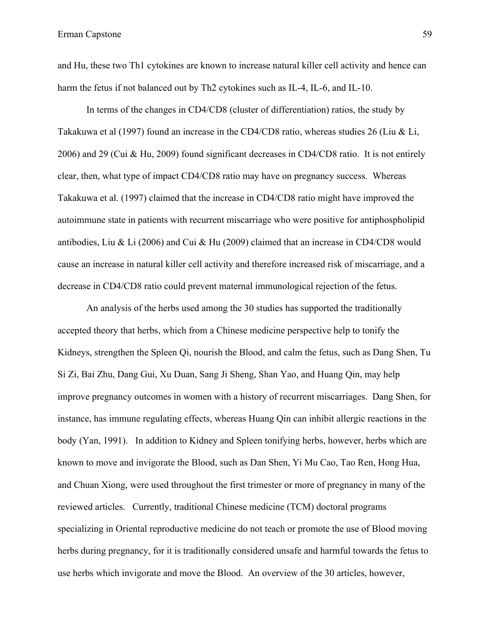and Hu, these two Th1 cytokines are known to increase natural killer cell activity and hence can harm the fetus if not balanced out by Th2 cytokines such as IL-4, IL-6, and IL-10.

In terms of the changes in CD4/CD8 (cluster of differentiation) ratios, the study by Takakuwa et al (1997) found an increase in the CD4/CD8 ratio, whereas studies 26 (Liu & Li, 2006) and 29 (Cui & Hu, 2009) found significant decreases in CD4/CD8 ratio. It is not entirely clear, then, what type of impact CD4/CD8 ratio may have on pregnancy success. Whereas Takakuwa et al. (1997) claimed that the increase in CD4/CD8 ratio might have improved the autoimmune state in patients with recurrent miscarriage who were positive for antiphospholipid antibodies, Liu & Li (2006) and Cui & Hu (2009) claimed that an increase in CD4/CD8 would cause an increase in natural killer cell activity and therefore increased risk of miscarriage, and a decrease in CD4/CD8 ratio could prevent maternal immunological rejection of the fetus.

An analysis of the herbs used among the 30 studies has supported the traditionally accepted theory that herbs, which from a Chinese medicine perspective help to tonify the Kidneys, strengthen the Spleen Qi, nourish the Blood, and calm the fetus, such as Dang Shen, Tu Si Zi, Bai Zhu, Dang Gui, Xu Duan, Sang Ji Sheng, Shan Yao, and Huang Qin, may help improve pregnancy outcomes in women with a history of recurrent miscarriages. Dang Shen, for instance, has immune regulating effects, whereas Huang Qin can inhibit allergic reactions in the body (Yan, 1991). In addition to Kidney and Spleen tonifying herbs, however, herbs which are known to move and invigorate the Blood, such as Dan Shen, Yi Mu Cao, Tao Ren, Hong Hua, and Chuan Xiong, were used throughout the first trimester or more of pregnancy in many of the reviewed articles. Currently, traditional Chinese medicine (TCM) doctoral programs specializing in Oriental reproductive medicine do not teach or promote the use of Blood moving herbs during pregnancy, for it is traditionally considered unsafe and harmful towards the fetus to use herbs which invigorate and move the Blood. An overview of the 30 articles, however,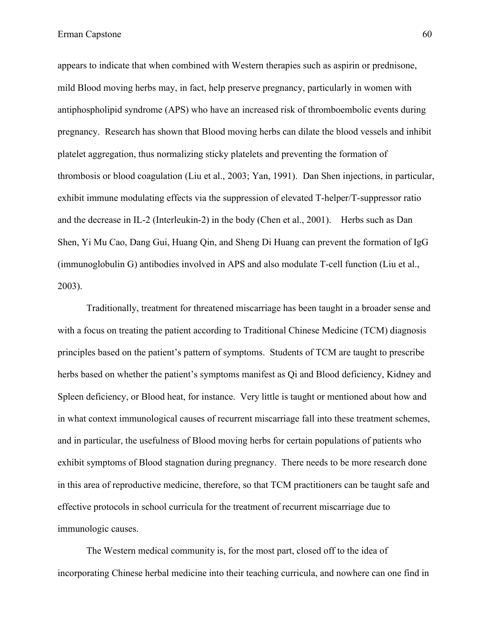appears to indicate that when combined with Western therapies such as aspirin or prednisone, mild Blood moving herbs may, in fact, help preserve pregnancy, particularly in women with antiphospholipid syndrome (APS) who have an increased risk of thromboembolic events during pregnancy. Research has shown that Blood moving herbs can dilate the blood vessels and inhibit platelet aggregation, thus normalizing sticky platelets and preventing the formation of thrombosis or blood coagulation (Liu et al., 2003; Yan, 1991). Dan Shen injections, in particular, exhibit immune modulating effects via the suppression of elevated T-helper/T-suppressor ratio and the decrease in IL-2 (Interleukin-2) in the body (Chen et al., 2001). Herbs such as Dan Shen, Yi Mu Cao, Dang Gui, Huang Qin, and Sheng Di Huang can prevent the formation of IgG (immunoglobulin G) antibodies involved in APS and also modulate T-cell function (Liu et al., 2003).

Traditionally, treatment for threatened miscarriage has been taught in a broader sense and with a focus on treating the patient according to Traditional Chinese Medicine *(TCM)* diagnosis principles based on the patient's pattern of symptoms. Students of TCM are taught to prescribe herbs based on whether the patient's symptoms manifest as Qi and Blood deficiency, Kidney and Spleen deficiency, or Blood heat, for instance. Very little is taught or mentioned about how and in what context immunological causes of recurrent miscarriage fall into these treatment schemes, and in particular, the usefulness of Blood moving herbs for certain populations of patients who exhibit symptoms of Blood stagnation during pregnancy. There needs to be more research done in this area of reproductive medicine, therefore, so that TCM practitioners can be taught safe and effective protocols in school curricula for the treatment of recurrent miscarriage due to immunologic causes.

The Western medical community is, for the most part, closed off to the idea of incorporating Chinese herbal medicine into their teaching curricula, and nowhere can one find in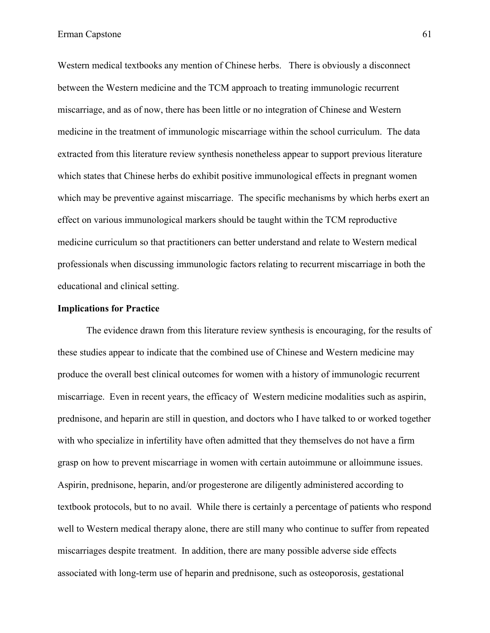Western medical textbooks any mention of Chinese herbs. There is obviously a disconnect between the Western medicine and the TCM approach to treating immunologic recurrent miscarriage, and as of now, there has been little or no integration of Chinese and Western medicine in the treatment of immunologic miscarriage within the school curriculum. The data extracted from this literature review synthesis nonetheless appear to support previous literature which states that Chinese herbs do exhibit positive immunological effects in pregnant women which may be preventive against miscarriage. The specific mechanisms by which herbs exert an effect on various immunological markers should be taught within the TCM reproductive medicine curriculum so that practitioners can better understand and relate to Western medical professionals when discussing immunologic factors relating to recurrent miscarriage in both the educational and clinical setting.

#### **Implications for Practice**

The evidence drawn from this literature review synthesis is encouraging, for the results of these studies appear to indicate that the combined use of Chinese and Western medicine may produce the overall best clinical outcomes for women with a history of immunologic recurrent miscarriage. Even in recent years, the efficacy of Western medicine modalities such as aspirin, prednisone, and heparin are still in question, and doctors who I have talked to or worked together with who specialize in infertility have often admitted that they themselves do not have a firm grasp on how to prevent miscarriage in women with certain autoimmune or alloimmune issues. Aspirin, prednisone, heparin, and/or progesterone are diligently administered according to textbook protocols, but to no avail. While there is certainly a percentage of patients who respond well to Western medical therapy alone, there are still many who continue to suffer from repeated miscarriages despite treatment. In addition, there are many possible adverse side effects associated with long-term use of heparin and prednisone, such as osteoporosis, gestational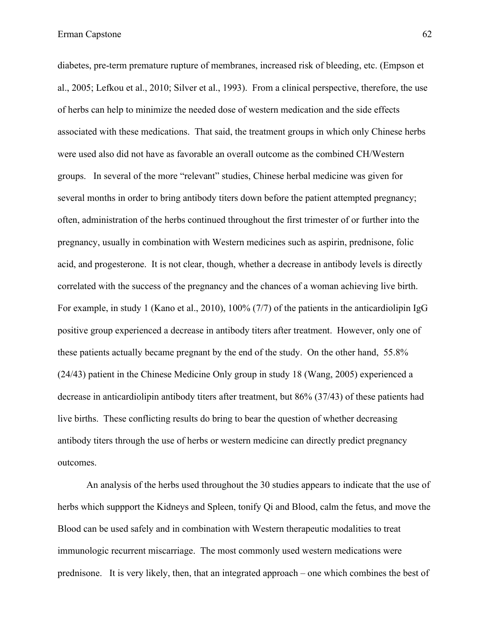diabetes, pre-term premature rupture of membranes, increased risk of bleeding, etc. (Empson et al., 2005; Lefkou et al., 2010; Silver et al., 1993). From a clinical perspective, therefore, the use of herbs can help to minimize the needed dose of western medication and the side effects associated with these medications. That said, the treatment groups in which only Chinese herbs were used also did not have as favorable an overall outcome as the combined CH/Western groups. In several of the more "relevant" studies, Chinese herbal medicine was given for several months in order to bring antibody titers down before the patient attempted pregnancy; often, administration of the herbs continued throughout the first trimester of or further into the pregnancy, usually in combination with Western medicines such as aspirin, prednisone, folic acid, and progesterone. It is not clear, though, whether a decrease in antibody levels is directly correlated with the success of the pregnancy and the chances of a woman achieving live birth. For example, in study 1 (Kano et al., 2010), 100% (7/7) of the patients in the anticardiolipin IgG positive group experienced a decrease in antibody titers after treatment. However, only one of these patients actually became pregnant by the end of the study. On the other hand, 55.8% (24/43) patient in the Chinese Medicine Only group in study 18 (Wang, 2005) experienced a decrease in anticardiolipin antibody titers after treatment, but 86% (37/43) of these patients had live births. These conflicting results do bring to bear the question of whether decreasing antibody titers through the use of herbs or western medicine can directly predict pregnancy outcomes.

An analysis of the herbs used throughout the 30 studies appears to indicate that the use of herbs which suppport the Kidneys and Spleen, tonify Qi and Blood, calm the fetus, and move the Blood can be used safely and in combination with Western therapeutic modalities to treat immunologic recurrent miscarriage. The most commonly used western medications were prednisone. It is very likely, then, that an integrated approach – one which combines the best of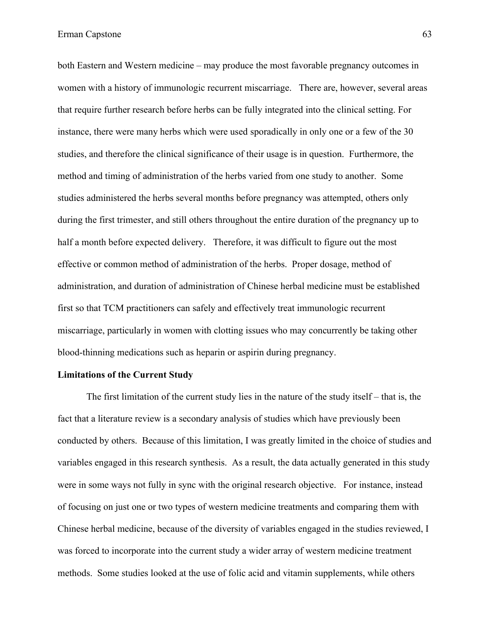both Eastern and Western medicine – may produce the most favorable pregnancy outcomes in women with a history of immunologic recurrent miscarriage. There are, however, several areas that require further research before herbs can be fully integrated into the clinical setting. For instance, there were many herbs which were used sporadically in only one or a few of the 30 studies, and therefore the clinical significance of their usage is in question. Furthermore, the method and timing of administration of the herbs varied from one study to another. Some studies administered the herbs several months before pregnancy was attempted, others only during the first trimester, and still others throughout the entire duration of the pregnancy up to half a month before expected delivery. Therefore, it was difficult to figure out the most effective or common method of administration of the herbs. Proper dosage, method of administration, and duration of administration of Chinese herbal medicine must be established first so that TCM practitioners can safely and effectively treat immunologic recurrent miscarriage, particularly in women with clotting issues who may concurrently be taking other blood-thinning medications such as heparin or aspirin during pregnancy.

#### **Limitations of the Current Study**

The first limitation of the current study lies in the nature of the study itself – that is, the fact that a literature review is a secondary analysis of studies which have previously been conducted by others. Because of this limitation, I was greatly limited in the choice of studies and variables engaged in this research synthesis. As a result, the data actually generated in this study were in some ways not fully in sync with the original research objective. For instance, instead of focusing on just one or two types of western medicine treatments and comparing them with Chinese herbal medicine, because of the diversity of variables engaged in the studies reviewed, I was forced to incorporate into the current study a wider array of western medicine treatment methods. Some studies looked at the use of folic acid and vitamin supplements, while others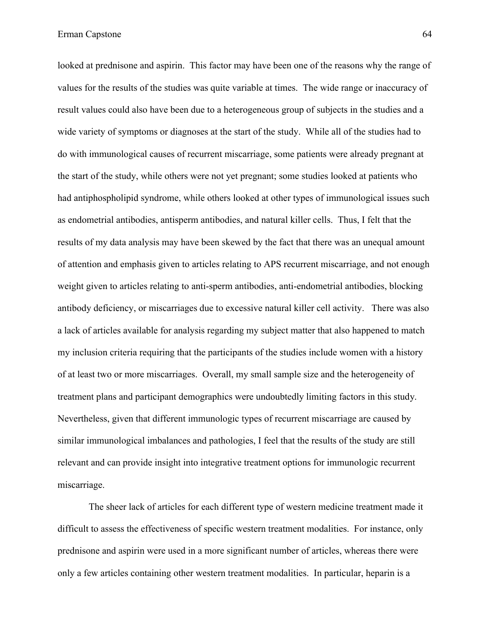looked at prednisone and aspirin. This factor may have been one of the reasons why the range of values for the results of the studies was quite variable at times. The wide range or inaccuracy of result values could also have been due to a heterogeneous group of subjects in the studies and a wide variety of symptoms or diagnoses at the start of the study. While all of the studies had to do with immunological causes of recurrent miscarriage, some patients were already pregnant at the start of the study, while others were not yet pregnant; some studies looked at patients who had antiphospholipid syndrome, while others looked at other types of immunological issues such as endometrial antibodies, antisperm antibodies, and natural killer cells. Thus, I felt that the results of my data analysis may have been skewed by the fact that there was an unequal amount of attention and emphasis given to articles relating to APS recurrent miscarriage, and not enough weight given to articles relating to anti-sperm antibodies, anti-endometrial antibodies, blocking antibody deficiency, or miscarriages due to excessive natural killer cell activity. There was also a lack of articles available for analysis regarding my subject matter that also happened to match my inclusion criteria requiring that the participants of the studies include women with a history of at least two or more miscarriages. Overall, my small sample size and the heterogeneity of treatment plans and participant demographics were undoubtedly limiting factors in this study. Nevertheless, given that different immunologic types of recurrent miscarriage are caused by similar immunological imbalances and pathologies, I feel that the results of the study are still relevant and can provide insight into integrative treatment options for immunologic recurrent miscarriage.

The sheer lack of articles for each different type of western medicine treatment made it difficult to assess the effectiveness of specific western treatment modalities. For instance, only prednisone and aspirin were used in a more significant number of articles, whereas there were only a few articles containing other western treatment modalities. In particular, heparin is a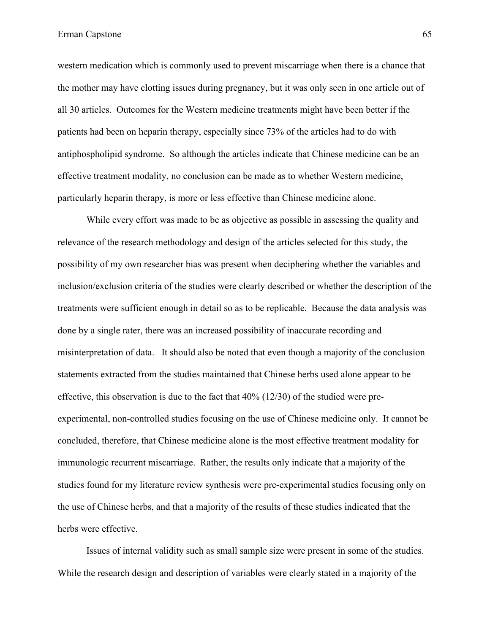western medication which is commonly used to prevent miscarriage when there is a chance that the mother may have clotting issues during pregnancy, but it was only seen in one article out of all 30 articles. Outcomes for the Western medicine treatments might have been better if the patients had been on heparin therapy, especially since 73% of the articles had to do with antiphospholipid syndrome. So although the articles indicate that Chinese medicine can be an effective treatment modality, no conclusion can be made as to whether Western medicine, particularly heparin therapy, is more or less effective than Chinese medicine alone.

While every effort was made to be as objective as possible in assessing the quality and relevance of the research methodology and design of the articles selected for this study, the possibility of my own researcher bias was present when deciphering whether the variables and inclusion/exclusion criteria of the studies were clearly described or whether the description of the treatments were sufficient enough in detail so as to be replicable. Because the data analysis was done by a single rater, there was an increased possibility of inaccurate recording and misinterpretation of data. It should also be noted that even though a majority of the conclusion statements extracted from the studies maintained that Chinese herbs used alone appear to be effective, this observation is due to the fact that  $40\%$  (12/30) of the studied were preexperimental, non-controlled studies focusing on the use of Chinese medicine only. It cannot be concluded, therefore, that Chinese medicine alone is the most effective treatment modality for immunologic recurrent miscarriage. Rather, the results only indicate that a majority of the studies found for my literature review synthesis were pre-experimental studies focusing only on the use of Chinese herbs, and that a majority of the results of these studies indicated that the herbs were effective.

Issues of internal validity such as small sample size were present in some of the studies. While the research design and description of variables were clearly stated in a majority of the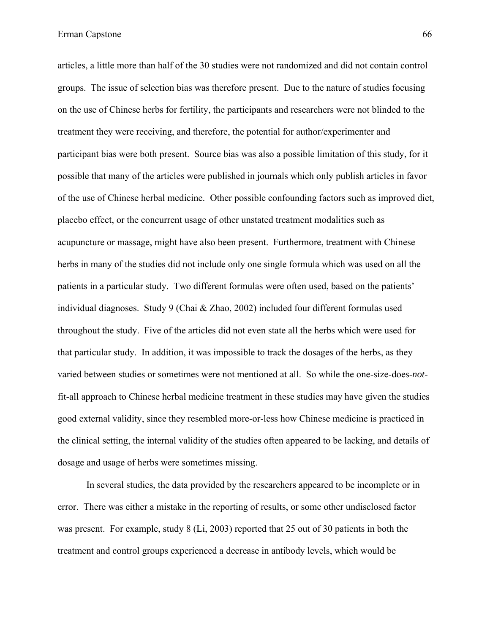articles, a little more than half of the 30 studies were not randomized and did not contain control groups. The issue of selection bias was therefore present. Due to the nature of studies focusing on the use of Chinese herbs for fertility, the participants and researchers were not blinded to the treatment they were receiving, and therefore, the potential for author/experimenter and participant bias were both present. Source bias was also a possible limitation of this study, for it possible that many of the articles were published in journals which only publish articles in favor of the use of Chinese herbal medicine. Other possible confounding factors such as improved diet, placebo effect, or the concurrent usage of other unstated treatment modalities such as acupuncture or massage, might have also been present. Furthermore, treatment with Chinese herbs in many of the studies did not include only one single formula which was used on all the patients in a particular study. Two different formulas were often used, based on the patients' individual diagnoses. Study 9 (Chai & Zhao, 2002) included four different formulas used throughout the study. Five of the articles did not even state all the herbs which were used for that particular study. In addition, it was impossible to track the dosages of the herbs, as they varied between studies or sometimes were not mentioned at all. So while the one-size-does-*not*fit-all approach to Chinese herbal medicine treatment in these studies may have given the studies good external validity, since they resembled more-or-less how Chinese medicine is practiced in the clinical setting, the internal validity of the studies often appeared to be lacking, and details of dosage and usage of herbs were sometimes missing.

In several studies, the data provided by the researchers appeared to be incomplete or in error. There was either a mistake in the reporting of results, or some other undisclosed factor was present. For example, study 8 (Li, 2003) reported that 25 out of 30 patients in both the treatment and control groups experienced a decrease in antibody levels, which would be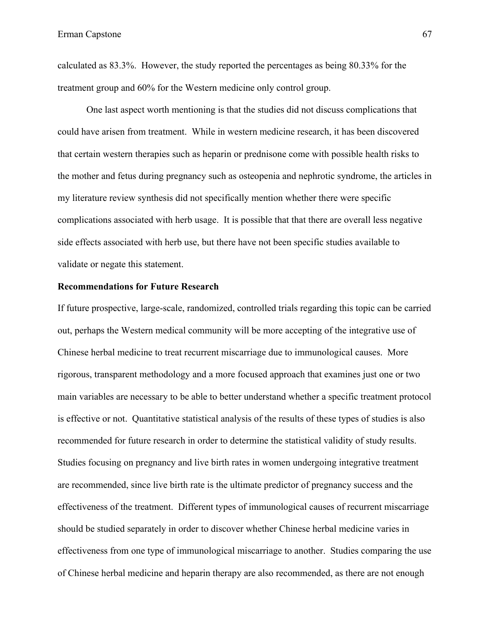calculated as 83.3%. However, the study reported the percentages as being 80.33% for the treatment group and 60% for the Western medicine only control group.

One last aspect worth mentioning is that the studies did not discuss complications that could have arisen from treatment. While in western medicine research, it has been discovered that certain western therapies such as heparin or prednisone come with possible health risks to the mother and fetus during pregnancy such as osteopenia and nephrotic syndrome, the articles in my literature review synthesis did not specifically mention whether there were specific complications associated with herb usage. It is possible that that there are overall less negative side effects associated with herb use, but there have not been specific studies available to validate or negate this statement.

#### **Recommendations for Future Research**

If future prospective, large-scale, randomized, controlled trials regarding this topic can be carried out, perhaps the Western medical community will be more accepting of the integrative use of Chinese herbal medicine to treat recurrent miscarriage due to immunological causes. More rigorous, transparent methodology and a more focused approach that examines just one or two main variables are necessary to be able to better understand whether a specific treatment protocol is effective or not. Quantitative statistical analysis of the results of these types of studies is also recommended for future research in order to determine the statistical validity of study results. Studies focusing on pregnancy and live birth rates in women undergoing integrative treatment are recommended, since live birth rate is the ultimate predictor of pregnancy success and the effectiveness of the treatment. Different types of immunological causes of recurrent miscarriage should be studied separately in order to discover whether Chinese herbal medicine varies in effectiveness from one type of immunological miscarriage to another. Studies comparing the use of Chinese herbal medicine and heparin therapy are also recommended, as there are not enough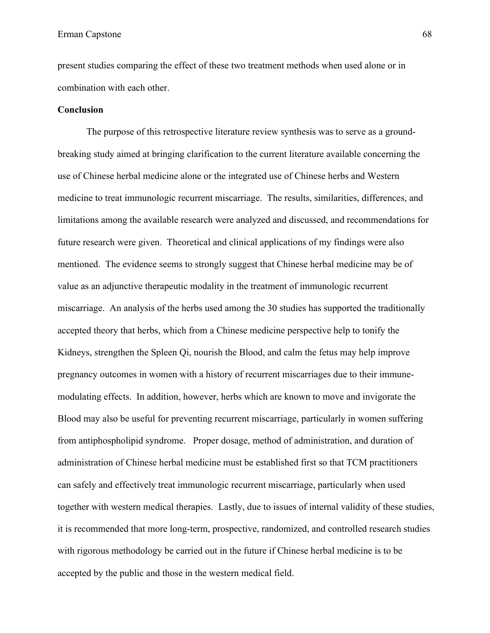present studies comparing the effect of these two treatment methods when used alone or in combination with each other.

## **Conclusion**

The purpose of this retrospective literature review synthesis was to serve as a groundbreaking study aimed at bringing clarification to the current literature available concerning the use of Chinese herbal medicine alone or the integrated use of Chinese herbs and Western medicine to treat immunologic recurrent miscarriage. The results, similarities, differences, and limitations among the available research were analyzed and discussed, and recommendations for future research were given. Theoretical and clinical applications of my findings were also mentioned. The evidence seems to strongly suggest that Chinese herbal medicine may be of value as an adjunctive therapeutic modality in the treatment of immunologic recurrent miscarriage. An analysis of the herbs used among the 30 studies has supported the traditionally accepted theory that herbs, which from a Chinese medicine perspective help to tonify the Kidneys, strengthen the Spleen Qi, nourish the Blood, and calm the fetus may help improve pregnancy outcomes in women with a history of recurrent miscarriages due to their immunemodulating effects. In addition, however, herbs which are known to move and invigorate the Blood may also be useful for preventing recurrent miscarriage, particularly in women suffering from antiphospholipid syndrome. Proper dosage, method of administration, and duration of administration of Chinese herbal medicine must be established first so that TCM practitioners can safely and effectively treat immunologic recurrent miscarriage, particularly when used together with western medical therapies. Lastly, due to issues of internal validity of these studies, it is recommended that more long-term, prospective, randomized, and controlled research studies with rigorous methodology be carried out in the future if Chinese herbal medicine is to be accepted by the public and those in the western medical field.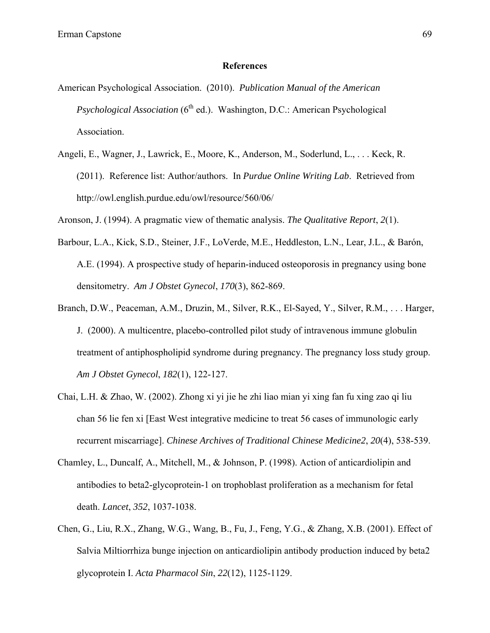#### **References**

- American Psychological Association. (2010). *Publication Manual of the American Psychological Association* (6<sup>th</sup> ed.). Washington, D.C.: American Psychological Association.
- Angeli, E., Wagner, J., Lawrick, E., Moore, K., Anderson, M., Soderlund, L., . . . Keck, R. (2011). Reference list: Author/authors. In *Purdue Online Writing Lab*. Retrieved from http://owl.english.purdue.edu/owl/resource/560/06/

Aronson, J. (1994). A pragmatic view of thematic analysis. *The Qualitative Report*, *2*(1).

- Barbour, L.A., Kick, S.D., Steiner, J.F., LoVerde, M.E., Heddleston, L.N., Lear, J.L., & Barón, A.E. (1994). A prospective study of heparin-induced osteoporosis in pregnancy using bone densitometry. *Am J Obstet Gynecol*, *170*(3), 862-869.
- Branch, D.W., Peaceman, A.M., Druzin, M., Silver, R.K., El-Sayed, Y., Silver, R.M., . . . Harger, J. (2000). A multicentre, placebo-controlled pilot study of intravenous immune globulin treatment of antiphospholipid syndrome during pregnancy. The pregnancy loss study group. *Am J Obstet Gynecol*, *182*(1), 122-127.
- Chai, L.H. & Zhao, W. (2002). Zhong xi yi jie he zhi liao mian yi xing fan fu xing zao qi liu chan 56 lie fen xi [East West integrative medicine to treat 56 cases of immunologic early recurrent miscarriage]. *Chinese Archives of Traditional Chinese Medicine2*, *20*(4), 538-539.
- Chamley, L., Duncalf, A., Mitchell, M., & Johnson, P. (1998). Action of anticardiolipin and antibodies to beta2-glycoprotein-1 on trophoblast proliferation as a mechanism for fetal death. *Lancet*, *352*, 1037-1038.
- Chen, G., Liu, R.X., Zhang, W.G., Wang, B., Fu, J., Feng, Y.G., & Zhang, X.B. (2001). Effect of Salvia Miltiorrhiza bunge injection on anticardiolipin antibody production induced by beta2 glycoprotein I. *Acta Pharmacol Sin*, *22*(12), 1125-1129.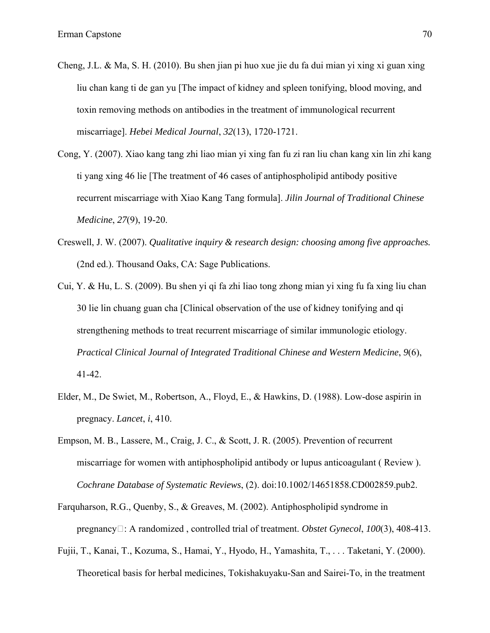- Cheng, J.L. & Ma, S. H. (2010). Bu shen jian pi huo xue jie du fa dui mian yi xing xi guan xing liu chan kang ti de gan yu [The impact of kidney and spleen tonifying, blood moving, and toxin removing methods on antibodies in the treatment of immunological recurrent miscarriage]. *Hebei Medical Journal*, *32*(13), 1720-1721.
- Cong, Y. (2007). Xiao kang tang zhi liao mian yi xing fan fu zi ran liu chan kang xin lin zhi kang ti yang xing 46 lie [The treatment of 46 cases of antiphospholipid antibody positive recurrent miscarriage with Xiao Kang Tang formula]. *Jilin Journal of Traditional Chinese Medicine*, *27*(9), 19-20.
- Creswell, J. W. (2007). *Qualitative inquiry & research design: choosing among five approaches.* (2nd ed.). Thousand Oaks, CA: Sage Publications.
- Cui, Y. & Hu, L. S. (2009). Bu shen yi qi fa zhi liao tong zhong mian yi xing fu fa xing liu chan 30 lie lin chuang guan cha [Clinical observation of the use of kidney tonifying and qi strengthening methods to treat recurrent miscarriage of similar immunologic etiology. *Practical Clinical Journal of Integrated Traditional Chinese and Western Medicine*, *9*(6), 41-42.
- Elder, M., De Swiet, M., Robertson, A., Floyd, E., & Hawkins, D. (1988). Low-dose aspirin in pregnacy. *Lancet*, *i*, 410.
- Empson, M. B., Lassere, M., Craig, J. C., & Scott, J. R. (2005). Prevention of recurrent miscarriage for women with antiphospholipid antibody or lupus anticoagulant ( Review ). *Cochrane Database of Systematic Reviews*, (2). doi:10.1002/14651858.CD002859.pub2.
- Farquharson, R.G., Quenby, S., & Greaves, M. (2002). Antiphospholipid syndrome in pregnancy: A randomized , controlled trial of treatment. *Obstet Gynecol*, *100*(3), 408-413.
- Fujii, T., Kanai, T., Kozuma, S., Hamai, Y., Hyodo, H., Yamashita, T., . . . Taketani, Y. (2000). Theoretical basis for herbal medicines, Tokishakuyaku-San and Sairei-To, in the treatment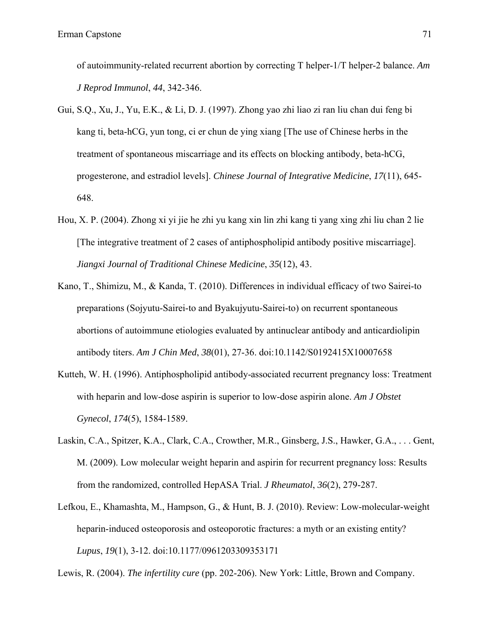of autoimmunity-related recurrent abortion by correcting T helper-1/T helper-2 balance. *Am J Reprod Immunol*, *44*, 342-346.

- Gui, S.Q., Xu, J., Yu, E.K., & Li, D. J. (1997). Zhong yao zhi liao zi ran liu chan dui feng bi kang ti, beta-hCG, yun tong, ci er chun de ying xiang [The use of Chinese herbs in the treatment of spontaneous miscarriage and its effects on blocking antibody, beta-hCG, progesterone, and estradiol levels]. *Chinese Journal of Integrative Medicine*, *17*(11), 645- 648.
- Hou, X. P. (2004). Zhong xi yi jie he zhi yu kang xin lin zhi kang ti yang xing zhi liu chan 2 lie [The integrative treatment of 2 cases of antiphospholipid antibody positive miscarriage]. *Jiangxi Journal of Traditional Chinese Medicine*, *35*(12), 43.
- Kano, T., Shimizu, M., & Kanda, T. (2010). Differences in individual efficacy of two Sairei-to preparations (Sojyutu-Sairei-to and Byakujyutu-Sairei-to) on recurrent spontaneous abortions of autoimmune etiologies evaluated by antinuclear antibody and anticardiolipin antibody titers. *Am J Chin Med*, *38*(01), 27-36. doi:10.1142/S0192415X10007658
- Kutteh, W. H. (1996). Antiphospholipid antibody-associated recurrent pregnancy loss: Treatment with heparin and low-dose aspirin is superior to low-dose aspirin alone. *Am J Obstet Gynecol*, *174*(5), 1584-1589.
- Laskin, C.A., Spitzer, K.A., Clark, C.A., Crowther, M.R., Ginsberg, J.S., Hawker, G.A., . . . Gent, M. (2009). Low molecular weight heparin and aspirin for recurrent pregnancy loss: Results from the randomized, controlled HepASA Trial. *J Rheumatol*, *36*(2), 279-287.
- Lefkou, E., Khamashta, M., Hampson, G., & Hunt, B. J. (2010). Review: Low-molecular-weight heparin-induced osteoporosis and osteoporotic fractures: a myth or an existing entity? *Lupus*, *19*(1), 3-12. doi:10.1177/0961203309353171

Lewis, R. (2004). *The infertility cure* (pp. 202-206). New York: Little, Brown and Company.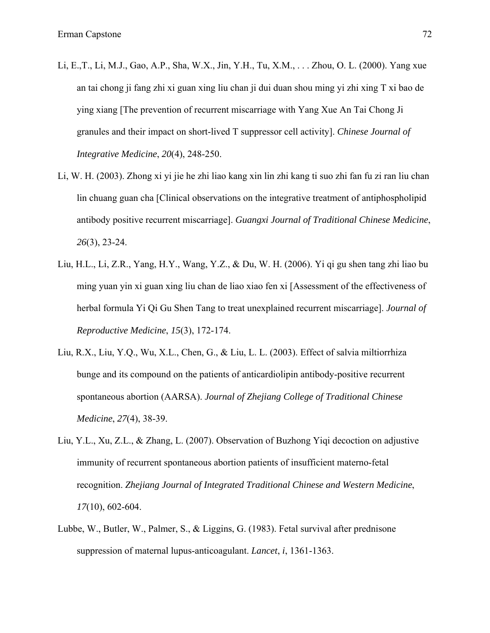- Li, E.,T., Li, M.J., Gao, A.P., Sha, W.X., Jin, Y.H., Tu, X.M., . . . Zhou, O. L. (2000). Yang xue an tai chong ji fang zhi xi guan xing liu chan ji dui duan shou ming yi zhi xing T xi bao de ying xiang [The prevention of recurrent miscarriage with Yang Xue An Tai Chong Ji granules and their impact on short-lived T suppressor cell activity]. *Chinese Journal of Integrative Medicine*, *20*(4), 248-250.
- Li, W. H. (2003). Zhong xi yi jie he zhi liao kang xin lin zhi kang ti suo zhi fan fu zi ran liu chan lin chuang guan cha [Clinical observations on the integrative treatment of antiphospholipid antibody positive recurrent miscarriage]. *Guangxi Journal of Traditional Chinese Medicine*, *26*(3), 23-24.
- Liu, H.L., Li, Z.R., Yang, H.Y., Wang, Y.Z., & Du, W. H. (2006). Yi qi gu shen tang zhi liao bu ming yuan yin xi guan xing liu chan de liao xiao fen xi [Assessment of the effectiveness of herbal formula Yi Qi Gu Shen Tang to treat unexplained recurrent miscarriage]. *Journal of Reproductive Medicine*, *15*(3), 172-174.
- Liu, R.X., Liu, Y.Q., Wu, X.L., Chen, G., & Liu, L. L. (2003). Effect of salvia miltiorrhiza bunge and its compound on the patients of anticardiolipin antibody-positive recurrent spontaneous abortion (AARSA). *Journal of Zhejiang College of Traditional Chinese Medicine*, *27*(4), 38-39.
- Liu, Y.L., Xu, Z.L., & Zhang, L. (2007). Observation of Buzhong Yiqi decoction on adjustive immunity of recurrent spontaneous abortion patients of insufficient materno-fetal recognition. *Zhejiang Journal of Integrated Traditional Chinese and Western Medicine*, *17*(10), 602-604.
- Lubbe, W., Butler, W., Palmer, S., & Liggins, G. (1983). Fetal survival after prednisone suppression of maternal lupus-anticoagulant. *Lancet*, *i*, 1361-1363.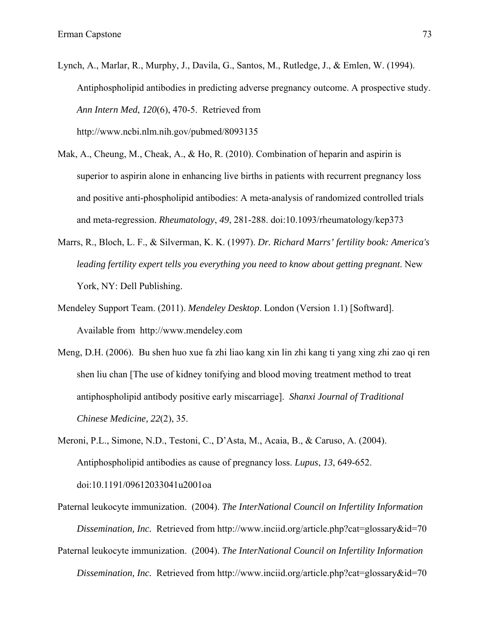- Lynch, A., Marlar, R., Murphy, J., Davila, G., Santos, M., Rutledge, J., & Emlen, W. (1994). Antiphospholipid antibodies in predicting adverse pregnancy outcome. A prospective study. *Ann Intern Med*, *120*(6), 470-5. Retrieved from http://www.ncbi.nlm.nih.gov/pubmed/8093135
- Mak, A., Cheung, M., Cheak, A., & Ho, R. (2010). Combination of heparin and aspirin is superior to aspirin alone in enhancing live births in patients with recurrent pregnancy loss and positive anti-phospholipid antibodies: A meta-analysis of randomized controlled trials and meta-regression. *Rheumatology*, *49*, 281-288. doi:10.1093/rheumatology/kep373
- Marrs, R., Bloch, L. F., & Silverman, K. K. (1997). *Dr. Richard Marrs' fertility book: America's leading fertility expert tells you everything you need to know about getting pregnant*. New York, NY: Dell Publishing.
- Mendeley Support Team. (2011). *Mendeley Desktop*. London (Version 1.1) [Softward]. Available from http://www.mendeley.com
- Meng, D.H. (2006). Bu shen huo xue fa zhi liao kang xin lin zhi kang ti yang xing zhi zao qi ren shen liu chan [The use of kidney tonifying and blood moving treatment method to treat antiphospholipid antibody positive early miscarriage]. *Shanxi Journal of Traditional Chinese Medicine, 22*(2), 35.
- Meroni, P.L., Simone, N.D., Testoni, C., D'Asta, M., Acaia, B., & Caruso, A. (2004). Antiphospholipid antibodies as cause of pregnancy loss. *Lupus*, *13*, 649-652. doi:10.1191/09612033041u2001oa
- Paternal leukocyte immunization. (2004). *The InterNational Council on Infertility Information Dissemination, Inc.* Retrieved from http://www.inciid.org/article.php?cat=glossary&id=70 Paternal leukocyte immunization. (2004). *The InterNational Council on Infertility Information*

*Dissemination, Inc.* Retrieved from http://www.inciid.org/article.php?cat=glossary&id=70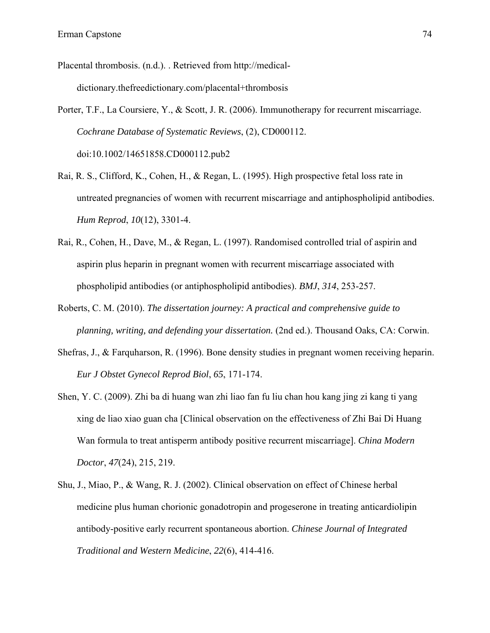- Placental thrombosis. (n.d.). . Retrieved from http://medicaldictionary.thefreedictionary.com/placental+thrombosis
- Porter, T.F., La Coursiere, Y., & Scott, J. R. (2006). Immunotherapy for recurrent miscarriage. *Cochrane Database of Systematic Reviews*, (2), CD000112. doi:10.1002/14651858.CD000112.pub2
- Rai, R. S., Clifford, K., Cohen, H., & Regan, L. (1995). High prospective fetal loss rate in untreated pregnancies of women with recurrent miscarriage and antiphospholipid antibodies. *Hum Reprod*, *10*(12), 3301-4.
- Rai, R., Cohen, H., Dave, M., & Regan, L. (1997). Randomised controlled trial of aspirin and aspirin plus heparin in pregnant women with recurrent miscarriage associated with phospholipid antibodies (or antiphospholipid antibodies). *BMJ*, *314*, 253-257.
- Roberts, C. M. (2010). *The dissertation journey: A practical and comprehensive guide to planning, writing, and defending your dissertation.* (2nd ed.). Thousand Oaks, CA: Corwin.
- Shefras, J., & Farquharson, R. (1996). Bone density studies in pregnant women receiving heparin. *Eur J Obstet Gynecol Reprod Biol*, *65*, 171-174.
- Shen, Y. C. (2009). Zhi ba di huang wan zhi liao fan fu liu chan hou kang jing zi kang ti yang xing de liao xiao guan cha [Clinical observation on the effectiveness of Zhi Bai Di Huang Wan formula to treat antisperm antibody positive recurrent miscarriage]. *China Modern Doctor*, *47*(24), 215, 219.
- Shu, J., Miao, P., & Wang, R. J. (2002). Clinical observation on effect of Chinese herbal medicine plus human chorionic gonadotropin and progeserone in treating anticardiolipin antibody-positive early recurrent spontaneous abortion. *Chinese Journal of Integrated Traditional and Western Medicine*, *22*(6), 414-416.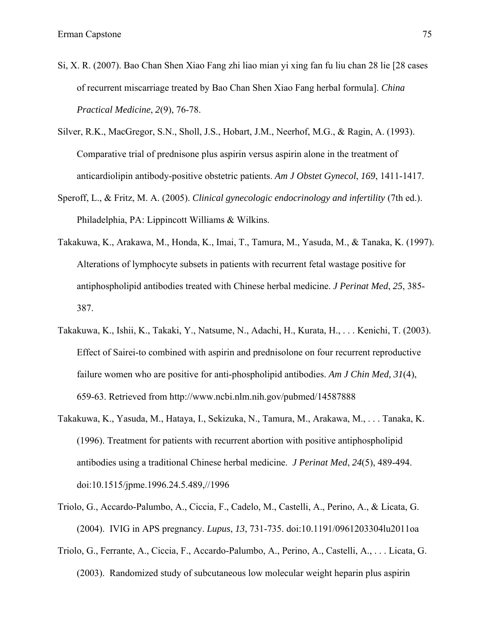- Si, X. R. (2007). Bao Chan Shen Xiao Fang zhi liao mian yi xing fan fu liu chan 28 lie [28 cases of recurrent miscarriage treated by Bao Chan Shen Xiao Fang herbal formula]. *China Practical Medicine*, *2*(9), 76-78.
- Silver, R.K., MacGregor, S.N., Sholl, J.S., Hobart, J.M., Neerhof, M.G., & Ragin, A. (1993). Comparative trial of prednisone plus aspirin versus aspirin alone in the treatment of anticardiolipin antibody-positive obstetric patients. *Am J Obstet Gynecol*, *169*, 1411-1417.
- Speroff, L., & Fritz, M. A. (2005). *Clinical gynecologic endocrinology and infertility* (7th ed.). Philadelphia, PA: Lippincott Williams & Wilkins.
- Takakuwa, K., Arakawa, M., Honda, K., Imai, T., Tamura, M., Yasuda, M., & Tanaka, K. (1997). Alterations of lymphocyte subsets in patients with recurrent fetal wastage positive for antiphospholipid antibodies treated with Chinese herbal medicine. *J Perinat Med*, *25*, 385- 387.
- Takakuwa, K., Ishii, K., Takaki, Y., Natsume, N., Adachi, H., Kurata, H., . . . Kenichi, T. (2003). Effect of Sairei-to combined with aspirin and prednisolone on four recurrent reproductive failure women who are positive for anti-phospholipid antibodies. *Am J Chin Med, 31*(4), 659-63. Retrieved from http://www.ncbi.nlm.nih.gov/pubmed/14587888
- Takakuwa, K., Yasuda, M., Hataya, I., Sekizuka, N., Tamura, M., Arakawa, M., . . . Tanaka, K. (1996). Treatment for patients with recurrent abortion with positive antiphospholipid antibodies using a traditional Chinese herbal medicine. *J Perinat Med*, *24*(5), 489-494. doi:10.1515/jpme.1996.24.5.489,//1996
- Triolo, G., Accardo-Palumbo, A., Ciccia, F., Cadelo, M., Castelli, A., Perino, A., & Licata, G. (2004). IVIG in APS pregnancy. *Lupus*, *13*, 731-735. doi:10.1191/0961203304lu2011oa
- Triolo, G., Ferrante, A., Ciccia, F., Accardo-Palumbo, A., Perino, A., Castelli, A., . . . Licata, G. (2003). Randomized study of subcutaneous low molecular weight heparin plus aspirin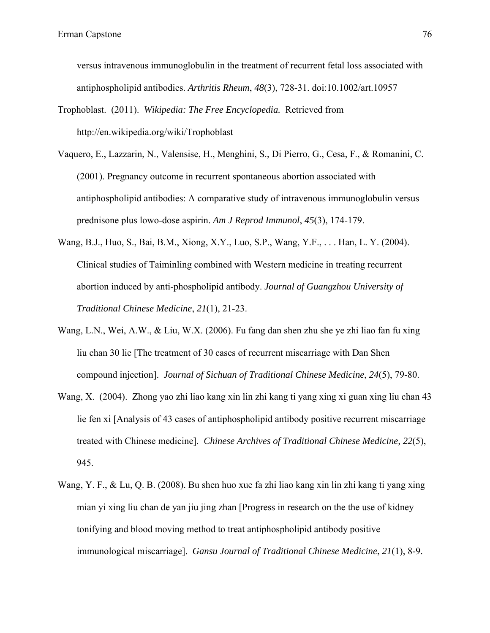versus intravenous immunoglobulin in the treatment of recurrent fetal loss associated with antiphospholipid antibodies. *Arthritis Rheum*, *48*(3), 728-31. doi:10.1002/art.10957

- Trophoblast. (2011). *Wikipedia: The Free Encyclopedia.* Retrieved from http://en.wikipedia.org/wiki/Trophoblast
- Vaquero, E., Lazzarin, N., Valensise, H., Menghini, S., Di Pierro, G., Cesa, F., & Romanini, C. (2001). Pregnancy outcome in recurrent spontaneous abortion associated with antiphospholipid antibodies: A comparative study of intravenous immunoglobulin versus prednisone plus lowo-dose aspirin. *Am J Reprod Immunol*, *45*(3), 174-179.
- Wang, B.J., Huo, S., Bai, B.M., Xiong, X.Y., Luo, S.P., Wang, Y.F., . . . Han, L. Y. (2004). Clinical studies of Taiminling combined with Western medicine in treating recurrent abortion induced by anti-phospholipid antibody. *Journal of Guangzhou University of Traditional Chinese Medicine*, *21*(1), 21-23.
- Wang, L.N., Wei, A.W., & Liu, W.X. (2006). Fu fang dan shen zhu she ye zhi liao fan fu xing liu chan 30 lie [The treatment of 30 cases of recurrent miscarriage with Dan Shen compound injection]. *Journal of Sichuan of Traditional Chinese Medicine*, *24*(5), 79-80.
- Wang, X. (2004). Zhong yao zhi liao kang xin lin zhi kang ti yang xing xi guan xing liu chan 43 lie fen xi [Analysis of 43 cases of antiphospholipid antibody positive recurrent miscarriage treated with Chinese medicine]. *Chinese Archives of Traditional Chinese Medicine, 22*(5), 945.
- Wang, Y. F., & Lu, Q. B. (2008). Bu shen huo xue fa zhi liao kang xin lin zhi kang ti yang xing mian yi xing liu chan de yan jiu jing zhan [Progress in research on the the use of kidney tonifying and blood moving method to treat antiphospholipid antibody positive immunological miscarriage]. *Gansu Journal of Traditional Chinese Medicine*, *21*(1), 8-9.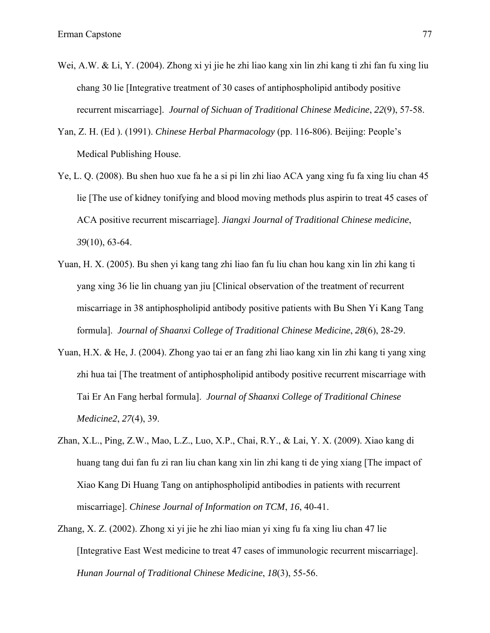- Wei, A.W. & Li, Y. (2004). Zhong xi yi jie he zhi liao kang xin lin zhi kang ti zhi fan fu xing liu chang 30 lie [Integrative treatment of 30 cases of antiphospholipid antibody positive recurrent miscarriage]. *Journal of Sichuan of Traditional Chinese Medicine*, *22*(9), 57-58.
- Yan, Z. H. (Ed ). (1991). *Chinese Herbal Pharmacology* (pp. 116-806). Beijing: People's Medical Publishing House.
- Ye, L. Q. (2008). Bu shen huo xue fa he a si pi lin zhi liao ACA yang xing fu fa xing liu chan 45 lie [The use of kidney tonifying and blood moving methods plus aspirin to treat 45 cases of ACA positive recurrent miscarriage]. *Jiangxi Journal of Traditional Chinese medicine*, *39*(10), 63-64.
- Yuan, H. X. (2005). Bu shen yi kang tang zhi liao fan fu liu chan hou kang xin lin zhi kang ti yang xing 36 lie lin chuang yan jiu [Clinical observation of the treatment of recurrent miscarriage in 38 antiphospholipid antibody positive patients with Bu Shen Yi Kang Tang formula]. *Journal of Shaanxi College of Traditional Chinese Medicine*, *28*(6), 28-29.
- Yuan, H.X. & He, J. (2004). Zhong yao tai er an fang zhi liao kang xin lin zhi kang ti yang xing zhi hua tai [The treatment of antiphospholipid antibody positive recurrent miscarriage with Tai Er An Fang herbal formula]. *Journal of Shaanxi College of Traditional Chinese Medicine2*, *27*(4), 39.
- Zhan, X.L., Ping, Z.W., Mao, L.Z., Luo, X.P., Chai, R.Y., & Lai, Y. X. (2009). Xiao kang di huang tang dui fan fu zi ran liu chan kang xin lin zhi kang ti de ying xiang [The impact of Xiao Kang Di Huang Tang on antiphospholipid antibodies in patients with recurrent miscarriage]. *Chinese Journal of Information on TCM*, *16*, 40-41.
- Zhang, X. Z. (2002). Zhong xi yi jie he zhi liao mian yi xing fu fa xing liu chan 47 lie [Integrative East West medicine to treat 47 cases of immunologic recurrent miscarriage]. *Hunan Journal of Traditional Chinese Medicine*, *18*(3), 55-56.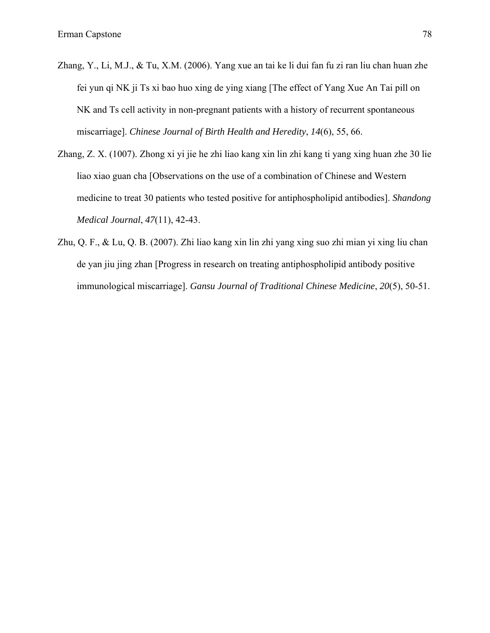- Zhang, Y., Li, M.J., & Tu, X.M. (2006). Yang xue an tai ke li dui fan fu zi ran liu chan huan zhe fei yun qi NK ji Ts xi bao huo xing de ying xiang [The effect of Yang Xue An Tai pill on NK and Ts cell activity in non-pregnant patients with a history of recurrent spontaneous miscarriage]. *Chinese Journal of Birth Health and Heredity*, *14*(6), 55, 66.
- Zhang, Z. X. (1007). Zhong xi yi jie he zhi liao kang xin lin zhi kang ti yang xing huan zhe 30 lie liao xiao guan cha [Observations on the use of a combination of Chinese and Western medicine to treat 30 patients who tested positive for antiphospholipid antibodies]. *Shandong Medical Journal*, *47*(11), 42-43.
- Zhu, Q. F., & Lu, Q. B. (2007). Zhi liao kang xin lin zhi yang xing suo zhi mian yi xing liu chan de yan jiu jing zhan [Progress in research on treating antiphospholipid antibody positive immunological miscarriage]. *Gansu Journal of Traditional Chinese Medicine*, *20*(5), 50-51.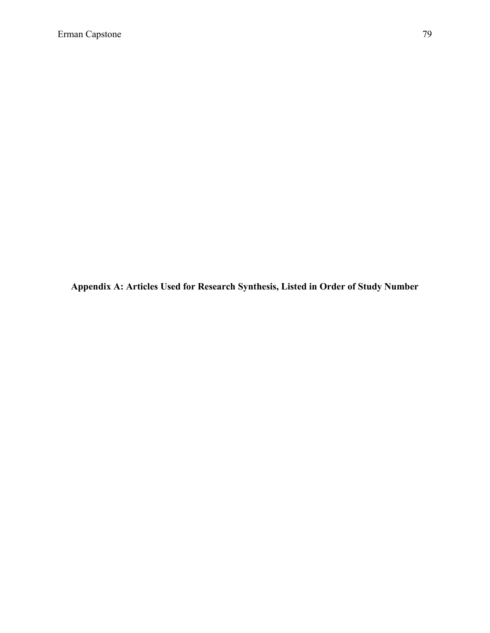**Appendix A: Articles Used for Research Synthesis, Listed in Order of Study Number**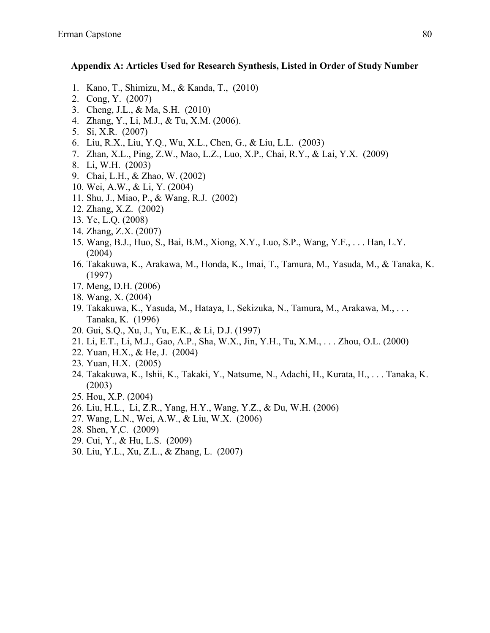#### **Appendix A: Articles Used for Research Synthesis, Listed in Order of Study Number**

- 1. Kano, T., Shimizu, M., & Kanda, T., (2010)
- 2. Cong, Y. (2007)
- 3. Cheng, J.L., & Ma, S.H. (2010)
- 4. Zhang, Y., Li, M.J., & Tu, X.M. (2006).
- 5. Si, X.R. (2007)
- 6. Liu, R.X., Liu, Y.Q., Wu, X.L., Chen, G., & Liu, L.L. (2003)
- 7. Zhan, X.L., Ping, Z.W., Mao, L.Z., Luo, X.P., Chai, R.Y., & Lai, Y.X. (2009)
- 8. Li, W.H. (2003)
- 9. Chai, L.H., & Zhao, W. (2002)
- 10. Wei, A.W., & Li, Y. (2004)
- 11. Shu, J., Miao, P., & Wang, R.J. (2002)
- 12. Zhang, X.Z. (2002)
- 13. Ye, L.Q. (2008)
- 14. Zhang, Z.X. (2007)
- 15. Wang, B.J., Huo, S., Bai, B.M., Xiong, X.Y., Luo, S.P., Wang, Y.F., . . . Han, L.Y. (2004)
- 16. Takakuwa, K., Arakawa, M., Honda, K., Imai, T., Tamura, M., Yasuda, M., & Tanaka, K. (1997)
- 17. Meng, D.H. (2006)
- 18. Wang, X. (2004)
- 19. Takakuwa, K., Yasuda, M., Hataya, I., Sekizuka, N., Tamura, M., Arakawa, M., . . . Tanaka, K. (1996)
- 20. Gui, S.Q., Xu, J., Yu, E.K., & Li, D.J. (1997)
- 21. Li, E.T., Li, M.J., Gao, A.P., Sha, W.X., Jin, Y.H., Tu, X.M., . . . Zhou, O.L. (2000)
- 22. Yuan, H.X., & He, J. (2004)
- 23. Yuan, H.X. (2005)
- 24. Takakuwa, K., Ishii, K., Takaki, Y., Natsume, N., Adachi, H., Kurata, H., . . . Tanaka, K. (2003)
- 25. Hou, X.P. (2004)
- 26. Liu, H.L., Li, Z.R., Yang, H.Y., Wang, Y.Z., & Du, W.H. (2006)
- 27. Wang, L.N., Wei, A.W., & Liu, W.X. (2006)
- 28. Shen, Y,C. (2009)
- 29. Cui, Y., & Hu, L.S. (2009)
- 30. Liu, Y.L., Xu, Z.L., & Zhang, L. (2007)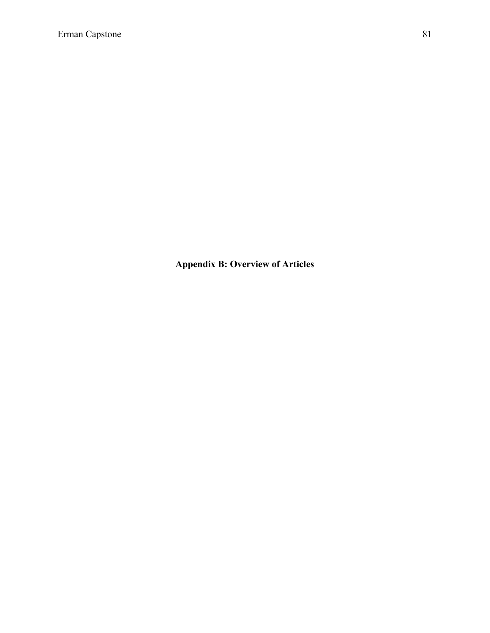**Appendix B: Overview of Articles**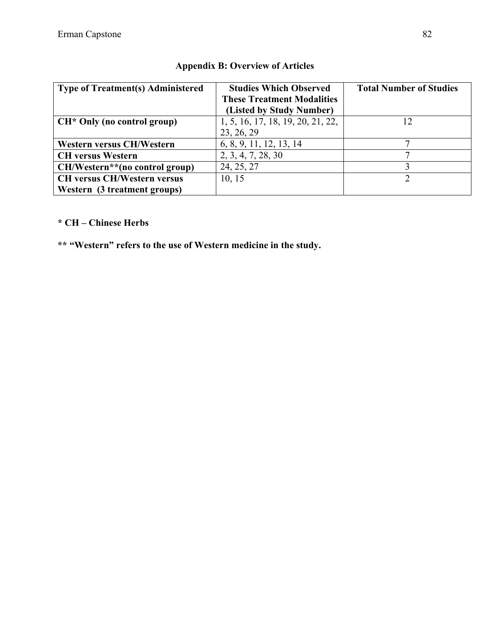| <b>Type of Treatment(s) Administered</b> | <b>Studies Which Observed</b>     | <b>Total Number of Studies</b> |
|------------------------------------------|-----------------------------------|--------------------------------|
|                                          | <b>These Treatment Modalities</b> |                                |
|                                          | (Listed by Study Number)          |                                |
| $CH*$ Only (no control group)            | 1, 5, 16, 17, 18, 19, 20, 21, 22, | 12                             |
|                                          | 23, 26, 29                        |                                |
| <b>Western versus CH/Western</b>         | 6, 8, 9, 11, 12, 13, 14           |                                |
| <b>CH</b> versus Western                 | 2, 3, 4, 7, 28, 30                |                                |
| CH/Western**(no control group)           | 24, 25, 27                        |                                |
| <b>CH versus CH/Western versus</b>       | 10, 15                            |                                |
| Western (3 treatment groups)             |                                   |                                |

### **Appendix B: Overview of Articles**

### **\* CH – Chinese Herbs**

**\*\* "Western" refers to the use of Western medicine in the study.**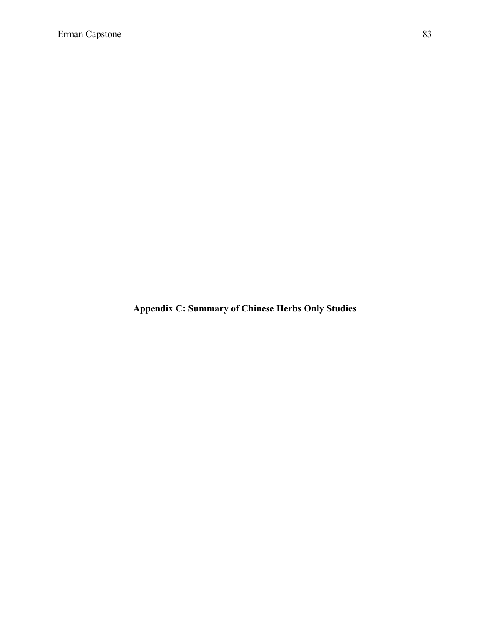**Appendix C: Summary of Chinese Herbs Only Studies**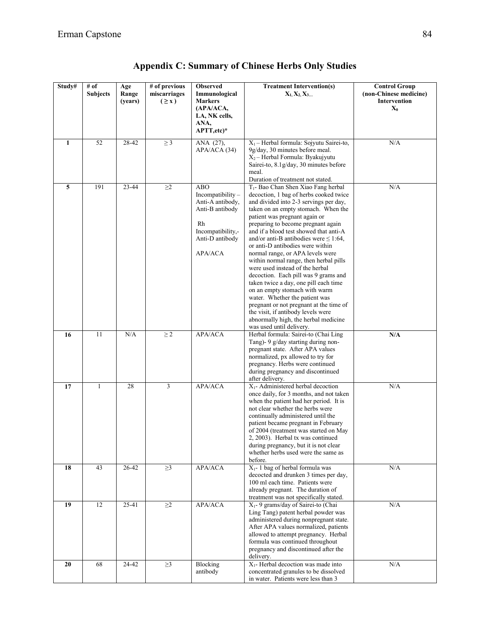| Study#       | $\#$ of<br><b>Subjects</b> | Age<br>Range | # of previous<br>miscarriages | <b>Observed</b><br>Immunological                                                                                                      | <b>Treatment Intervention(s)</b><br>$X_1, X_2, X_3$                                                                                                                                                                                                                                                                                                                                                                                                                                                                                                                                                                                                                                                                                                                                                      | <b>Control Group</b><br>(non-Chinese medicine)<br><b>Intervention</b> |
|--------------|----------------------------|--------------|-------------------------------|---------------------------------------------------------------------------------------------------------------------------------------|----------------------------------------------------------------------------------------------------------------------------------------------------------------------------------------------------------------------------------------------------------------------------------------------------------------------------------------------------------------------------------------------------------------------------------------------------------------------------------------------------------------------------------------------------------------------------------------------------------------------------------------------------------------------------------------------------------------------------------------------------------------------------------------------------------|-----------------------------------------------------------------------|
|              |                            | (years)      | (2x)                          | <b>Markers</b><br>(APA/ACA,<br>LA, NK cells,<br>ANA,<br>APTT, etc)*                                                                   |                                                                                                                                                                                                                                                                                                                                                                                                                                                                                                                                                                                                                                                                                                                                                                                                          | $\mathbf{X}_0$                                                        |
| $\mathbf{1}$ | 52                         | 28-42        | $\geq$ 3                      | ANA (27),<br>APA/ACA (34)                                                                                                             | $X_1$ – Herbal formula: Sojyutu Sairei-to,<br>9g/day, 30 minutes before meal.<br>$X_2$ – Herbal Formula: Byakujyutu<br>Sairei-to, 8.1g/day, 30 minutes before<br>meal.<br>Duration of treatment not stated.                                                                                                                                                                                                                                                                                                                                                                                                                                                                                                                                                                                              | N/A                                                                   |
| 5            | 191                        | 23-44        | $\geq$ 2                      | <b>ABO</b><br>Incompatibility-<br>Anti-A antibody,<br>Anti-B antibody<br>Rh<br>Incompatibility,-<br>Anti-D antibody<br><b>APA/ACA</b> | T <sub>1</sub> - Bao Chan Shen Xiao Fang herbal<br>decoction, 1 bag of herbs cooked twice<br>and divided into 2-3 servings per day,<br>taken on an empty stomach. When the<br>patient was pregnant again or<br>preparing to become pregnant again<br>and if a blood test showed that anti-A<br>and/or anti-B antibodies were $\leq 1:64$ ,<br>or anti-D antibodies were within<br>normal range, or APA levels were<br>within normal range, then herbal pills<br>were used instead of the herbal<br>decoction. Each pill was 9 grams and<br>taken twice a day, one pill each time<br>on an empty stomach with warm<br>water. Whether the patient was<br>pregnant or not pregnant at the time of<br>the visit, if antibody levels were<br>abnormally high, the herbal medicine<br>was used until delivery. | N/A                                                                   |
| 16           | 11                         | N/A          | $\geq$ 2                      | APA/ACA                                                                                                                               | Herbal formula: Sairei-to (Chai Ling<br>Tang)- 9 g/day starting during non-<br>pregnant state. After APA values<br>normalized, px allowed to try for<br>pregnancy. Herbs were continued<br>during pregnancy and discontinued<br>after delivery.                                                                                                                                                                                                                                                                                                                                                                                                                                                                                                                                                          | N/A                                                                   |
| 17           | $\mathbf{1}$               | 28           | 3                             | APA/ACA                                                                                                                               | X <sub>1</sub> - Administered herbal decoction<br>once daily, for 3 months, and not taken<br>when the patient had her period. It is<br>not clear whether the herbs were<br>continually administered until the<br>patient became pregnant in February<br>of 2004 (treatment was started on May<br>2, 2003). Herbal tx was continued<br>during pregnancy, but it is not clear<br>whether herbs used were the same as<br>before.                                                                                                                                                                                                                                                                                                                                                                            | N/A                                                                   |
| 18           | 43                         | $26 - 42$    | $\geq$ 3                      | APA/ACA                                                                                                                               | $X_1$ - 1 bag of herbal formula was<br>decocted and drunken 3 times per day,<br>100 ml each time. Patients were<br>already pregnant. The duration of<br>treatment was not specifically stated.                                                                                                                                                                                                                                                                                                                                                                                                                                                                                                                                                                                                           | N/A                                                                   |
| 19           | 12                         | $25 - 41$    | $\geq$ 2                      | APA/ACA                                                                                                                               | X <sub>1</sub> - 9 grams/day of Sairei-to (Chai<br>Ling Tang) patent herbal powder was<br>administered during nonpregnant state.<br>After APA values normalized, patients<br>allowed to attempt pregnancy. Herbal<br>formula was continued throughout<br>pregnancy and discontinued after the<br>delivery.                                                                                                                                                                                                                                                                                                                                                                                                                                                                                               | N/A                                                                   |
| 20           | 68                         | 24-42        | $\geq$ 3                      | Blocking<br>antibody                                                                                                                  | X <sub>1</sub> - Herbal decoction was made into<br>concentrated granules to be dissolved<br>in water. Patients were less than 3                                                                                                                                                                                                                                                                                                                                                                                                                                                                                                                                                                                                                                                                          | N/A                                                                   |

**Appendix C: Summary of Chinese Herbs Only Studies**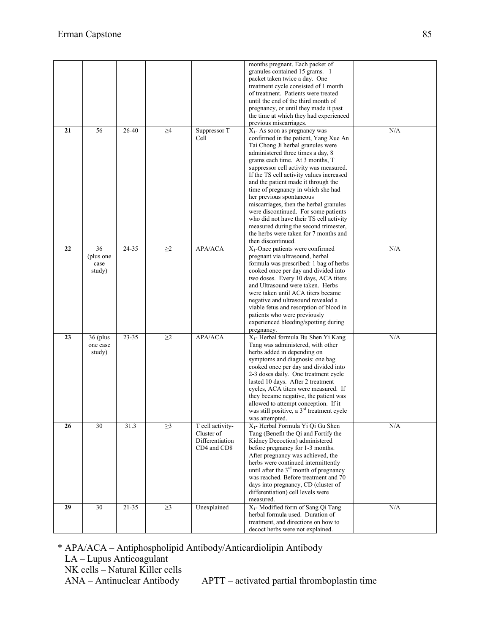|    |                                   |           |          |                                                                  | months pregnant. Each packet of<br>granules contained 15 grams. 1<br>packet taken twice a day. One<br>treatment cycle consisted of 1 month<br>of treatment. Patients were treated<br>until the end of the third month of<br>pregnancy, or until they made it past<br>the time at which they had experienced<br>previous miscarriages.                                                                                                                                                                                                                                                                                      |     |
|----|-----------------------------------|-----------|----------|------------------------------------------------------------------|----------------------------------------------------------------------------------------------------------------------------------------------------------------------------------------------------------------------------------------------------------------------------------------------------------------------------------------------------------------------------------------------------------------------------------------------------------------------------------------------------------------------------------------------------------------------------------------------------------------------------|-----|
| 21 | 56                                | $26 - 40$ | $\geq 4$ | Suppressor T<br>Cell                                             | $X_1$ - As soon as pregnancy was<br>confirmed in the patient, Yang Xue An<br>Tai Chong Ji herbal granules were<br>administered three times a day, 8<br>grams each time. At 3 months, T<br>suppressor cell activity was measured.<br>If the TS cell activity values increased<br>and the patient made it through the<br>time of pregnancy in which she had<br>her previous spontaneous<br>miscarriages, then the herbal granules<br>were discontinued. For some patients<br>who did not have their TS cell activity<br>measured during the second trimester,<br>the herbs were taken for 7 months and<br>then discontinued. | N/A |
| 22 | 36<br>(plus one<br>case<br>study) | 24-35     | $\geq$ 2 | <b>APA/ACA</b>                                                   | $X_1$ -Once patients were confirmed<br>pregnant via ultrasound, herbal<br>formula was prescribed: 1 bag of herbs<br>cooked once per day and divided into<br>two doses. Every 10 days, ACA titers<br>and Ultrasound were taken. Herbs<br>were taken until ACA titers became<br>negative and ultrasound revealed a<br>viable fetus and resorption of blood in<br>patients who were previously<br>experienced bleeding/spotting during<br>pregnancy.                                                                                                                                                                          | N/A |
| 23 | $36$ (plus<br>one case<br>study)  | 23-35     | $\geq$ 2 | APA/ACA                                                          | X <sub>1</sub> - Herbal formula Bu Shen Yi Kang<br>Tang was administered, with other<br>herbs added in depending on<br>symptoms and diagnosis: one bag<br>cooked once per day and divided into<br>2-3 doses daily. One treatment cycle<br>lasted 10 days. After 2 treatment<br>cycles, ACA titers were measured. If<br>they became negative, the patient was<br>allowed to attempt conception. If it<br>was still positive, a 3 <sup>rd</sup> treatment cycle<br>was attempted.                                                                                                                                            | N/A |
| 26 | 30                                | 31.3      | $\geq$ 3 | T cell activity-<br>Cluster of<br>Differentiation<br>CD4 and CD8 | $X_1$ - Herbal Formula Yi Qi Gu Shen<br>Tang (Benefit the Oi and Fortify the<br>Kidney Decoction) administered<br>before pregnancy for 1-3 months.<br>After pregnancy was achieved, the<br>herbs were continued intermittently<br>until after the 3 <sup>rd</sup> month of pregnancy<br>was reached. Before treatment and 70<br>days into pregnancy, CD (cluster of<br>differentiation) cell levels were<br>measured.                                                                                                                                                                                                      | N/A |
| 29 | 30                                | 21-35     | $\geq$ 3 | Unexplained                                                      | X <sub>1</sub> - Modified form of Sang Qi Tang<br>herbal formula used. Duration of<br>treatment, and directions on how to<br>decoct herbs were not explained.                                                                                                                                                                                                                                                                                                                                                                                                                                                              | N/A |

\* APA/ACA – Antiphospholipid Antibody/Anticardiolipin Antibody

LA – Lupus Anticoagulant NK cells – Natural Killer cells<br>ANA – Antinuclear Antibody

APTT – activated partial thromboplastin time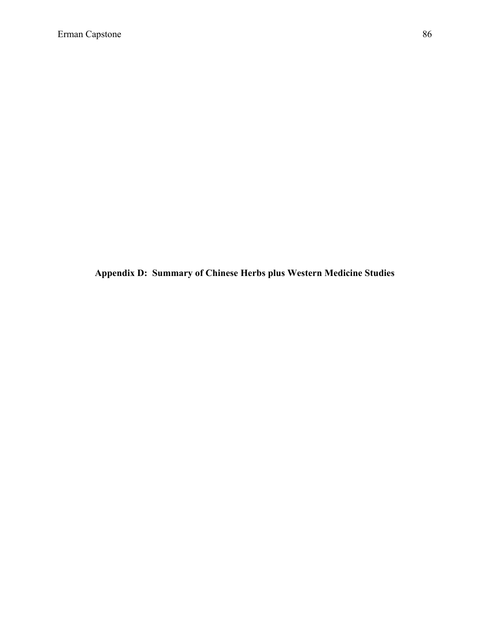**Appendix D: Summary of Chinese Herbs plus Western Medicine Studies**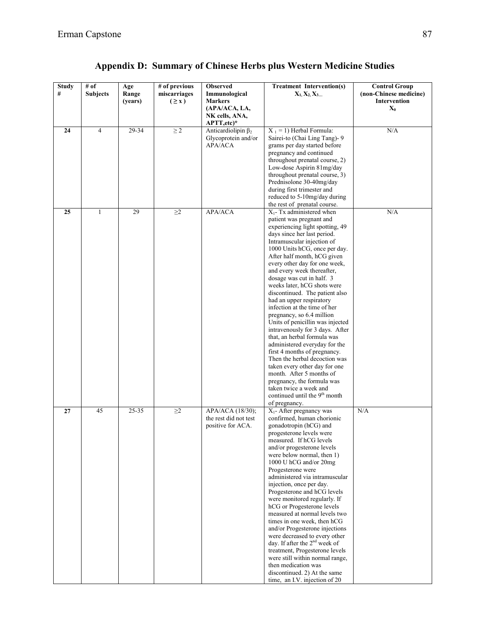| <b>Study</b> | # of            | Age     | # of previous | <b>Observed</b>           | <b>Treatment Intervention(s)</b>                              | <b>Control Group</b>   |
|--------------|-----------------|---------|---------------|---------------------------|---------------------------------------------------------------|------------------------|
| #            | <b>Subjects</b> | Range   | miscarriages  | Immunological             | $X_1, X_2, X_3$                                               | (non-Chinese medicine) |
|              |                 | (years) | (2x)          | <b>Markers</b>            |                                                               | Intervention           |
|              |                 |         |               | (APA/ACA, LA,             |                                                               | $\mathbf{X}_0$         |
|              |                 |         |               | NK cells, ANA,            |                                                               |                        |
|              |                 |         |               | APTT, etc)*               |                                                               |                        |
| 24           | $\overline{4}$  | 29-34   | $\geq 2$      | Anticardiolipin $\beta_2$ | $X_1 = 1$ ) Herbal Formula:                                   | N/A                    |
|              |                 |         |               | Glycoprotein and/or       | Sairei-to (Chai Ling Tang)- 9                                 |                        |
|              |                 |         |               | APA/ACA                   | grams per day started before                                  |                        |
|              |                 |         |               |                           | pregnancy and continued                                       |                        |
|              |                 |         |               |                           | throughout prenatal course, 2)                                |                        |
|              |                 |         |               |                           | Low-dose Aspirin 81mg/day<br>throughout prenatal course, 3)   |                        |
|              |                 |         |               |                           | Prednisolone 30-40mg/day                                      |                        |
|              |                 |         |               |                           | during first trimester and                                    |                        |
|              |                 |         |               |                           | reduced to 5-10mg/day during                                  |                        |
|              |                 |         |               |                           | the rest of prenatal course.                                  |                        |
| 25           | $\mathbf{1}$    | 29      | $\geq$ 2      | APA/ACA                   | $X_1$ - Tx administered when                                  | N/A                    |
|              |                 |         |               |                           | patient was pregnant and                                      |                        |
|              |                 |         |               |                           | experiencing light spotting, 49                               |                        |
|              |                 |         |               |                           | days since her last period.                                   |                        |
|              |                 |         |               |                           | Intramuscular injection of                                    |                        |
|              |                 |         |               |                           | 1000 Units hCG, once per day.                                 |                        |
|              |                 |         |               |                           | After half month, hCG given                                   |                        |
|              |                 |         |               |                           | every other day for one week,                                 |                        |
|              |                 |         |               |                           | and every week thereafter,                                    |                        |
|              |                 |         |               |                           | dosage was cut in half. 3                                     |                        |
|              |                 |         |               |                           | weeks later, hCG shots were                                   |                        |
|              |                 |         |               |                           | discontinued. The patient also                                |                        |
|              |                 |         |               |                           | had an upper respiratory                                      |                        |
|              |                 |         |               |                           | infection at the time of her                                  |                        |
|              |                 |         |               |                           | pregnancy, so 6.4 million                                     |                        |
|              |                 |         |               |                           | Units of penicillin was injected                              |                        |
|              |                 |         |               |                           | intravenously for 3 days. After                               |                        |
|              |                 |         |               |                           | that, an herbal formula was                                   |                        |
|              |                 |         |               |                           | administered everyday for the<br>first 4 months of pregnancy. |                        |
|              |                 |         |               |                           | Then the herbal decoction was                                 |                        |
|              |                 |         |               |                           | taken every other day for one                                 |                        |
|              |                 |         |               |                           | month. After 5 months of                                      |                        |
|              |                 |         |               |                           | pregnancy, the formula was                                    |                        |
|              |                 |         |               |                           | taken twice a week and                                        |                        |
|              |                 |         |               |                           | continued until the 9 <sup>th</sup> month                     |                        |
|              |                 |         |               |                           | of pregnancy.                                                 |                        |
| 27           | 45              | 25-35   | $\geq$ 2      | APA/ACA (18/30);          | $X_1$ - After pregnancy was                                   | N/A                    |
|              |                 |         |               | the rest did not test     | confirmed, human chorionic                                    |                        |
|              |                 |         |               | positive for ACA.         | gonadotropin (hCG) and                                        |                        |
|              |                 |         |               |                           | progesterone levels were                                      |                        |
|              |                 |         |               |                           | measured. If hCG levels                                       |                        |
|              |                 |         |               |                           | and/or progesterone levels                                    |                        |
|              |                 |         |               |                           | were below normal, then 1)                                    |                        |
|              |                 |         |               |                           | 1000 U hCG and/or 20mg                                        |                        |
|              |                 |         |               |                           | Progesterone were                                             |                        |
|              |                 |         |               |                           | administered via intramuscular                                |                        |
|              |                 |         |               |                           | injection, once per day.                                      |                        |
|              |                 |         |               |                           | Progesterone and hCG levels<br>were monitored regularly. If   |                        |
|              |                 |         |               |                           | hCG or Progesterone levels                                    |                        |
|              |                 |         |               |                           | measured at normal levels two                                 |                        |
|              |                 |         |               |                           | times in one week, then hCG                                   |                        |
|              |                 |         |               |                           | and/or Progesterone injections                                |                        |
|              |                 |         |               |                           | were decreased to every other                                 |                        |
|              |                 |         |               |                           | day. If after the 2 <sup>nd</sup> week of                     |                        |
|              |                 |         |               |                           | treatment, Progesterone levels                                |                        |
|              |                 |         |               |                           | were still within normal range,                               |                        |
|              |                 |         |               |                           | then medication was                                           |                        |
|              |                 |         |               |                           | discontinued. 2) At the same                                  |                        |

time, an I.V. injection of 20

# **Appendix D: Summary of Chinese Herbs plus Western Medicine Studies**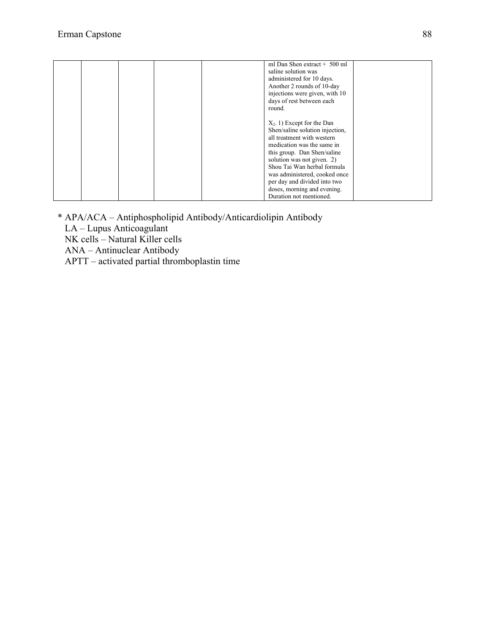|  | ml Dan Shen extract + 500 ml    |  |
|--|---------------------------------|--|
|  | saline solution was             |  |
|  | administered for 10 days.       |  |
|  | Another 2 rounds of 10-day      |  |
|  | injections were given, with 10  |  |
|  | days of rest between each       |  |
|  | round.                          |  |
|  |                                 |  |
|  | $X_2$ . 1) Except for the Dan   |  |
|  | Shen/saline solution injection, |  |
|  | all treatment with western      |  |
|  | medication was the same in      |  |
|  | this group. Dan Shen/saline     |  |
|  | solution was not given. 2)      |  |
|  | Shou Tai Wan herbal formula     |  |
|  | was administered, cooked once   |  |
|  |                                 |  |
|  | per day and divided into two    |  |
|  | doses, morning and evening.     |  |
|  | Duration not mentioned.         |  |

- \* APA/ACA Antiphospholipid Antibody/Anticardiolipin Antibody
	- LA Lupus Anticoagulant
	- NK cells Natural Killer cells
	- ANA Antinuclear Antibody
	- APTT activated partial thromboplastin time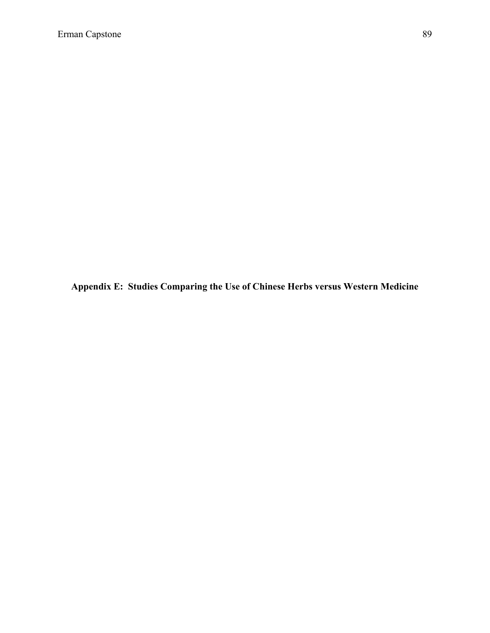**Appendix E: Studies Comparing the Use of Chinese Herbs versus Western Medicine**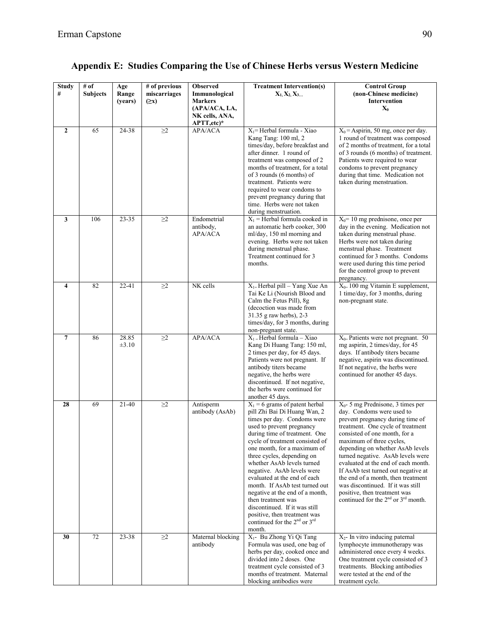| <b>Study</b><br>#       | # $of$<br><b>Subjects</b> | Age<br>Range<br>(years) | # of previous<br>miscarriages<br>$(\geq x)$ | <b>Observed</b><br>Immunological<br><b>Markers</b> | <b>Treatment Intervention(s)</b><br>$X_1, X_2, X_3$                                                                                                                                                                                                                                                                                                                                                                                                                                                                                                                 | <b>Control Group</b><br>(non-Chinese medicine)<br>Intervention                                                                                                                                                                                                                                                                                                                                                                                                                                                       |
|-------------------------|---------------------------|-------------------------|---------------------------------------------|----------------------------------------------------|---------------------------------------------------------------------------------------------------------------------------------------------------------------------------------------------------------------------------------------------------------------------------------------------------------------------------------------------------------------------------------------------------------------------------------------------------------------------------------------------------------------------------------------------------------------------|----------------------------------------------------------------------------------------------------------------------------------------------------------------------------------------------------------------------------------------------------------------------------------------------------------------------------------------------------------------------------------------------------------------------------------------------------------------------------------------------------------------------|
|                         |                           |                         |                                             | (APA/ACA, LA,<br>NK cells, ANA,<br>APT, etc.       |                                                                                                                                                                                                                                                                                                                                                                                                                                                                                                                                                                     | $\mathbf{X}_0$                                                                                                                                                                                                                                                                                                                                                                                                                                                                                                       |
| $\mathbf{2}$            | 65                        | 24-38                   | $\geq$ 2                                    | <b>APA/ACA</b>                                     | $X_1$ = Herbal formula - Xiao<br>Kang Tang: 100 ml, 2<br>times/day, before breakfast and<br>after dinner. 1 round of<br>treatment was composed of 2<br>months of treatment, for a total<br>of 3 rounds (6 months) of<br>treatment. Patients were<br>required to wear condoms to<br>prevent pregnancy during that<br>time. Herbs were not taken<br>during menstruation.                                                                                                                                                                                              | $X_0$ = Aspirin, 50 mg, once per day.<br>1 round of treatment was composed<br>of 2 months of treatment, for a total<br>of 3 rounds (6 months) of treatment.<br>Patients were required to wear<br>condoms to prevent pregnancy<br>during that time. Medication not<br>taken during menstruation.                                                                                                                                                                                                                      |
| 3                       | 106                       | 23-35                   | $\geq$ 2                                    | Endometrial<br>antibody,<br><b>APA/ACA</b>         | $X_1$ = Herbal formula cooked in<br>an automatic herb cooker, 300<br>ml/day, 150 ml morning and<br>evening. Herbs were not taken<br>during menstrual phase.<br>Treatment continued for 3<br>months.                                                                                                                                                                                                                                                                                                                                                                 | $X_0$ = 10 mg prednisone, once per<br>day in the evening. Medication not<br>taken during menstrual phase.<br>Herbs were not taken during<br>menstrual phase. Treatment<br>continued for 3 months. Condoms<br>were used during this time period<br>for the control group to prevent<br>pregnancy.                                                                                                                                                                                                                     |
| $\overline{\mathbf{4}}$ | 82                        | $22 - 41$               | $\geq$ 2                                    | NK cells                                           | $X_{1}$ Herbal pill – Yang Xue An<br>Tai Ke Li (Nourish Blood and<br>Calm the Fetus Pill), 8g<br>(decoction was made from<br>31.35 g raw herbs), 2-3<br>times/day, for 3 months, during<br>non-pregnant state.                                                                                                                                                                                                                                                                                                                                                      | $X_{0}$ = 100 mg Vitamin E supplement,<br>1 time/day, for 3 months, during<br>non-pregnant state.                                                                                                                                                                                                                                                                                                                                                                                                                    |
| $\overline{7}$          | 86                        | 28.85<br>$\pm 3.10$     | $\geq$ 2                                    | APA/ACA                                            | $X_1$ = Herbal formula – Xiao<br>Kang Di Huang Tang: 150 ml,<br>2 times per day, for 45 days.<br>Patients were not pregnant. If<br>antibody titers became<br>negative, the herbs were<br>discontinued. If not negative,<br>the herbs were continued for<br>another 45 days.                                                                                                                                                                                                                                                                                         | $X_{0}$ Patients were not pregnant. 50<br>mg aspirin, 2 times/day, for 45<br>days. If antibody titers became<br>negative, aspirin was discontinued.<br>If not negative, the herbs were<br>continued for another 45 days.                                                                                                                                                                                                                                                                                             |
| 28                      | 69                        | $21-40$                 | $\geq\!\!2$                                 | Antisperm<br>antibody (AsAb)                       | $X_1 = 6$ grams of patent herbal<br>pill Zhi Bai Di Huang Wan, 2<br>times per day. Condoms were<br>used to prevent pregnancy<br>during time of treatment. One<br>cycle of treatment consisted of<br>one month, for a maximum of<br>three cycles, depending on<br>whether AsAb levels turned<br>negative. AsAb levels were<br>evaluated at the end of each<br>month. If AsAb test turned out<br>negative at the end of a month,<br>then treatment was<br>discontinued. If it was still<br>positive, then treatment was<br>continued for the $2nd$ or $3rd$<br>month. | $X_0$ - 5 mg Prednisone, 3 times per<br>day. Condoms were used to<br>prevent pregnancy during time of<br>treatment. One cycle of treatment<br>consisted of one month, for a<br>maximum of three cycles,<br>depending on whether AsAb levels<br>turned negative. AsAb levels were<br>evaluated at the end of each month.<br>If AsAb test turned out negative at<br>the end of a month, then treatment<br>was discontinued. If it was still<br>positive, then treatment was<br>continued for the $2nd$ or $3rd$ month. |
| 30                      | 72                        | 23-38                   | $\geq$ 2                                    | Maternal blocking<br>antibody                      | X <sub>1</sub> - Bu Zhong Yi Qi Tang<br>Formula was used, one bag of<br>herbs per day, cooked once and<br>divided into 2 doses. One<br>treatment cycle consisted of 3<br>months of treatment. Maternal<br>blocking antibodies were                                                                                                                                                                                                                                                                                                                                  | $X_2$ - In vitro inducing paternal<br>lymphocyte immunotherapy was<br>administered once every 4 weeks.<br>One treatment cycle consisted of 3<br>treatments. Blocking antibodies<br>were tested at the end of the<br>treatment cycle.                                                                                                                                                                                                                                                                                 |

# **Appendix E: Studies Comparing the Use of Chinese Herbs versus Western Medicine**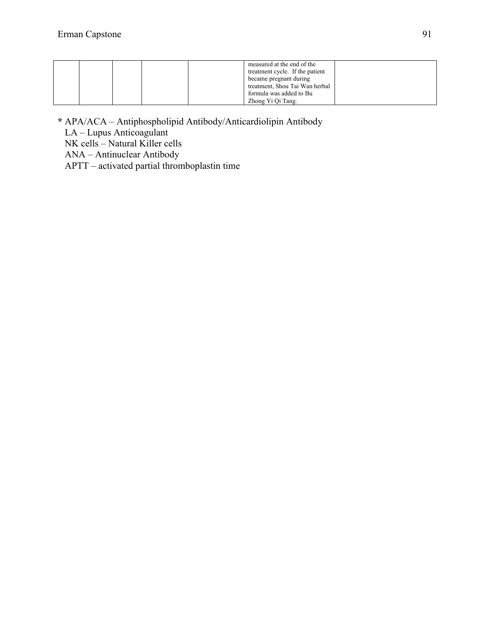|  | measured at the end of the<br>treatment cycle. If the patient<br>became pregnant during |  |
|--|-----------------------------------------------------------------------------------------|--|
|  | treatment, Shou Tai Wan herbal                                                          |  |
|  | formula was added to Bu                                                                 |  |
|  | Zhong Yi Qi Tang.                                                                       |  |

**\*** APA/ACA – Antiphospholipid Antibody/Anticardiolipin Antibody

LA – Lupus Anticoagulant

NK cells – Natural Killer cells

ANA – Antinuclear Antibody

APTT – activated partial thromboplastin time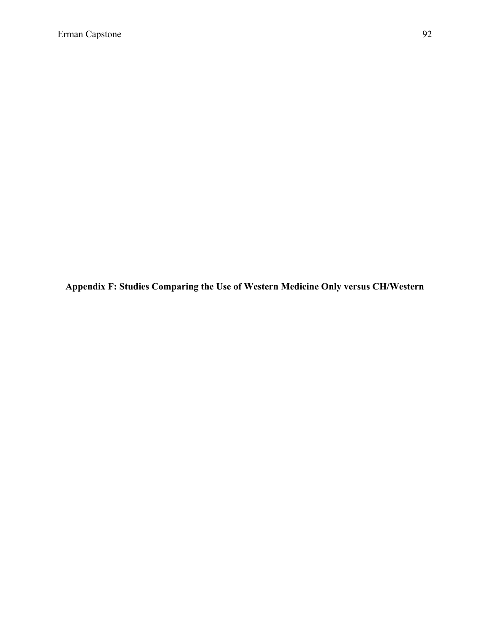**Appendix F: Studies Comparing the Use of Western Medicine Only versus CH/Western**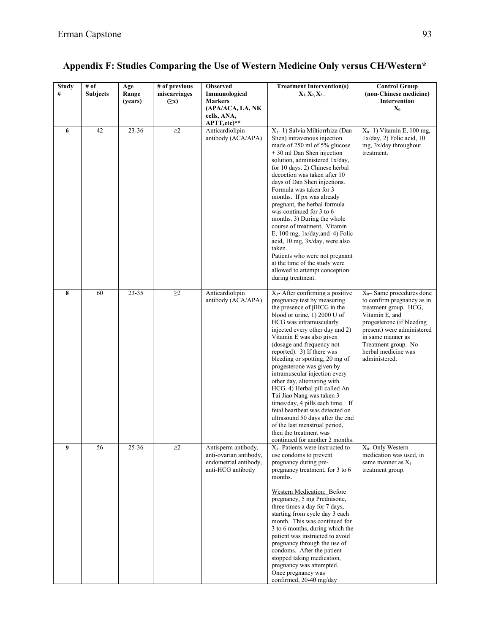| <b>Study</b><br># | # of<br><b>Subjects</b> | Age<br>Range<br>(years) | # of previous<br>miscarriages<br>$(\geq x)$ | <b>Observed</b><br>Immunological<br><b>Markers</b><br>(APA/ACA, LA, NK<br>cells, ANA,<br>APTT, etc)** | <b>Treatment Intervention(s)</b><br>$X_1, X_2, X_3$                                                                                                                                                                                                                                                                                                                                                                                                                                                                                                                                                                                                                           | <b>Control Group</b><br>(non-Chinese medicine)<br><b>Intervention</b><br>$X_0$                                                                                                                                                                      |
|-------------------|-------------------------|-------------------------|---------------------------------------------|-------------------------------------------------------------------------------------------------------|-------------------------------------------------------------------------------------------------------------------------------------------------------------------------------------------------------------------------------------------------------------------------------------------------------------------------------------------------------------------------------------------------------------------------------------------------------------------------------------------------------------------------------------------------------------------------------------------------------------------------------------------------------------------------------|-----------------------------------------------------------------------------------------------------------------------------------------------------------------------------------------------------------------------------------------------------|
| 6                 | 42                      | 23-36                   | $\geq$ 2                                    | Anticardiolipin<br>antibody (ACA/APA)                                                                 | $X_1$ - 1) Salvia Miltiorrhiza (Dan<br>Shen) intravenous injection<br>made of 250 ml of 5% glucose<br>+ 30 ml Dan Shen injection<br>solution, administered 1x/day,<br>for 10 days. 2) Chinese herbal<br>decoction was taken after 10<br>days of Dan Shen injections.<br>Formula was taken for 3<br>months. If px was already<br>pregnant, the herbal formula<br>was continued for 3 to 6<br>months. 3) During the whole<br>course of treatment, Vitamin<br>E, $100 \text{ mg}$ , $1x/day$ , and 4) Folic<br>acid, 10 mg, 3x/day, were also<br>taken.<br>Patients who were not pregnant<br>at the time of the study were<br>allowed to attempt conception<br>during treatment. | $X_0$ - 1) Vitamin E, 100 mg,<br>$1x/day, 2)$ Folic acid, 10<br>mg, 3x/day throughout<br>treatment.                                                                                                                                                 |
| 8                 | 60                      | $23 - 35$               | $\geq$ 2                                    | Anticardiolipin<br>antibody (ACA/APA)                                                                 | $X_1$ - After confirming a positive<br>pregnancy test by measuring<br>the presence of $\beta$ HCG in the<br>blood or urine, 1) 2000 U of<br>HCG was intramuscularly<br>injected every other day and 2)<br>Vitamin E was also given<br>(dosage and frequency not<br>reported). 3) If there was<br>bleeding or spotting, 20 mg of<br>progesterone was given by<br>intramuscular injection every                                                                                                                                                                                                                                                                                 | $X_0$ -Same procedures done<br>to confirm pregnancy as in<br>treatment group. HCG,<br>Vitamin E, and<br>progesterone (if bleeding<br>present) were administered<br>in same manner as<br>Treatment group. No<br>herbal medicine was<br>administered. |

anti-ovarian antibody, endometrial antibody, anti-HCG antibody

**9** 56 25-36  $\geq$  2 Antisperm antibody,

other day, alternating with HCG. 4) Herbal pill called An Tai Jiao Nang was taken 3 times/day, 4 pills each time. If fetal heartbeat was detected on ultrasound 50 days after the end of the last menstrual period, then the treatment was continued for another 2 months.

X1- Patients were instructed to use condoms to prevent pregnancy during prepregnancy treatment, for 3 to 6

X0- Only Western medication was used, in same manner as  $X_1$ treatment group.

Western Medication: Before pregnancy, 5 mg Prednisone, three times a day for 7 days, starting from cycle day 3 each month. This was continued for 3 to 6 months, during which the patient was instructed to avoid pregnancy through the use of condoms. After the patient stopped taking medication, pregnancy was attempted. Once pregnancy was confirmed, 20-40 mg/day

months.

### **Appendix F: Studies Comparing the Use of Western Medicine Only versus CH/Western\***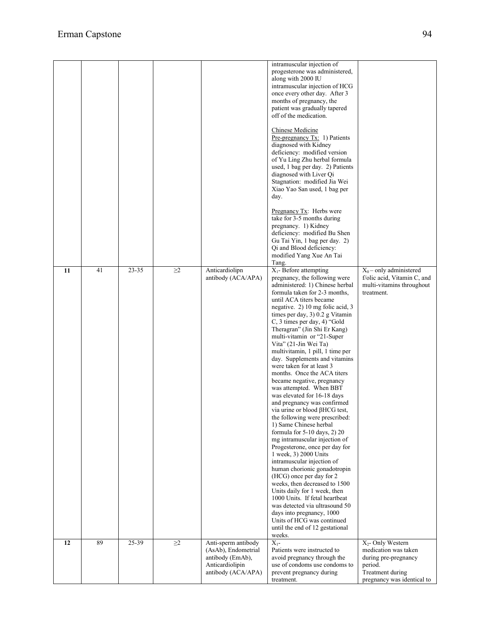|    |    |           |          |                                                                                                         | intramuscular injection of<br>progesterone was administered,<br>along with 2000 IU<br>intramuscular injection of HCG<br>once every other day. After 3<br>months of pregnancy, the<br>patient was gradually tapered<br>off of the medication.<br>Chinese Medicine<br>Pre-pregnancy Tx: 1) Patients<br>diagnosed with Kidney<br>deficiency: modified version<br>of Yu Ling Zhu herbal formula<br>used, 1 bag per day. 2) Patients<br>diagnosed with Liver Qi<br>Stagnation: modified Jia Wei<br>Xiao Yao San used, 1 bag per<br>day.<br>Pregnancy $Tx$ : Herbs were                                                                                                                                                                                                                                                                                                                                                                                                                                                                                                                                                                                                               |                                                                                                                                            |
|----|----|-----------|----------|---------------------------------------------------------------------------------------------------------|---------------------------------------------------------------------------------------------------------------------------------------------------------------------------------------------------------------------------------------------------------------------------------------------------------------------------------------------------------------------------------------------------------------------------------------------------------------------------------------------------------------------------------------------------------------------------------------------------------------------------------------------------------------------------------------------------------------------------------------------------------------------------------------------------------------------------------------------------------------------------------------------------------------------------------------------------------------------------------------------------------------------------------------------------------------------------------------------------------------------------------------------------------------------------------|--------------------------------------------------------------------------------------------------------------------------------------------|
|    |    |           |          |                                                                                                         | take for 3-5 months during<br>pregnancy. 1) Kidney<br>deficiency: modified Bu Shen<br>Gu Tai Yin, 1 bag per day. 2)<br>Qi and Blood deficiency:<br>modified Yang Xue An Tai<br>Tang.                                                                                                                                                                                                                                                                                                                                                                                                                                                                                                                                                                                                                                                                                                                                                                                                                                                                                                                                                                                            |                                                                                                                                            |
| 11 | 41 | $23 - 35$ | $\geq$ 2 | Anticardiolipn<br>antibody (ACA/APA)                                                                    | $X_1$ - Before attempting<br>pregnancy, the following were<br>administered: 1) Chinese herbal<br>formula taken for 2-3 months,<br>until ACA titers became<br>negative. 2) 10 mg folic acid, 3<br>times per day, 3) 0.2 g Vitamin<br>C, 3 times per day, 4) "Gold<br>Theragran" (Jin Shi Er Kang)<br>multi-vitamin or "21-Super<br>Vita" (21-Jin Wei Ta)<br>multivitamin, 1 pill, 1 time per<br>day. Supplements and vitamins<br>were taken for at least 3<br>months. Once the ACA titers<br>became negative, pregnancy<br>was attempted. When BBT<br>was elevated for 16-18 days<br>and pregnancy was confirmed<br>via urine or blood βHCG test,<br>the following were prescribed:<br>1) Same Chinese herbal<br>formula for 5-10 days, 2) 20<br>mg intramuscular injection of<br>Progesterone, once per day for<br>1 week, 3) 2000 Units<br>intramuscular injection of<br>human chorionic gonadotropin<br>(HCG) once per day for 2<br>weeks, then decreased to 1500<br>Units daily for 1 week, then<br>1000 Units. If fetal heartbeat<br>was detected via ultrasound 50<br>days into pregnancy, 1000<br>Units of HCG was continued<br>until the end of 12 gestational<br>weeks. | $X_0$ – only administered<br>f/olic acid, Vitamin C, and<br>multi-vitamins throughout<br>treatment.                                        |
| 12 | 89 | 25-39     | $\geq$ 2 | Anti-sperm antibody<br>(AsAb), Endometrial<br>antibody (EmAb),<br>Anticardiolipin<br>antibody (ACA/APA) | $X_{1}$ -<br>Patients were instructed to<br>avoid pregnancy through the<br>use of condoms use condoms to<br>prevent pregnancy during<br>treatment.                                                                                                                                                                                                                                                                                                                                                                                                                                                                                                                                                                                                                                                                                                                                                                                                                                                                                                                                                                                                                              | X <sub>2</sub> - Only Western<br>medication was taken<br>during pre-pregnancy<br>period.<br>Treatment during<br>pregnancy was identical to |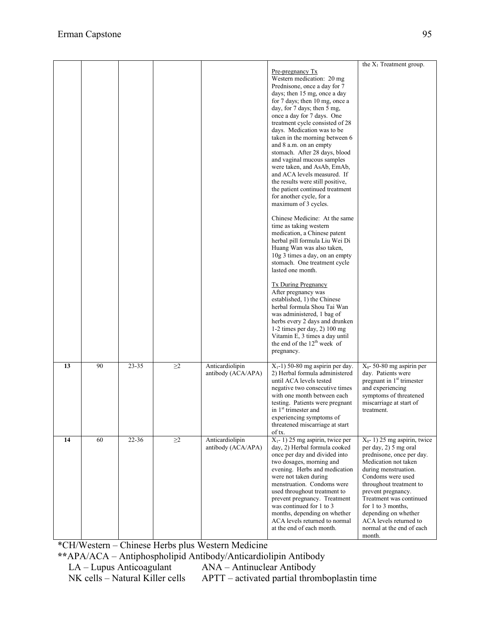|    |    |       |          |                                       | Pre-pregnancy Tx<br>Western medication: 20 mg<br>Prednisone, once a day for 7<br>days; then 15 mg, once a day<br>for 7 days; then 10 mg, once a<br>day, for 7 days; then 5 mg,<br>once a day for 7 days. One<br>treatment cycle consisted of 28<br>days. Medication was to be<br>taken in the morning between 6<br>and 8 a.m. on an empty<br>stomach. After 28 days, blood<br>and vaginal mucous samples<br>were taken, and AsAb, EmAb,<br>and ACA levels measured. If<br>the results were still positive,<br>the patient continued treatment<br>for another cycle, for a<br>maximum of 3 cycles.<br>Chinese Medicine: At the same<br>time as taking western<br>medication, a Chinese patent | the $X_1$ Treatment group.                                                                                                                                                                                                                                                                                                                            |
|----|----|-------|----------|---------------------------------------|----------------------------------------------------------------------------------------------------------------------------------------------------------------------------------------------------------------------------------------------------------------------------------------------------------------------------------------------------------------------------------------------------------------------------------------------------------------------------------------------------------------------------------------------------------------------------------------------------------------------------------------------------------------------------------------------|-------------------------------------------------------------------------------------------------------------------------------------------------------------------------------------------------------------------------------------------------------------------------------------------------------------------------------------------------------|
|    |    |       |          |                                       | herbal pill formula Liu Wei Di<br>Huang Wan was also taken,<br>10g 3 times a day, on an empty<br>stomach. One treatment cycle<br>lasted one month.<br><b>Tx During Pregnancy</b><br>After pregnancy was<br>established, 1) the Chinese<br>herbal formula Shou Tai Wan<br>was administered, 1 bag of<br>herbs every 2 days and drunken<br>1-2 times per day, $2)$ 100 mg<br>Vitamin E, 3 times a day until<br>the end of the 12 <sup>th</sup> week of<br>pregnancy.                                                                                                                                                                                                                           |                                                                                                                                                                                                                                                                                                                                                       |
| 13 | 90 | 23-35 | $\geq$ 2 | Anticardiolipin<br>antibody (ACA/APA) | $X_1$ -1) 50-80 mg aspirin per day.<br>2) Herbal formula administered<br>until ACA levels tested<br>negative two consecutive times<br>with one month between each<br>testing. Patients were pregnant<br>in 1 <sup>st</sup> trimester and<br>experiencing symptoms of<br>threatened miscarriage at start<br>of tx.                                                                                                                                                                                                                                                                                                                                                                            | $X_0$ - 50-80 mg aspirin per<br>day. Patients were<br>pregnant in 1 <sup>st</sup> trimester<br>and experiencing<br>symptoms of threatened<br>miscarriage at start of<br>treatment.                                                                                                                                                                    |
| 14 | 60 | 22-36 | $\geq$ 2 | Anticardiolipin<br>antibody (ACA/APA) | $X_1$ - 1) 25 mg aspirin, twice per<br>day, 2) Herbal formula cooked<br>once per day and divided into<br>two dosages, morning and<br>evening. Herbs and medication<br>were not taken during<br>menstruation. Condoms were<br>used throughout treatment to<br>prevent pregnancy. Treatment<br>was continued for 1 to 3<br>months, depending on whether<br>ACA levels returned to normal<br>at the end of each month.                                                                                                                                                                                                                                                                          | $X_0$ - 1) 25 mg aspirin, twice<br>per day, 2) 5 mg oral<br>prednisone, once per day.<br>Medication not taken<br>during menstruation.<br>Condoms were used<br>throughout treatment to<br>prevent pregnancy.<br>Treatment was continued<br>for 1 to 3 months.<br>depending on whether<br>ACA levels returned to<br>normal at the end of each<br>month. |

\*CH/Western – Chinese Herbs plus Western Medicine

**\*\***APA/ACA – Antiphospholipid Antibody/Anticardiolipin Antibody

LA – Lupus Anticoagulant <br>NA – Antinuclear Antibody<br>NK cells – Natural Killer cells APTT – activated partial thron APTT – activated partial thromboplastin time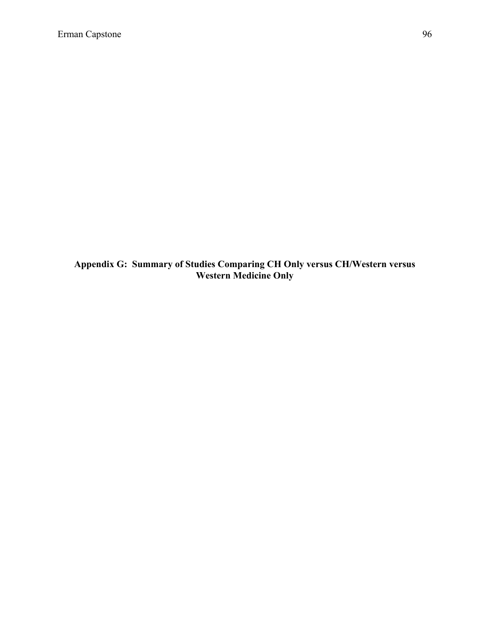**Appendix G: Summary of Studies Comparing CH Only versus CH/Western versus Western Medicine Only**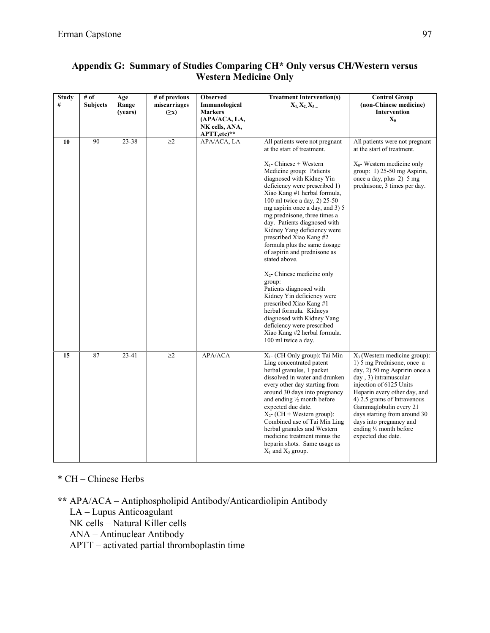| <b>Study</b><br># | # of<br><b>Subjects</b> | Age<br>Range<br>(years) | # of previous<br>miscarriages<br>$(\geq x)$ | <b>Observed</b><br>Immunological<br><b>Markers</b><br>(APA/ACA, LA,<br>NK cells, ANA,<br>APTT, etc)** | <b>Treatment Intervention(s)</b><br>$X_1, X_2, X_3$                                                                                                                                                                                                                                                                                                                                                                                                                                                                                                                                                                                                                                                                                                                          | <b>Control Group</b><br>(non-Chinese medicine)<br><b>Intervention</b><br>$\mathbf{X}_0$                                                                                                                                                                                                                                                                           |
|-------------------|-------------------------|-------------------------|---------------------------------------------|-------------------------------------------------------------------------------------------------------|------------------------------------------------------------------------------------------------------------------------------------------------------------------------------------------------------------------------------------------------------------------------------------------------------------------------------------------------------------------------------------------------------------------------------------------------------------------------------------------------------------------------------------------------------------------------------------------------------------------------------------------------------------------------------------------------------------------------------------------------------------------------------|-------------------------------------------------------------------------------------------------------------------------------------------------------------------------------------------------------------------------------------------------------------------------------------------------------------------------------------------------------------------|
| 10                | 90                      | 23-38                   | $\geq$ 2                                    | APA/ACA, LA                                                                                           | All patients were not pregnant<br>at the start of treatment.<br>$X_1$ - Chinese + Western<br>Medicine group: Patients<br>diagnosed with Kidney Yin<br>deficiency were prescribed 1)<br>Xiao Kang #1 herbal formula,<br>100 ml twice a day, 2) 25-50<br>mg aspirin once a day, and 3) 5<br>mg prednisone, three times a<br>day. Patients diagnosed with<br>Kidney Yang deficiency were<br>prescribed Xiao Kang#2<br>formula plus the same dosage<br>of aspirin and prednisone as<br>stated above.<br>$X_2$ - Chinese medicine only<br>group:<br>Patients diagnosed with<br>Kidney Yin deficiency were<br>prescribed Xiao Kang#1<br>herbal formula. Kidneys<br>diagnosed with Kidney Yang<br>deficiency were prescribed<br>Xiao Kang #2 herbal formula.<br>100 ml twice a day. | All patients were not pregnant<br>at the start of treatment.<br>$X_0$ - Western medicine only<br>group: $1$ ) 25-50 mg Aspirin,<br>once a day, plus 2) 5 mg<br>prednisone, 3 times per day.                                                                                                                                                                       |
| 15                | 87                      | 23-41                   | $\geq$ 2                                    | APA/ACA                                                                                               | X <sub>1</sub> - (CH Only group): Tai Min<br>Ling concentrated patent<br>herbal granules, 1 packet<br>dissolved in water and drunken<br>every other day starting from<br>around 30 days into pregnancy<br>and ending 1/2 month before<br>expected due date.<br>$X_2$ - (CH + Western group):<br>Combined use of Tai Min Ling<br>herbal granules and Western<br>medicine treatment minus the<br>heparin shots. Same usage as<br>$X_1$ and $X_3$ group.                                                                                                                                                                                                                                                                                                                        | $X_3$ (Western medicine group):<br>1) 5 mg Prednisone, once a<br>day, 2) 50 mg Aspririn once a<br>day, 3) intramuscular<br>injection of 6125 Units<br>Heparin every other day, and<br>4) 2.5 grams of Intravenous<br>Gammaglobulin every 21<br>days starting from around 30<br>days into pregnancy and<br>ending $\frac{1}{2}$ month before<br>expected due date. |

### **Appendix G: Summary of Studies Comparing CH\* Only versus CH/Western versus Western Medicine Only**

\* CH – Chinese Herbs

**\*\*** APA/ACA – Antiphospholipid Antibody/Anticardiolipin Antibody

LA – Lupus Anticoagulant

NK cells – Natural Killer cells

ANA – Antinuclear Antibody

APTT – activated partial thromboplastin time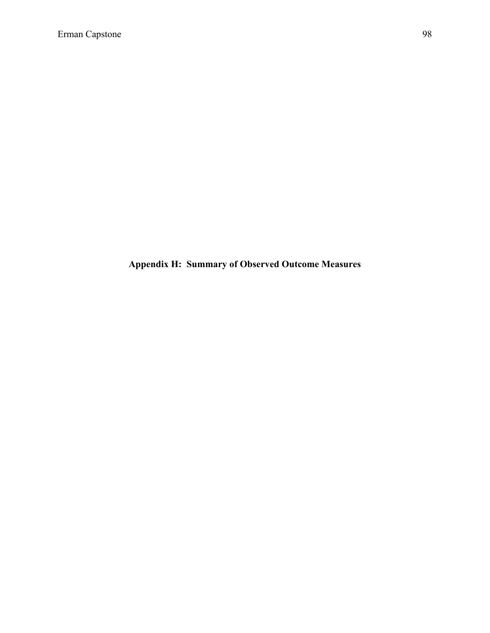**Appendix H: Summary of Observed Outcome Measures**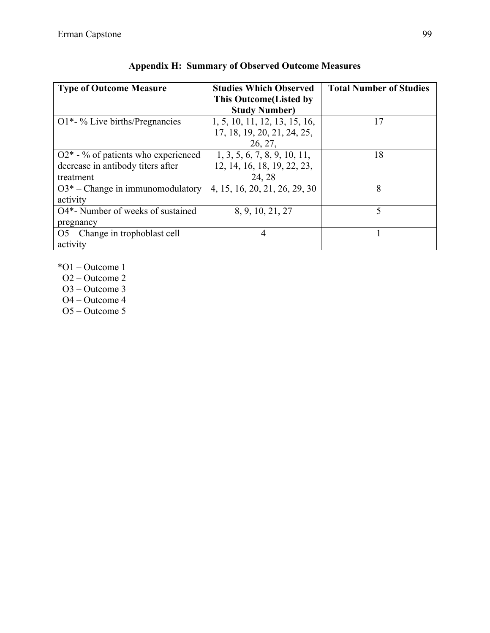| <b>Type of Outcome Measure</b>                 | <b>Studies Which Observed</b>  | <b>Total Number of Studies</b> |
|------------------------------------------------|--------------------------------|--------------------------------|
|                                                | <b>This Outcome</b> (Listed by |                                |
|                                                | <b>Study Number)</b>           |                                |
| $O1*-%$ Live births/Pregnancies                | 1, 5, 10, 11, 12, 13, 15, 16,  | 17                             |
|                                                | 17, 18, 19, 20, 21, 24, 25,    |                                |
|                                                | 26, 27,                        |                                |
| $Q2^*$ - % of patients who experienced         | 1, 3, 5, 6, 7, 8, 9, 10, 11,   | 18                             |
| decrease in antibody titers after              | 12, 14, 16, 18, 19, 22, 23,    |                                |
| treatment                                      | 24, 28                         |                                |
| $O3^*$ – Change in immunomodulatory            | 4, 15, 16, 20, 21, 26, 29, 30  | 8                              |
| activity                                       |                                |                                |
| O4 <sup>*</sup> - Number of weeks of sustained | 8, 9, 10, 21, 27               | 5                              |
| pregnancy                                      |                                |                                |
| $O5$ – Change in trophoblast cell              | 4                              |                                |
| activity                                       |                                |                                |

| <b>Appendix H: Summary of Observed Outcome Measures</b> |  |  |
|---------------------------------------------------------|--|--|
|                                                         |  |  |

\*O1 – Outcome 1

O2 – Outcome 2

O3 – Outcome 3

O4 – Outcome 4

O5 – Outcome 5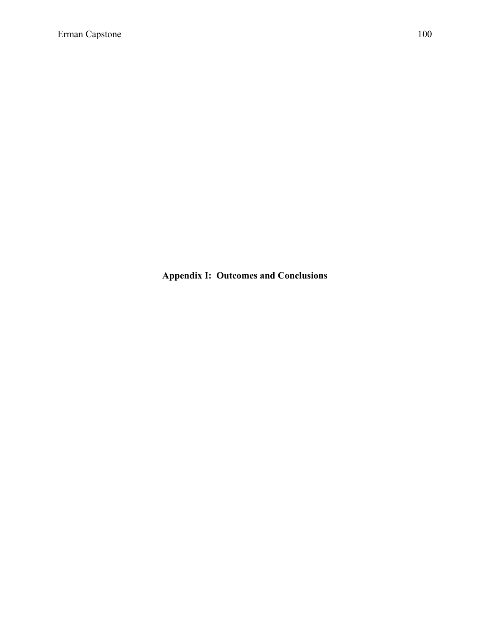**Appendix I: Outcomes and Conclusions**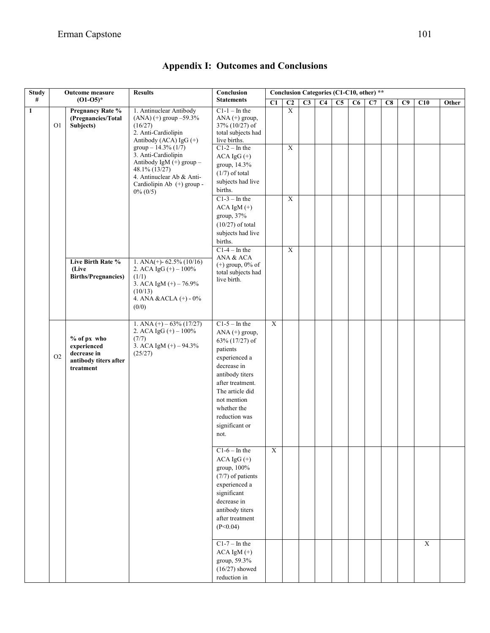| <b>Study</b> |                | Outcome measure                                                                 | <b>Results</b>                                                                                                                                       | Conclusion                                                                                                                                                                                                                           |             |                         |    | Conclusion Categories (C1-C10, other) ** |                 |    |    |    |    |             |       |
|--------------|----------------|---------------------------------------------------------------------------------|------------------------------------------------------------------------------------------------------------------------------------------------------|--------------------------------------------------------------------------------------------------------------------------------------------------------------------------------------------------------------------------------------|-------------|-------------------------|----|------------------------------------------|-----------------|----|----|----|----|-------------|-------|
| $\#$         |                | $(01-05)*$                                                                      |                                                                                                                                                      | <b>Statements</b>                                                                                                                                                                                                                    | C1          | C <sub>2</sub>          | C3 | C <sub>4</sub>                           | $\overline{C5}$ | C6 | C7 | C8 | C9 | C10         | Other |
| $\mathbf{1}$ | O <sub>1</sub> | Pregnancy Rate %<br>(Pregnancies/Total<br>Subjects)                             | 1. Antinuclear Antibody<br>$(ANA)$ (+) group $-59.3\%$<br>(16/27)<br>2. Anti-Cardiolipin<br>Antibody (ACA) $IgG (+)$                                 | $C1-1$ – In the<br>ANA $(+)$ group,<br>$37\%$ (10/27) of<br>total subjects had<br>live births.                                                                                                                                       |             | $\overline{\textbf{X}}$ |    |                                          |                 |    |    |    |    |             |       |
|              |                |                                                                                 | group $-14.3\%$ (1/7)<br>3. Anti-Cardiolipin<br>Antibody IgM (+) group -<br>48.1% (13/27)<br>4. Antinuclear Ab & Anti-<br>Cardiolipin Ab (+) group - | $C1-2$ – In the<br>ACA $IgG$ (+)<br>group, 14.3%<br>$(1/7)$ of total<br>subjects had live<br>births.                                                                                                                                 |             | $\overline{X}$          |    |                                          |                 |    |    |    |    |             |       |
|              |                |                                                                                 | $0\% (0/5)$                                                                                                                                          | $C1-3$ – In the<br>$ACA$ IgM $(+)$<br>group, 37%<br>$(10/27)$ of total<br>subjects had live<br>births.                                                                                                                               |             | $\overline{X}$          |    |                                          |                 |    |    |    |    |             |       |
|              |                | Live Birth Rate %<br>(Live<br><b>Births/Pregnancies)</b>                        | 1. ANA(+)- $62.5\%$ (10/16)<br>2. ACA IgG $(+)$ – 100%<br>(1/1)<br>3. ACA IgM $(+) - 76.9%$<br>(10/13)<br>4. ANA & ACLA (+) - 0%<br>(0/0)            | $C1-4$ – In the<br>ANA & ACA<br>$(+)$ group, $0\%$ of<br>total subjects had<br>live birth.                                                                                                                                           |             | $\overline{X}$          |    |                                          |                 |    |    |    |    |             |       |
|              | O <sub>2</sub> | % of px who<br>experienced<br>decrease in<br>antibody titers after<br>treatment | 1. ANA $(+)$ – 63% (17/27)<br>2. ACA IgG $(+)$ – 100%<br>(7/7)<br>3. ACA IgM $(+) - 94.3%$<br>(25/27)                                                | $C1-5$ – In the<br>ANA $(+)$ group,<br>63% (17/27) of<br>patients<br>experienced a<br>decrease in<br>antibody titers<br>after treatment.<br>The article did<br>not mention<br>whether the<br>reduction was<br>significant or<br>not. | $\bold{X}$  |                         |    |                                          |                 |    |    |    |    |             |       |
|              |                |                                                                                 |                                                                                                                                                      | $C1-6$ – In the<br>$ACA IgG (+)$<br>group, 100%<br>(7/7) of patients<br>experienced a<br>significant<br>decrease in<br>antibody titers<br>after treatment<br>(P<0.04)                                                                | $\mathbf X$ |                         |    |                                          |                 |    |    |    |    |             |       |
|              |                |                                                                                 |                                                                                                                                                      | $C1-7$ – In the<br>$ACA$ IgM $(+)$<br>group, 59.3%<br>$(16/27)$ showed<br>reduction in                                                                                                                                               |             |                         |    |                                          |                 |    |    |    |    | $\mathbf X$ |       |

| <b>Appendix I: Outcomes and Conclusions</b> |  |  |  |  |
|---------------------------------------------|--|--|--|--|
|---------------------------------------------|--|--|--|--|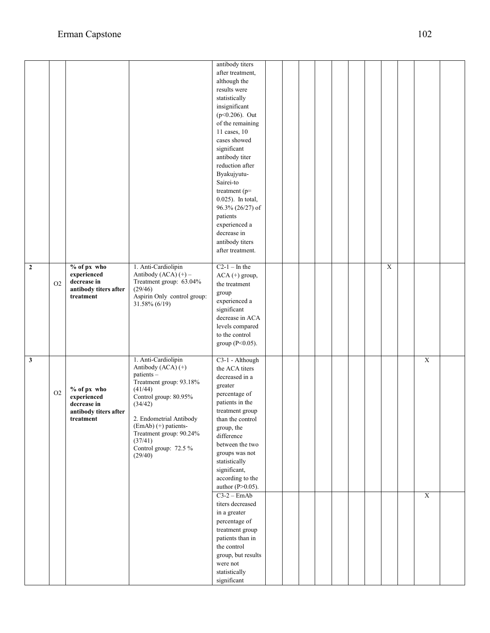|                |                |                       |                                              | antibody titers                          |  |  |  |                |                |  |
|----------------|----------------|-----------------------|----------------------------------------------|------------------------------------------|--|--|--|----------------|----------------|--|
|                |                |                       |                                              | after treatment,                         |  |  |  |                |                |  |
|                |                |                       |                                              | although the                             |  |  |  |                |                |  |
|                |                |                       |                                              | results were                             |  |  |  |                |                |  |
|                |                |                       |                                              | statistically                            |  |  |  |                |                |  |
|                |                |                       |                                              | insignificant                            |  |  |  |                |                |  |
|                |                |                       |                                              | $(p<0.206)$ . Out                        |  |  |  |                |                |  |
|                |                |                       |                                              | of the remaining                         |  |  |  |                |                |  |
|                |                |                       |                                              | 11 cases, 10                             |  |  |  |                |                |  |
|                |                |                       |                                              | cases showed                             |  |  |  |                |                |  |
|                |                |                       |                                              | significant                              |  |  |  |                |                |  |
|                |                |                       |                                              | antibody titer                           |  |  |  |                |                |  |
|                |                |                       |                                              | reduction after                          |  |  |  |                |                |  |
|                |                |                       |                                              | Byakujyutu-                              |  |  |  |                |                |  |
|                |                |                       |                                              | Sairei-to                                |  |  |  |                |                |  |
|                |                |                       |                                              | treatment ( $p=$                         |  |  |  |                |                |  |
|                |                |                       |                                              | $0.025$ ). In total,<br>96.3% (26/27) of |  |  |  |                |                |  |
|                |                |                       |                                              | patients                                 |  |  |  |                |                |  |
|                |                |                       |                                              | experienced a                            |  |  |  |                |                |  |
|                |                |                       |                                              | decrease in                              |  |  |  |                |                |  |
|                |                |                       |                                              | antibody titers                          |  |  |  |                |                |  |
|                |                |                       |                                              | after treatment.                         |  |  |  |                |                |  |
|                |                |                       |                                              |                                          |  |  |  |                |                |  |
| $\overline{2}$ |                | % of px who           | 1. Anti-Cardiolipin                          | $C2-1$ – In the                          |  |  |  | $\overline{X}$ |                |  |
|                |                | experienced           | Antibody (ACA) (+) -                         | ACA (+) group,                           |  |  |  |                |                |  |
|                | O <sub>2</sub> | decrease in           | Treatment group: 63.04%                      | the treatment                            |  |  |  |                |                |  |
|                |                | antibody titers after | (29/46)                                      | group                                    |  |  |  |                |                |  |
|                |                | treatment             | Aspirin Only control group:<br>31.58% (6/19) | experienced a                            |  |  |  |                |                |  |
|                |                |                       |                                              | significant                              |  |  |  |                |                |  |
|                |                |                       |                                              | decrease in ACA                          |  |  |  |                |                |  |
|                |                |                       |                                              | levels compared                          |  |  |  |                |                |  |
|                |                |                       |                                              | to the control                           |  |  |  |                |                |  |
|                |                |                       |                                              | group (P<0.05).                          |  |  |  |                |                |  |
|                |                |                       |                                              |                                          |  |  |  |                |                |  |
| 3              |                |                       | 1. Anti-Cardiolipin                          | C3-1 - Although                          |  |  |  |                | $\overline{X}$ |  |
|                |                |                       | Antibody (ACA) (+)<br>patients-              | the ACA titers                           |  |  |  |                |                |  |
|                |                |                       | Treatment group: 93.18%                      | decreased in a                           |  |  |  |                |                |  |
|                | O <sub>2</sub> | % of px who           | (41/44)                                      | greater                                  |  |  |  |                |                |  |
|                |                | experienced           | Control group: 80.95%                        | percentage of                            |  |  |  |                |                |  |
|                |                | decrease in           | (34/42)                                      | patients in the                          |  |  |  |                |                |  |
|                |                | antibody titers after | 2. Endometrial Antibody                      | treatment group                          |  |  |  |                |                |  |
|                |                | treatment             | $(EmAb)$ (+) patients-                       | than the control<br>group, the           |  |  |  |                |                |  |
|                |                |                       | Treatment group: 90.24%                      | difference                               |  |  |  |                |                |  |
|                |                |                       | (37/41)                                      | between the two                          |  |  |  |                |                |  |
|                |                |                       | Control group: 72.5 %                        | groups was not                           |  |  |  |                |                |  |
|                |                |                       | (29/40)                                      | statistically                            |  |  |  |                |                |  |
|                |                |                       |                                              | significant,                             |  |  |  |                |                |  |
|                |                |                       |                                              | according to the                         |  |  |  |                |                |  |
|                |                |                       |                                              | author $(P>0.05)$ .                      |  |  |  |                |                |  |
|                |                |                       |                                              | $C3-2$ – EmAb                            |  |  |  |                | $\overline{X}$ |  |
|                |                |                       |                                              | titers decreased                         |  |  |  |                |                |  |
|                |                |                       |                                              | in a greater                             |  |  |  |                |                |  |
|                |                |                       |                                              | percentage of                            |  |  |  |                |                |  |
|                |                |                       |                                              | treatment group                          |  |  |  |                |                |  |
|                |                |                       |                                              | patients than in                         |  |  |  |                |                |  |
|                |                |                       |                                              | the control                              |  |  |  |                |                |  |
|                |                |                       |                                              | group, but results                       |  |  |  |                |                |  |
|                |                |                       |                                              | were not                                 |  |  |  |                |                |  |
|                |                |                       |                                              | statistically                            |  |  |  |                |                |  |
|                |                |                       |                                              | significant                              |  |  |  |                |                |  |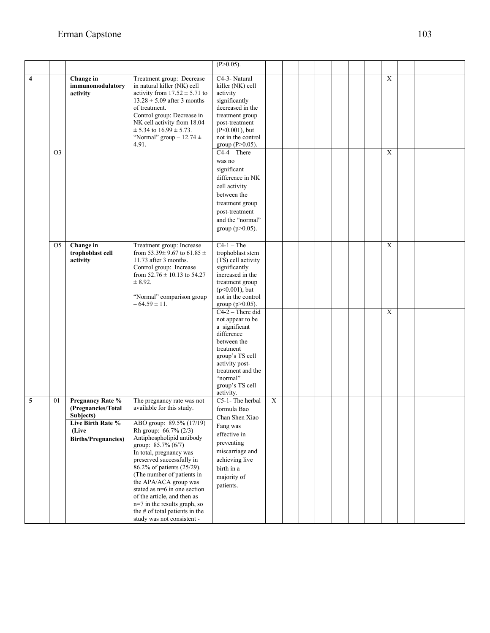|                         |                |                                                                                                                 |                                                                                                                                                                                                                                                                                                                                                                                                                                                                             | $(P>0.05)$ .                                                                                                                                                                                            |             |  |  |  |                |  |  |
|-------------------------|----------------|-----------------------------------------------------------------------------------------------------------------|-----------------------------------------------------------------------------------------------------------------------------------------------------------------------------------------------------------------------------------------------------------------------------------------------------------------------------------------------------------------------------------------------------------------------------------------------------------------------------|---------------------------------------------------------------------------------------------------------------------------------------------------------------------------------------------------------|-------------|--|--|--|----------------|--|--|
| $\overline{\mathbf{4}}$ |                | Change in<br>immunomodulatory<br>activity                                                                       | Treatment group: Decrease<br>in natural killer (NK) cell<br>activity from $17.52 \pm 5.71$ to<br>$13.28 \pm 5.09$ after 3 months<br>of treatment.<br>Control group: Decrease in<br>NK cell activity from 18.04<br>$\pm$ 5.34 to 16.99 $\pm$ 5.73.<br>"Normal" group $-12.74 \pm$<br>4.91.                                                                                                                                                                                   | C4-3- Natural<br>killer (NK) cell<br>activity<br>significantly<br>decreased in the<br>treatment group<br>post-treatment<br>$(P<0.001)$ , but<br>not in the control<br>group ( $P > 0.05$ ).             |             |  |  |  | $\mathbf X$    |  |  |
|                         | O <sub>3</sub> |                                                                                                                 |                                                                                                                                                                                                                                                                                                                                                                                                                                                                             | $C4-4$ – There<br>was no<br>significant<br>difference in NK<br>cell activity<br>between the<br>treatment group<br>post-treatment<br>and the "normal"<br>group ( $p > 0.05$ ).                           |             |  |  |  | $\mathbf X$    |  |  |
|                         | O <sub>5</sub> | Change in<br>trophoblast cell<br>activity                                                                       | Treatment group: Increase<br>from 53.39± 9.67 to 61.85 ±<br>11.73 after 3 months.<br>Control group: Increase<br>from $52.76 \pm 10.13$ to 54.27<br>$\pm 8.92.$<br>"Normal" comparison group<br>$-64.59 \pm 11.$                                                                                                                                                                                                                                                             | $C4-1$ – The<br>trophoblast stem<br>(TS) cell activity<br>significantly<br>increased in the<br>treatment group<br>$(p<0.001)$ , but<br>not in the control<br>group ( $p > 0.05$ ).                      |             |  |  |  | $\overline{X}$ |  |  |
|                         |                |                                                                                                                 |                                                                                                                                                                                                                                                                                                                                                                                                                                                                             | $C4-2$ – There did<br>not appear to be<br>a significant<br>difference<br>between the<br>treatment<br>group's TS cell<br>activity post-<br>treatment and the<br>"normal"<br>group's TS cell<br>activity. |             |  |  |  | $\overline{X}$ |  |  |
| 5                       | 01             | Pregnancy Rate %<br>(Pregnancies/Total<br>Subjects)<br>Live Birth Rate %<br>(Live<br><b>Births/Pregnancies)</b> | The pregnancy rate was not<br>available for this study.<br>ABO group: 89.5% (17/19)<br>Rh group: 66.7% (2/3)<br>Antiphospholipid antibody<br>group: 85.7% (6/7)<br>In total, pregnancy was<br>preserved successfully in<br>86.2% of patients (25/29).<br>(The number of patients in<br>the APA/ACA group was<br>stated as n=6 in one section<br>of the article, and then as<br>n=7 in the results graph, so<br>the # of total patients in the<br>study was not consistent - | C5-1-The herbal<br>formula Bao<br>Chan Shen Xiao<br>Fang was<br>effective in<br>preventing<br>miscarriage and<br>achieving live<br>birth in a<br>majority of<br>patients.                               | $\mathbf X$ |  |  |  |                |  |  |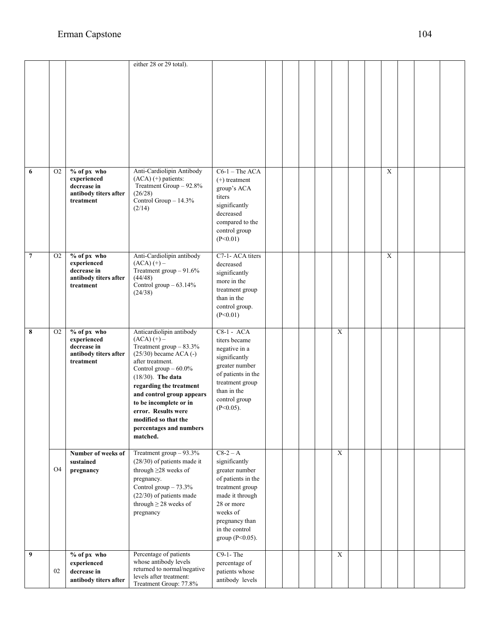|                |                |                                                                                 | either 28 or 29 total).                                                                                                                                                                                                                                                                                                                             |                                                                                                                                                                                                |  |  |             |  |                |  |  |
|----------------|----------------|---------------------------------------------------------------------------------|-----------------------------------------------------------------------------------------------------------------------------------------------------------------------------------------------------------------------------------------------------------------------------------------------------------------------------------------------------|------------------------------------------------------------------------------------------------------------------------------------------------------------------------------------------------|--|--|-------------|--|----------------|--|--|
| 6              | O <sub>2</sub> | % of px who<br>experienced<br>decrease in<br>antibody titers after<br>treatment | Anti-Cardiolipin Antibody<br>$(ACA)$ (+) patients:<br>Treatment Group - 92.8%<br>(26/28)<br>Control Group - 14.3%<br>(2/14)                                                                                                                                                                                                                         | $C6-1$ – The ACA<br>$(+)$ treatment<br>group's ACA<br>titers<br>significantly<br>decreased<br>compared to the<br>control group<br>(P<0.01)                                                     |  |  |             |  | $\overline{X}$ |  |  |
| $\overline{7}$ | O2             | % of px who<br>experienced<br>decrease in<br>antibody titers after<br>treatment | Anti-Cardiolipin antibody<br>$(ACA) (+) -$<br>Treatment group $-91.6\%$<br>(44/48)<br>Control group - 63.14%<br>(24/38)                                                                                                                                                                                                                             | C7-1-ACA titers<br>decreased<br>significantly<br>more in the<br>treatment group<br>than in the<br>control group.<br>(P<0.01)                                                                   |  |  |             |  | $\overline{X}$ |  |  |
| 8              | O <sub>2</sub> | % of px who<br>experienced<br>decrease in<br>antibody titers after<br>treatment | Anticardiolipin antibody<br>$(ACA) (+) -$<br>Treatment group $-83.3\%$<br>$(25/30)$ became ACA $(-)$<br>after treatment.<br>Control group $-60.0\%$<br>$(18/30)$ . The data<br>regarding the treatment<br>and control group appears<br>to be incomplete or in<br>error. Results were<br>modified so that the<br>percentages and numbers<br>matched. | $C8-1 - ACA$<br>titers became<br>negative in a<br>significantly<br>greater number<br>of patients in the<br>treatment group<br>than in the<br>control group<br>$(P<0.05)$ .                     |  |  | $\mathbf X$ |  |                |  |  |
|                | O <sub>4</sub> | Number of weeks of<br>sustained<br>pregnancy                                    | Treatment group $-93.3\%$<br>$(28/30)$ of patients made it<br>through $\geq$ 28 weeks of<br>pregnancy.<br>Control group - 73.3%<br>(22/30) of patients made<br>through $\geq$ 28 weeks of<br>pregnancy                                                                                                                                              | $C8-2-A$<br>significantly<br>greater number<br>of patients in the<br>treatment group<br>made it through<br>28 or more<br>weeks of<br>pregnancy than<br>in the control<br>group ( $P < 0.05$ ). |  |  | $\mathbf X$ |  |                |  |  |
| 9              | 02             | % of px who<br>experienced<br>decrease in<br>antibody titers after              | Percentage of patients<br>whose antibody levels<br>returned to normal/negative<br>levels after treatment:                                                                                                                                                                                                                                           | $C9-1-$ The<br>percentage of<br>patients whose<br>antibody levels                                                                                                                              |  |  | $\mathbf X$ |  |                |  |  |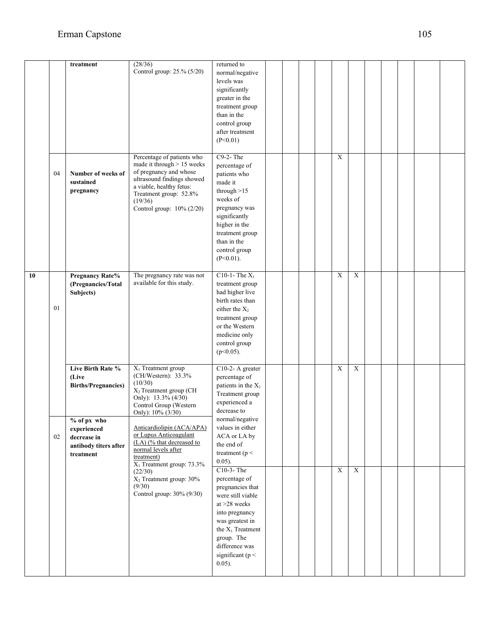|    |    | treatment                                                                                                                                   | (28/36)<br>Control group: 25.% (5/20)                                                                                                                                                                                                                                                                    | returned to<br>normal/negative<br>levels was<br>significantly<br>greater in the<br>treatment group<br>than in the<br>control group<br>after treatment<br>(P<0.01)                                                            |  |  |                |                |  |  |  |
|----|----|---------------------------------------------------------------------------------------------------------------------------------------------|----------------------------------------------------------------------------------------------------------------------------------------------------------------------------------------------------------------------------------------------------------------------------------------------------------|------------------------------------------------------------------------------------------------------------------------------------------------------------------------------------------------------------------------------|--|--|----------------|----------------|--|--|--|
|    | 04 | Number of weeks of<br>sustained<br>pregnancy                                                                                                | Percentage of patients who<br>made it through $> 15$ weeks<br>of pregnancy and whose<br>ultrasound findings showed<br>a viable, healthy fetus:<br>Treatment group: 52.8%<br>(19/36)<br>Control group: 10% (2/20)                                                                                         | $C9-2$ -The<br>percentage of<br>patients who<br>made it<br>through $>15$<br>weeks of<br>pregnancy was<br>significantly<br>higher in the<br>treatment group<br>than in the<br>control group<br>$(P<0.01)$ .                   |  |  | $\mathbf X$    |                |  |  |  |
| 10 | 01 | <b>Pregnancy Rate%</b><br>(Pregnancies/Total<br>Subjects)                                                                                   | The pregnancy rate was not<br>available for this study.                                                                                                                                                                                                                                                  | C10-1-The $X_1$<br>treatment group<br>had higher live<br>birth rates than<br>either the $X_2$<br>treatment group<br>or the Western<br>medicine only<br>control group<br>$(p<0.05)$ .                                         |  |  | X              | $\mathbf X$    |  |  |  |
|    | 02 | Live Birth Rate %<br>(Live<br><b>Births/Pregnancies)</b><br>% of px who<br>experienced<br>decrease in<br>antibody titers after<br>treatment | X <sub>1</sub> Treatment group<br>(CH/Western): 33.3%<br>(10/30)<br>X <sub>2</sub> Treatment group (CH<br>Only): $13.3\%$ (4/30)<br>Control Group (Western<br>Only): 10% (3/30)<br>Anticardiolipin (ACA/APA)<br>or Lupus Anticoagulant<br>(LA) (% that decreased to<br>normal levels after<br>treatment) | C10-2- A greater<br>percentage of<br>patients in the $X_1$<br>Treatment group<br>experienced a<br>decrease to<br>normal/negative<br>values in either<br>ACA or LA by<br>the end of<br>treatment ( $p <$<br>$0.05$ ).         |  |  | X              | X              |  |  |  |
|    |    |                                                                                                                                             | X <sub>1</sub> Treatment group: 73.3%<br>(22/30)<br>$X_2$ Treatment group: 30%<br>(9/30)<br>Control group: 30% (9/30)                                                                                                                                                                                    | C10-3-The<br>percentage of<br>pregnancies that<br>were still viable<br>at >28 weeks<br>into pregnancy<br>was greatest in<br>the X <sub>1</sub> Treatment<br>group. The<br>difference was<br>significant ( $p <$<br>$0.05$ ). |  |  | $\overline{X}$ | $\overline{X}$ |  |  |  |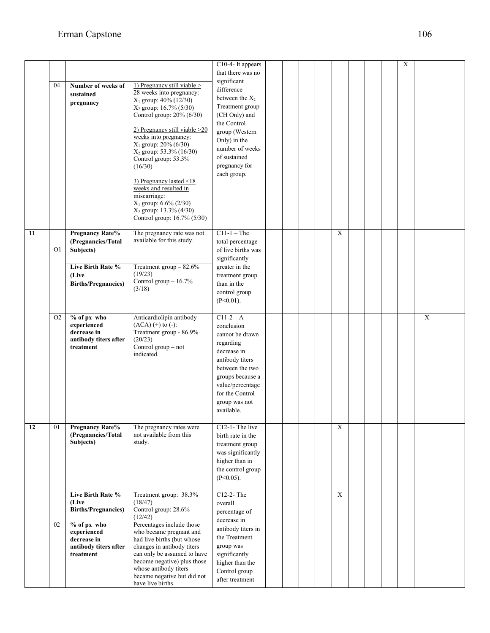|    |                |                                                                                 |                                                                                                                                                                                                                                                                                                                                                                                                                                                                                         | C10-4- It appears<br>that there was no                                                                                                                                                                   |  |             |  | $\mathbf X$ |             |  |
|----|----------------|---------------------------------------------------------------------------------|-----------------------------------------------------------------------------------------------------------------------------------------------------------------------------------------------------------------------------------------------------------------------------------------------------------------------------------------------------------------------------------------------------------------------------------------------------------------------------------------|----------------------------------------------------------------------------------------------------------------------------------------------------------------------------------------------------------|--|-------------|--|-------------|-------------|--|
|    | 04             | Number of weeks of<br>sustained<br>pregnancy                                    | 1) Pregnancy still viable $>$<br>28 weeks into pregnancy:<br>$X_1$ group: $40\%$ (12/30)<br>X <sub>2</sub> group: 16.7% (5/30)<br>Control group: 20% (6/30)<br>2) Pregnancy still viable > 20<br>weeks into pregnancy:<br>$X_1$ group: $20\%$ (6/30)<br>$X_2$ group: 53.3% (16/30)<br>Control group: 53.3%<br>(16/30)<br>3) Pregnancy lasted $\leq$ 18<br>weeks and resulted in<br>miscarriage:<br>$X_1$ group: 6.6% (2/30)<br>$X_2$ group: 13.3% (4/30)<br>Control group: 16.7% (5/30) | significant<br>difference<br>between the $X_2$<br>Treatment group<br>(CH Only) and<br>the Control<br>group (Western<br>Only) in the<br>number of weeks<br>of sustained<br>pregnancy for<br>each group.   |  |             |  |             |             |  |
| 11 | O1             | <b>Pregnancy Rate%</b><br>(Pregnancies/Total<br>Subjects)                       | The pregnancy rate was not<br>available for this study.                                                                                                                                                                                                                                                                                                                                                                                                                                 | $C11-1$ – The<br>total percentage<br>of live births was<br>significantly                                                                                                                                 |  | $\mathbf X$ |  |             |             |  |
|    |                | Live Birth Rate %<br>(Live<br><b>Births/Pregnancies)</b>                        | Treatment group $-82.6\%$<br>(19/23)<br>Control group - 16.7%<br>(3/18)                                                                                                                                                                                                                                                                                                                                                                                                                 | greater in the<br>treatment group<br>than in the<br>control group<br>$(P<0.01)$ .                                                                                                                        |  |             |  |             |             |  |
|    | O <sub>2</sub> | % of px who<br>experienced<br>decrease in<br>antibody titers after<br>treatment | Anticardiolipin antibody<br>$(ACA)$ $(+)$ to $(-)$ :<br>Treatment group - 86.9%<br>(20/23)<br>Control group – not<br>indicated.                                                                                                                                                                                                                                                                                                                                                         | $C11-2 - A$<br>conclusion<br>cannot be drawn<br>regarding<br>decrease in<br>antibody titers<br>between the two<br>groups because a<br>value/percentage<br>for the Control<br>group was not<br>available. |  |             |  |             | $\mathbf X$ |  |
| 12 | 01             | <b>Pregnancy Rate%</b><br>(Pregnancies/Total<br>Subjects)                       | The pregnancy rates were<br>not available from this<br>study.                                                                                                                                                                                                                                                                                                                                                                                                                           | C12-1-The live<br>birth rate in the<br>treatment group<br>was significantly<br>higher than in<br>the control group<br>$(P<0.05)$ .                                                                       |  | X           |  |             |             |  |
|    |                | Live Birth Rate %<br>(Live<br><b>Births/Pregnancies)</b>                        | Treatment group: 38.3%<br>(18/47)<br>Control group: 28.6%<br>(12/42)                                                                                                                                                                                                                                                                                                                                                                                                                    | C12-2-The<br>overall<br>percentage of<br>decrease in                                                                                                                                                     |  | $\mathbf X$ |  |             |             |  |
|    | 02             | % of px who<br>experienced<br>decrease in<br>antibody titers after<br>treatment | Percentages include those<br>who became pregnant and<br>had live births (but whose<br>changes in antibody titers<br>can only be assumed to have<br>become negative) plus those<br>whose antibody titers<br>became negative but did not<br>have live births.                                                                                                                                                                                                                             | antibody titers in<br>the Treatment<br>group was<br>significantly<br>higher than the<br>Control group<br>after treatment                                                                                 |  |             |  |             |             |  |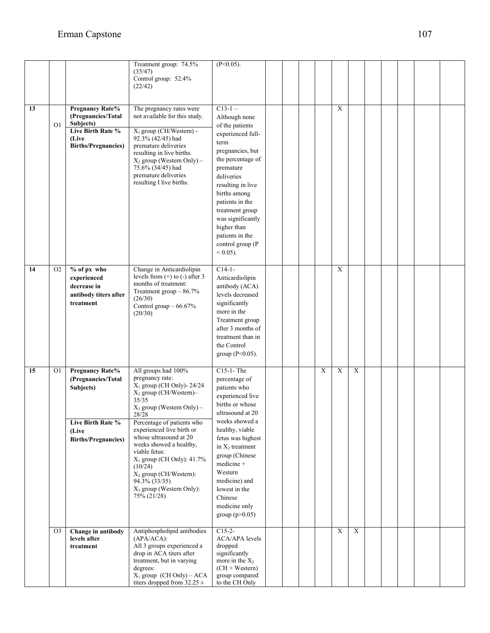|    |                |                                                                                                                       | Treatment group: 74.5%<br>(35/47)<br>Control group: 52.4%<br>(22/42)                                                                                                                                                                                                                                                                                                                                                                   | $(P<0.05)$ .                                                                                                                                                                                                                                                                                                           |  |             |             |             |  |  |  |
|----|----------------|-----------------------------------------------------------------------------------------------------------------------|----------------------------------------------------------------------------------------------------------------------------------------------------------------------------------------------------------------------------------------------------------------------------------------------------------------------------------------------------------------------------------------------------------------------------------------|------------------------------------------------------------------------------------------------------------------------------------------------------------------------------------------------------------------------------------------------------------------------------------------------------------------------|--|-------------|-------------|-------------|--|--|--|
| 13 | O <sub>1</sub> | <b>Pregnancy Rate%</b><br>(Pregnancies/Total<br>Subjects)<br>Live Birth Rate %<br>(Live<br><b>Births/Pregnancies)</b> | The pregnancy rates were<br>not available for this study.<br>$X_1$ group (CH/Western) -<br>92.3% (42/45) had<br>premature deliveries<br>resulting in live births.<br>$X_2$ group (Western Only) –<br>75.6% (34/45) had<br>premature deliveries<br>resulting I live births.                                                                                                                                                             | $C13-1-$<br>Although none<br>of the patients<br>experienced full-<br>term<br>pregnancies, but<br>the percentage of<br>premature<br>deliveries<br>resulting in live<br>births among<br>patients in the<br>treatment group<br>was significantly<br>higher than<br>patients in the<br>control group (P<br>${}_{0.05}$ .   |  |             | $\mathbf X$ |             |  |  |  |
| 14 | O <sub>2</sub> | % of px who<br>experienced<br>decrease in<br>antibody titers after<br>treatment                                       | Change in Anticardiolipin<br>levels from $(+)$ to $(-)$ after 3<br>months of treatment:<br>Treatment group $-86.7\%$<br>(26/30)<br>Control group $-66.67\%$<br>(20/30)                                                                                                                                                                                                                                                                 | $C14-1-$<br>Anticardiolipin<br>antibody (ACA)<br>levels decreased<br>significantly<br>more in the<br>Treatment group<br>after 3 months of<br>treatment than in<br>the Control<br>group ( $P < 0.05$ ).                                                                                                                 |  |             | $\mathbf X$ |             |  |  |  |
| 15 | O <sub>1</sub> | <b>Pregnancy Rate%</b><br>(Pregnancies/Total<br>Subjects)<br>Live Birth Rate %<br>(Live<br><b>Births/Pregnancies)</b> | All groups had 100%<br>pregnancy rate:<br>$X_1$ group (CH Only)- 24/24<br>$X_2$ group (CH/Western)-<br>35/35<br>$X_3$ group (Western Only) –<br>28/28<br>Percentage of patients who<br>experienced live birth or<br>whose ultrasound at 20<br>weeks showed a healthy,<br>viable fetus:<br>$X_1$ group (CH Only): 41.7%<br>(10/24)<br>$X_2$ group (CH/Western):<br>94.3% (33/35)<br>X <sub>3</sub> group (Western Only):<br>75% (21/28) | C15-1-The<br>percentage of<br>patients who<br>experienced live<br>births or whose<br>ultrasound at 20<br>weeks showed a<br>healthy, viable<br>fetus was highest<br>in $X_2$ treatment<br>group (Chinese<br>medicine +<br>Western<br>medicine) and<br>lowest in the<br>Chinese<br>medicine only<br>group ( $p > 0.05$ ) |  | $\mathbf X$ | X           | $\mathbf X$ |  |  |  |
|    | O <sub>3</sub> | Change in antibody<br>levels after<br>treatment                                                                       | Antiphospholipid antibodies<br>$(APA/ACA)$ :<br>All 3 groups experienced a<br>drop in ACA titers after<br>treatment, but in varying<br>degrees:<br>$X_1$ group (CH Only) – ACA<br>titers dropped from $32.25 \pm$                                                                                                                                                                                                                      | $C15-2-$<br><b>ACA/APA</b> levels<br>dropped<br>significantly<br>more in the $X_2$<br>$(CH + Western)$<br>group compared<br>to the CH Only                                                                                                                                                                             |  |             | $\mathbf X$ | $\mathbf X$ |  |  |  |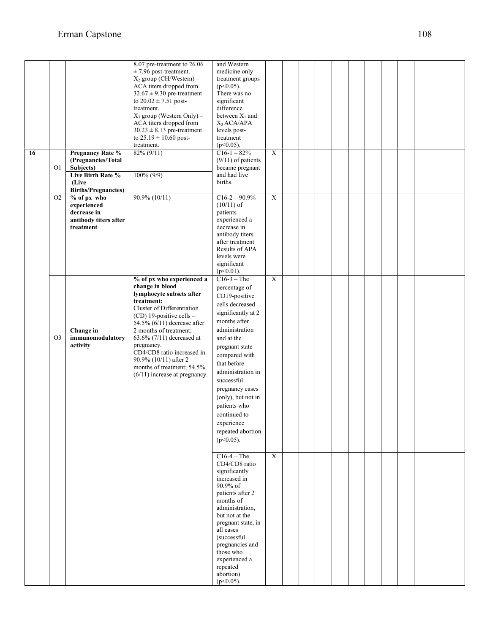|    |                |                                | 8.07 pre-treatment to 26.06                               | and Western                        |                |  |  |  |  |  |
|----|----------------|--------------------------------|-----------------------------------------------------------|------------------------------------|----------------|--|--|--|--|--|
|    |                |                                | $\pm$ 7.96 post-treatment.                                | medicine only                      |                |  |  |  |  |  |
|    |                |                                | $X_2$ group (CH/Western) –<br>ACA titers dropped from     | treatment groups<br>$(p<0.05)$ .   |                |  |  |  |  |  |
|    |                |                                | $32.67 \pm 9.30$ pre-treatment                            | There was no                       |                |  |  |  |  |  |
|    |                |                                | to $20.02 \pm 7.51$ post-                                 | significant                        |                |  |  |  |  |  |
|    |                |                                | treatment.                                                | difference                         |                |  |  |  |  |  |
|    |                |                                | $X_3$ group (Western Only) –                              | between $X_1$ and                  |                |  |  |  |  |  |
|    |                |                                | ACA titers dropped from                                   | $X_3$ ACA/APA                      |                |  |  |  |  |  |
|    |                |                                | $30.23 \pm 8.13$ pre-treatment                            | levels post-                       |                |  |  |  |  |  |
|    |                |                                | to $25.19 \pm 10.60$ post-                                | treatment                          |                |  |  |  |  |  |
|    |                |                                | treatment.                                                | $(p<0.05)$ .                       |                |  |  |  |  |  |
| 16 |                | <b>Pregnancy Rate %</b>        | $82\% (9/11)$                                             | $C16-1-82%$                        | $\overline{X}$ |  |  |  |  |  |
|    |                | (Pregnancies/Total             |                                                           | $(9/11)$ of patients               |                |  |  |  |  |  |
|    | O1             | Subjects)<br>Live Birth Rate % | $100\% (9/9)$                                             | became pregnant<br>and had live    |                |  |  |  |  |  |
|    |                | (Live                          |                                                           | births.                            |                |  |  |  |  |  |
|    |                | <b>Births/Pregnancies)</b>     |                                                           |                                    |                |  |  |  |  |  |
|    | O <sub>2</sub> | % of px who                    | $90.9\% (10/11)$                                          | $C16-2-90.9%$                      | $\overline{X}$ |  |  |  |  |  |
|    |                | experienced                    |                                                           | $(10/11)$ of                       |                |  |  |  |  |  |
|    |                | decrease in                    |                                                           | patients                           |                |  |  |  |  |  |
|    |                | antibody titers after          |                                                           | experienced a                      |                |  |  |  |  |  |
|    |                | treatment                      |                                                           | decrease in                        |                |  |  |  |  |  |
|    |                |                                |                                                           | antibody titers                    |                |  |  |  |  |  |
|    |                |                                |                                                           | after treatment<br>Results of APA  |                |  |  |  |  |  |
|    |                |                                |                                                           | levels were                        |                |  |  |  |  |  |
|    |                |                                |                                                           | significant                        |                |  |  |  |  |  |
|    |                |                                |                                                           | $(p<0.01)$ .                       |                |  |  |  |  |  |
|    |                |                                | % of px who experienced a                                 | $C16-3$ – The                      | $\overline{X}$ |  |  |  |  |  |
|    |                |                                | change in blood                                           | percentage of                      |                |  |  |  |  |  |
|    |                |                                | lymphocyte subsets after                                  | CD19-positive                      |                |  |  |  |  |  |
|    |                |                                | treatment:                                                | cells decreased                    |                |  |  |  |  |  |
|    |                |                                | Cluster of Differentiation                                | significantly at 2                 |                |  |  |  |  |  |
|    |                |                                | (CD) 19-positive cells -<br>54.5% $(6/11)$ decrease after | months after                       |                |  |  |  |  |  |
|    |                | Change in                      | 2 months of treatment;                                    | administration                     |                |  |  |  |  |  |
|    | O <sub>3</sub> | immunomodulatory               | 63.6% $(7/11)$ decreased at                               | and at the                         |                |  |  |  |  |  |
|    |                | activity                       | pregnancy.                                                | pregnant state                     |                |  |  |  |  |  |
|    |                |                                | CD4/CD8 ratio increased in                                | compared with                      |                |  |  |  |  |  |
|    |                |                                | 90.9% (10/11) after 2                                     | that before                        |                |  |  |  |  |  |
|    |                |                                | months of treatment; 54.5%                                | administration in                  |                |  |  |  |  |  |
|    |                |                                | $(6/11)$ increase at pregnancy.                           | successful                         |                |  |  |  |  |  |
|    |                |                                |                                                           |                                    |                |  |  |  |  |  |
|    |                |                                |                                                           | pregnancy cases                    |                |  |  |  |  |  |
|    |                |                                |                                                           | (only), but not in<br>patients who |                |  |  |  |  |  |
|    |                |                                |                                                           |                                    |                |  |  |  |  |  |
|    |                |                                |                                                           | continued to                       |                |  |  |  |  |  |
|    |                |                                |                                                           | experience                         |                |  |  |  |  |  |
|    |                |                                |                                                           | repeated abortion                  |                |  |  |  |  |  |
|    |                |                                |                                                           | $(p<0.05)$ .                       |                |  |  |  |  |  |
|    |                |                                |                                                           |                                    |                |  |  |  |  |  |
|    |                |                                |                                                           | $C16-4$ – The<br>CD4/CD8 ratio     | X              |  |  |  |  |  |
|    |                |                                |                                                           | significantly                      |                |  |  |  |  |  |
|    |                |                                |                                                           | increased in                       |                |  |  |  |  |  |
|    |                |                                |                                                           | 90.9% of                           |                |  |  |  |  |  |
|    |                |                                |                                                           | patients after 2                   |                |  |  |  |  |  |
|    |                |                                |                                                           | months of                          |                |  |  |  |  |  |
|    |                |                                |                                                           | administration,                    |                |  |  |  |  |  |
|    |                |                                |                                                           | but not at the                     |                |  |  |  |  |  |
|    |                |                                |                                                           | pregnant state, in<br>all cases    |                |  |  |  |  |  |
|    |                |                                |                                                           | (successful                        |                |  |  |  |  |  |
|    |                |                                |                                                           | pregnancies and                    |                |  |  |  |  |  |
|    |                |                                |                                                           | those who                          |                |  |  |  |  |  |
|    |                |                                |                                                           | experienced a                      |                |  |  |  |  |  |
|    |                |                                |                                                           | repeated                           |                |  |  |  |  |  |
|    |                |                                |                                                           | abortion)                          |                |  |  |  |  |  |
|    |                |                                |                                                           | $(p<0.05)$ .                       |                |  |  |  |  |  |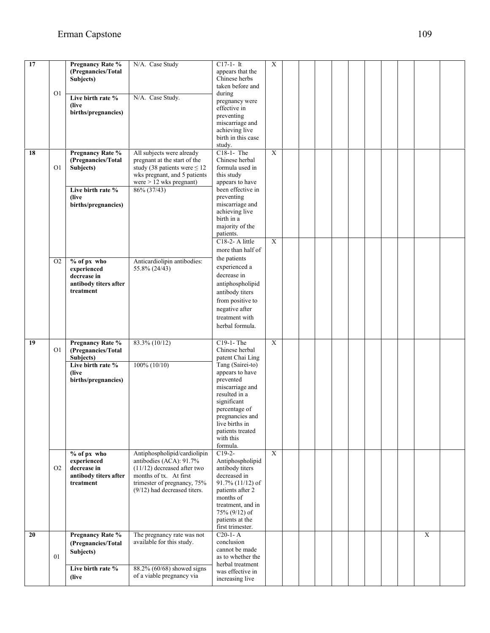| $\overline{17}$ |                | <b>Pregnancy Rate %</b> | N/A. Case Study                                           | $C17-1-It$                         | $\boldsymbol{\mathrm{X}}$ |  |  |  |  |                |  |
|-----------------|----------------|-------------------------|-----------------------------------------------------------|------------------------------------|---------------------------|--|--|--|--|----------------|--|
|                 |                | (Pregnancies/Total      |                                                           | appears that the                   |                           |  |  |  |  |                |  |
|                 |                | Subjects)               |                                                           | Chinese herbs                      |                           |  |  |  |  |                |  |
|                 |                |                         |                                                           | taken before and                   |                           |  |  |  |  |                |  |
|                 | O <sub>1</sub> |                         |                                                           | during                             |                           |  |  |  |  |                |  |
|                 |                | Live birth rate %       | N/A. Case Study.                                          | pregnancy were                     |                           |  |  |  |  |                |  |
|                 |                | (live)                  |                                                           | effective in                       |                           |  |  |  |  |                |  |
|                 |                | births/pregnancies)     |                                                           | preventing                         |                           |  |  |  |  |                |  |
|                 |                |                         |                                                           | miscarriage and                    |                           |  |  |  |  |                |  |
|                 |                |                         |                                                           | achieving live                     |                           |  |  |  |  |                |  |
|                 |                |                         |                                                           | birth in this case                 |                           |  |  |  |  |                |  |
|                 |                |                         |                                                           |                                    |                           |  |  |  |  |                |  |
| 18              |                |                         |                                                           | study.<br>C18-1- The               | $\overline{X}$            |  |  |  |  |                |  |
|                 |                | <b>Pregnancy Rate %</b> | All subjects were already<br>pregnant at the start of the | Chinese herbal                     |                           |  |  |  |  |                |  |
|                 |                | (Pregnancies/Total      |                                                           | formula used in                    |                           |  |  |  |  |                |  |
|                 | O <sub>1</sub> | Subjects)               | study (38 patients were $\leq 12$                         |                                    |                           |  |  |  |  |                |  |
|                 |                |                         | wks pregnant, and 5 patients                              | this study                         |                           |  |  |  |  |                |  |
|                 |                |                         | were > 12 wks pregnant)                                   | appears to have                    |                           |  |  |  |  |                |  |
|                 |                | Live birth rate %       | 86% (37/43)                                               | been effective in                  |                           |  |  |  |  |                |  |
|                 |                | (live)                  |                                                           | preventing                         |                           |  |  |  |  |                |  |
|                 |                | births/pregnancies)     |                                                           | miscarriage and<br>achieving live  |                           |  |  |  |  |                |  |
|                 |                |                         |                                                           | birth in a                         |                           |  |  |  |  |                |  |
|                 |                |                         |                                                           |                                    |                           |  |  |  |  |                |  |
|                 |                |                         |                                                           | majority of the                    |                           |  |  |  |  |                |  |
|                 |                |                         |                                                           | patients.                          |                           |  |  |  |  |                |  |
|                 |                |                         |                                                           | C18-2- A little                    | $\overline{X}$            |  |  |  |  |                |  |
|                 |                |                         |                                                           | more than half of                  |                           |  |  |  |  |                |  |
|                 | O <sub>2</sub> | % of px who             | Anticardiolipin antibodies:                               | the patients                       |                           |  |  |  |  |                |  |
|                 |                | experienced             | 55.8% (24/43)                                             | experienced a                      |                           |  |  |  |  |                |  |
|                 |                | decrease in             |                                                           | decrease in                        |                           |  |  |  |  |                |  |
|                 |                | antibody titers after   |                                                           | antiphospholipid                   |                           |  |  |  |  |                |  |
|                 |                | treatment               |                                                           | antibody titers                    |                           |  |  |  |  |                |  |
|                 |                |                         |                                                           |                                    |                           |  |  |  |  |                |  |
|                 |                |                         |                                                           | from positive to                   |                           |  |  |  |  |                |  |
|                 |                |                         |                                                           | negative after                     |                           |  |  |  |  |                |  |
|                 |                |                         |                                                           | treatment with                     |                           |  |  |  |  |                |  |
|                 |                |                         |                                                           | herbal formula.                    |                           |  |  |  |  |                |  |
|                 |                |                         |                                                           |                                    |                           |  |  |  |  |                |  |
| 19              |                | <b>Pregnancy Rate %</b> | 83.3% (10/12)                                             | C19-1-The                          | $\overline{X}$            |  |  |  |  |                |  |
|                 | O1             | (Pregnancies/Total      |                                                           | Chinese herbal                     |                           |  |  |  |  |                |  |
|                 |                | Subjects)               |                                                           | patent Chai Ling                   |                           |  |  |  |  |                |  |
|                 |                | Live birth rate %       | $100\% (10/10)$                                           | Tang (Sairei-to)                   |                           |  |  |  |  |                |  |
|                 |                | (live                   |                                                           | appears to have                    |                           |  |  |  |  |                |  |
|                 |                | births/pregnancies)     |                                                           | prevented                          |                           |  |  |  |  |                |  |
|                 |                |                         |                                                           | miscarriage and                    |                           |  |  |  |  |                |  |
|                 |                |                         |                                                           | resulted in a                      |                           |  |  |  |  |                |  |
|                 |                |                         |                                                           | significant                        |                           |  |  |  |  |                |  |
|                 |                |                         |                                                           | percentage of                      |                           |  |  |  |  |                |  |
|                 |                |                         |                                                           | pregnancies and                    |                           |  |  |  |  |                |  |
|                 |                |                         |                                                           | live births in                     |                           |  |  |  |  |                |  |
|                 |                |                         |                                                           | patients treated                   |                           |  |  |  |  |                |  |
|                 |                |                         |                                                           | with this                          |                           |  |  |  |  |                |  |
|                 |                |                         |                                                           | formula.                           |                           |  |  |  |  |                |  |
|                 |                | % of px who             | Antiphospholipid/cardiolipin                              | $C19-2-$                           | $\mathbf X$               |  |  |  |  |                |  |
|                 |                | experienced             | antibodies (ACA): 91.7%                                   | Antiphospholipid                   |                           |  |  |  |  |                |  |
|                 | O <sub>2</sub> | decrease in             | $(11/12)$ decreased after two                             | antibody titers                    |                           |  |  |  |  |                |  |
|                 |                | antibody titers after   | months of tx. At first                                    | decreased in                       |                           |  |  |  |  |                |  |
|                 |                | treatment               | trimester of pregnancy, 75%                               | $91.7\%$ (11/12) of                |                           |  |  |  |  |                |  |
|                 |                |                         | (9/12) had decreased titers.                              | patients after 2                   |                           |  |  |  |  |                |  |
|                 |                |                         |                                                           | months of                          |                           |  |  |  |  |                |  |
|                 |                |                         |                                                           | treatment, and in<br>75% (9/12) of |                           |  |  |  |  |                |  |
|                 |                |                         |                                                           | patients at the                    |                           |  |  |  |  |                |  |
|                 |                |                         |                                                           | first trimester.                   |                           |  |  |  |  |                |  |
| 20              |                | <b>Pregnancy Rate %</b> | The pregnancy rate was not                                | $C20-1-A$                          |                           |  |  |  |  | $\overline{X}$ |  |
|                 |                |                         | available for this study.                                 | conclusion                         |                           |  |  |  |  |                |  |
|                 |                | (Pregnancies/Total      |                                                           | cannot be made                     |                           |  |  |  |  |                |  |
|                 | 01             | Subjects)               |                                                           | as to whether the                  |                           |  |  |  |  |                |  |
|                 |                |                         |                                                           | herbal treatment                   |                           |  |  |  |  |                |  |
|                 |                | Live birth rate %       | 88.2% (60/68) showed signs                                | was effective in                   |                           |  |  |  |  |                |  |
|                 |                | (live)                  | of a viable pregnancy via                                 | increasing live                    |                           |  |  |  |  |                |  |
|                 |                |                         |                                                           |                                    |                           |  |  |  |  |                |  |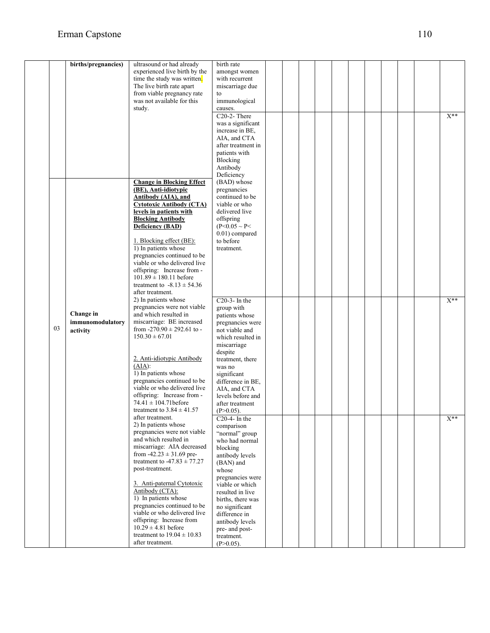|    | births/pregnancies)                       | ultrasound or had already<br>experienced live birth by the<br>time the study was written.<br>The live birth rate apart<br>from viable pregnancy rate<br>was not available for this<br>study.                                                                                                                                                                                                                                                                              | birth rate<br>amongst women<br>with recurrent<br>miscarriage due<br>to<br>immunological<br>causes.                                                                                                                                                                                                               |  |  |  |  |  |          |
|----|-------------------------------------------|---------------------------------------------------------------------------------------------------------------------------------------------------------------------------------------------------------------------------------------------------------------------------------------------------------------------------------------------------------------------------------------------------------------------------------------------------------------------------|------------------------------------------------------------------------------------------------------------------------------------------------------------------------------------------------------------------------------------------------------------------------------------------------------------------|--|--|--|--|--|----------|
|    |                                           |                                                                                                                                                                                                                                                                                                                                                                                                                                                                           | $C20-2$ - There<br>was a significant<br>increase in BE,<br>AIA, and CTA<br>after treatment in<br>patients with<br>Blocking<br>Antibody<br>Deficiency                                                                                                                                                             |  |  |  |  |  | $X^{**}$ |
|    |                                           | <b>Change in Blocking Effect</b><br>(BE), Anti-idiotypic<br>Antibody (AIA), and<br><b>Cytotoxic Antibody (CTA)</b><br>levels in patients with<br><b>Blocking Antibody</b><br>Deficiency (BAD)<br>1. Blocking effect (BE):<br>1) In patients whose<br>pregnancies continued to be<br>viable or who delivered live<br>offspring: Increase from -<br>$101.89 \pm 180.11$ before<br>treatment to $-8.13 \pm 54.36$<br>after treatment.                                        | (BAD) whose<br>pregnancies<br>continued to be<br>viable or who<br>delivered live<br>offspring<br>$(P<0.05 \sim P<$<br>$0.01$ ) compared<br>to before<br>treatment.                                                                                                                                               |  |  |  |  |  |          |
| 03 | Change in<br>immunomodulatory<br>activity | 2) In patients whose<br>pregnancies were not viable<br>and which resulted in<br>miscarriage: BE increased<br>from $-270.90 \pm 292.61$ to -<br>$150.30 \pm 67.01$<br>2. Anti-idiotypic Antibody<br>(AIA):<br>1) In patients whose<br>pregnancies continued to be<br>viable or who delivered live<br>offspring: Increase from -<br>$74.41 \pm 104.71$ before<br>treatment to $3.84 \pm 41.57$                                                                              | $C20-3-$ In the<br>group with<br>patients whose<br>pregnancies were<br>not viable and<br>which resulted in<br>miscarriage<br>despite<br>treatment, there<br>was no<br>significant<br>difference in BE,<br>AIA, and CTA<br>levels before and<br>after treatment<br>$(P>0.05)$ .                                   |  |  |  |  |  | $X^{**}$ |
|    |                                           | after treatment.<br>2) In patients whose<br>pregnancies were not viable<br>and which resulted in<br>miscarriage: AIA decreased<br>from $-42.23 \pm 31.69$ pre-<br>treatment to $-47.83 \pm 77.27$<br>post-treatment.<br>3. Anti-paternal Cytotoxic<br>Antibody (CTA):<br>1) In patients whose<br>pregnancies continued to be<br>viable or who delivered live<br>offspring: Increase from<br>$10.29 \pm 4.81$ before<br>treatment to $19.04 \pm 10.83$<br>after treatment. | $C_{20-4}$ - In the<br>comparison<br>"normal" group<br>who had normal<br>blocking<br>antibody levels<br>(BAN) and<br>whose<br>pregnancies were<br>viable or which<br>resulted in live<br>births, there was<br>no significant<br>difference in<br>antibody levels<br>pre- and post-<br>treatment.<br>$(P>0.05)$ . |  |  |  |  |  | $X^{**}$ |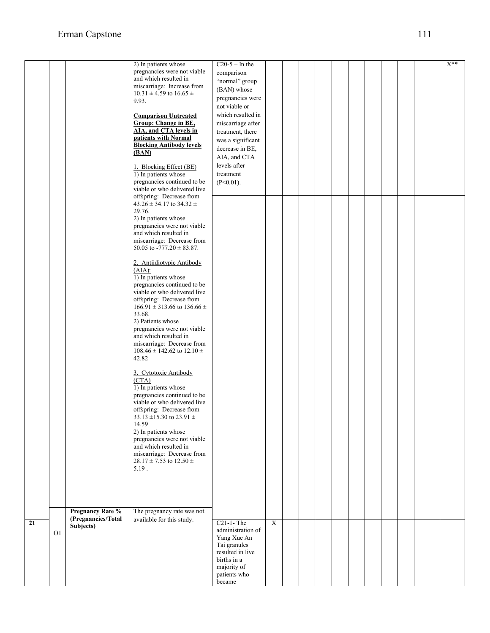|    |    |                         | 2) In patients whose                  | $C20-5$ – In the  |             |  |  |  |  | $X^{**}$ |
|----|----|-------------------------|---------------------------------------|-------------------|-------------|--|--|--|--|----------|
|    |    |                         | pregnancies were not viable           | comparison        |             |  |  |  |  |          |
|    |    |                         | and which resulted in                 | "normal" group    |             |  |  |  |  |          |
|    |    |                         | miscarriage: Increase from            |                   |             |  |  |  |  |          |
|    |    |                         | $10.31 \pm 4.59$ to $16.65 \pm$       | (BAN) whose       |             |  |  |  |  |          |
|    |    |                         | 9.93.                                 | pregnancies were  |             |  |  |  |  |          |
|    |    |                         |                                       | not viable or     |             |  |  |  |  |          |
|    |    |                         |                                       | which resulted in |             |  |  |  |  |          |
|    |    |                         | <b>Comparison Untreated</b>           |                   |             |  |  |  |  |          |
|    |    |                         | <b>Group: Change in BE,</b>           | miscarriage after |             |  |  |  |  |          |
|    |    |                         | AIA, and CTA levels in                | treatment, there  |             |  |  |  |  |          |
|    |    |                         | patients with Normal                  | was a significant |             |  |  |  |  |          |
|    |    |                         | <b>Blocking Antibody levels</b>       | decrease in BE,   |             |  |  |  |  |          |
|    |    |                         | (BAN)                                 |                   |             |  |  |  |  |          |
|    |    |                         |                                       | AIA, and CTA      |             |  |  |  |  |          |
|    |    |                         | 1. Blocking Effect (BE)               | levels after      |             |  |  |  |  |          |
|    |    |                         | 1) In patients whose                  | treatment         |             |  |  |  |  |          |
|    |    |                         | pregnancies continued to be           | $(P<0.01)$ .      |             |  |  |  |  |          |
|    |    |                         | viable or who delivered live          |                   |             |  |  |  |  |          |
|    |    |                         | offspring: Decrease from              |                   |             |  |  |  |  |          |
|    |    |                         | $43.26 \pm 34.17$ to $34.32 \pm$      |                   |             |  |  |  |  |          |
|    |    |                         | 29.76.                                |                   |             |  |  |  |  |          |
|    |    |                         | 2) In patients whose                  |                   |             |  |  |  |  |          |
|    |    |                         | pregnancies were not viable           |                   |             |  |  |  |  |          |
|    |    |                         | and which resulted in                 |                   |             |  |  |  |  |          |
|    |    |                         |                                       |                   |             |  |  |  |  |          |
|    |    |                         | miscarriage: Decrease from            |                   |             |  |  |  |  |          |
|    |    |                         | 50.05 to $-777.20 \pm 83.87$ .        |                   |             |  |  |  |  |          |
|    |    |                         |                                       |                   |             |  |  |  |  |          |
|    |    |                         | 2. Antiidiotypic Antibody             |                   |             |  |  |  |  |          |
|    |    |                         | (AIA):                                |                   |             |  |  |  |  |          |
|    |    |                         | 1) In patients whose                  |                   |             |  |  |  |  |          |
|    |    |                         | pregnancies continued to be           |                   |             |  |  |  |  |          |
|    |    |                         | viable or who delivered live          |                   |             |  |  |  |  |          |
|    |    |                         | offspring: Decrease from              |                   |             |  |  |  |  |          |
|    |    |                         | $166.91 \pm 313.66$ to $136.66 \pm$   |                   |             |  |  |  |  |          |
|    |    |                         | 33.68.                                |                   |             |  |  |  |  |          |
|    |    |                         | 2) Patients whose                     |                   |             |  |  |  |  |          |
|    |    |                         | pregnancies were not viable           |                   |             |  |  |  |  |          |
|    |    |                         | and which resulted in                 |                   |             |  |  |  |  |          |
|    |    |                         | miscarriage: Decrease from            |                   |             |  |  |  |  |          |
|    |    |                         | $108.46 \pm 142.62$ to $12.10 \pm 10$ |                   |             |  |  |  |  |          |
|    |    |                         |                                       |                   |             |  |  |  |  |          |
|    |    |                         | 42.82                                 |                   |             |  |  |  |  |          |
|    |    |                         |                                       |                   |             |  |  |  |  |          |
|    |    |                         | 3. Cytotoxic Antibody                 |                   |             |  |  |  |  |          |
|    |    |                         | (CTA)                                 |                   |             |  |  |  |  |          |
|    |    |                         | 1) In patients whose                  |                   |             |  |  |  |  |          |
|    |    |                         | pregnancies continued to be           |                   |             |  |  |  |  |          |
|    |    |                         | viable or who delivered live          |                   |             |  |  |  |  |          |
|    |    |                         | offspring: Decrease from              |                   |             |  |  |  |  |          |
|    |    |                         | $33.13 \pm 15.30$ to $23.91 \pm$      |                   |             |  |  |  |  |          |
|    |    |                         | 14.59                                 |                   |             |  |  |  |  |          |
|    |    |                         | 2) In patients whose                  |                   |             |  |  |  |  |          |
|    |    |                         | pregnancies were not viable           |                   |             |  |  |  |  |          |
|    |    |                         | and which resulted in                 |                   |             |  |  |  |  |          |
|    |    |                         | miscarriage: Decrease from            |                   |             |  |  |  |  |          |
|    |    |                         | 28.17 ± 7.53 to 12.50 ±               |                   |             |  |  |  |  |          |
|    |    |                         | 5.19.                                 |                   |             |  |  |  |  |          |
|    |    |                         |                                       |                   |             |  |  |  |  |          |
|    |    |                         |                                       |                   |             |  |  |  |  |          |
|    |    |                         |                                       |                   |             |  |  |  |  |          |
|    |    |                         |                                       |                   |             |  |  |  |  |          |
|    |    |                         |                                       |                   |             |  |  |  |  |          |
|    |    | <b>Pregnancy Rate %</b> | The pregnancy rate was not            |                   |             |  |  |  |  |          |
|    |    |                         |                                       |                   |             |  |  |  |  |          |
| 21 |    | (Pregnancies/Total      | available for this study.             | $C21-1$ -The      | $\mathbf X$ |  |  |  |  |          |
|    |    | Subjects)               |                                       | administration of |             |  |  |  |  |          |
|    | O1 |                         |                                       | Yang Xue An       |             |  |  |  |  |          |
|    |    |                         |                                       | Tai granules      |             |  |  |  |  |          |
|    |    |                         |                                       | resulted in live  |             |  |  |  |  |          |
|    |    |                         |                                       | births in a       |             |  |  |  |  |          |
|    |    |                         |                                       | majority of       |             |  |  |  |  |          |
|    |    |                         |                                       |                   |             |  |  |  |  |          |
|    |    |                         |                                       | patients who      |             |  |  |  |  |          |
|    |    |                         |                                       | became            |             |  |  |  |  |          |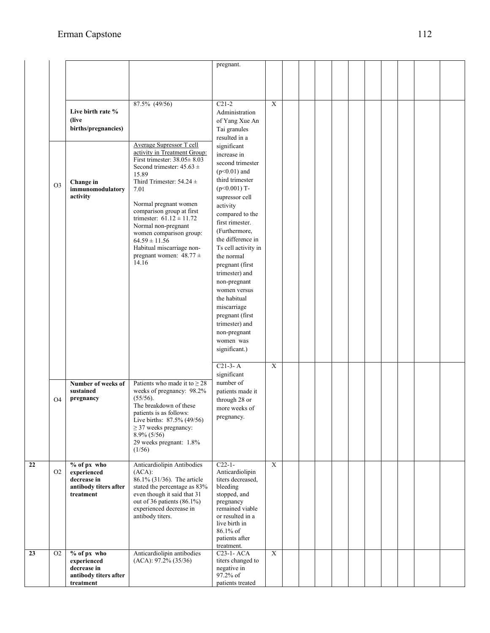|                |                                                                                   |                                                                                                                                                                                                                                                                                                                                                                                                                          | pregnant.                                                                                                                                                                                                                                                                                                                                                                                                                                                 |                |  |  |  |  |  |
|----------------|-----------------------------------------------------------------------------------|--------------------------------------------------------------------------------------------------------------------------------------------------------------------------------------------------------------------------------------------------------------------------------------------------------------------------------------------------------------------------------------------------------------------------|-----------------------------------------------------------------------------------------------------------------------------------------------------------------------------------------------------------------------------------------------------------------------------------------------------------------------------------------------------------------------------------------------------------------------------------------------------------|----------------|--|--|--|--|--|
|                | Live birth rate %<br>(live<br>births/pregnancies)                                 | 87.5% (49/56)                                                                                                                                                                                                                                                                                                                                                                                                            | $C21-2$<br>Administration<br>of Yang Xue An<br>Tai granules<br>resulted in a                                                                                                                                                                                                                                                                                                                                                                              | $\overline{X}$ |  |  |  |  |  |
| O <sub>3</sub> | Change in<br>immunomodulatory<br>activity                                         | <b>Average Supressor T cell</b><br>activity in Treatment Group:<br>First trimester: $38.05 \pm 8.03$<br>Second trimester: $45.63 \pm$<br>15.89<br>Third Trimester: $54.24 \pm$<br>7.01<br>Normal pregnant women<br>comparison group at first<br>trimester: $61.12 \pm 11.72$<br>Normal non-pregnant<br>women comparison group:<br>$64.59 \pm 11.56$<br>Habitual miscarriage non-<br>pregnant women: $48.77 \pm$<br>14.16 | significant<br>increase in<br>second trimester<br>$(p<0.01)$ and<br>third trimester<br>$(p<0.001)$ T-<br>supressor cell<br>activity<br>compared to the<br>first rimester.<br>(Furthermore,<br>the difference in<br>Ts cell activity in<br>the normal<br>pregnant (first<br>trimester) and<br>non-pregnant<br>women versus<br>the habitual<br>miscarriage<br>pregnant (first<br>trimester) and<br>non-pregnant<br>women was<br>significant.)<br>$C21-3- A$ | $\mathbf X$    |  |  |  |  |  |
| O <sub>4</sub> | Number of weeks of<br>sustained<br>pregnancy                                      | Patients who made it to $\geq 28$<br>weeks of pregnancy: 98.2%<br>(55/56).<br>The breakdown of these<br>patients is as follows:<br>Live births: 87.5% (49/56)<br>$\geq$ 37 weeks pregnancy:<br>$8.9\%$ (5/56)<br>29 weeks pregnant: 1.8%<br>(1/56)                                                                                                                                                                       | significant<br>number of<br>patients made it<br>through 28 or<br>more weeks of<br>pregnancy.                                                                                                                                                                                                                                                                                                                                                              |                |  |  |  |  |  |
| O <sub>2</sub> | $%$ of px who<br>experienced<br>decrease in<br>antibody titers after<br>treatment | Anticardiolipin Antibodies<br>(ACA):<br>86.1% (31/36). The article<br>stated the percentage as 83%<br>even though it said that 31<br>out of 36 patients (86.1%)<br>experienced decrease in<br>antibody titers.                                                                                                                                                                                                           | $C22-1-$<br>Anticardiolipin<br>titers decreased,<br>bleeding<br>stopped, and<br>pregnancy<br>remained viable<br>or resulted in a<br>live birth in<br>86.1% of<br>patients after<br>treatment.                                                                                                                                                                                                                                                             | X              |  |  |  |  |  |
| O <sub>2</sub> | % of px who<br>experienced<br>decrease in<br>antibody titers after<br>treatment   | Anticardiolipin antibodies<br>$(ACA): 97.2\% (35/36)$                                                                                                                                                                                                                                                                                                                                                                    | C <sub>23</sub> -1-AC <sub>A</sub><br>titers changed to<br>negative in<br>97.2% of<br>patients treated                                                                                                                                                                                                                                                                                                                                                    | X              |  |  |  |  |  |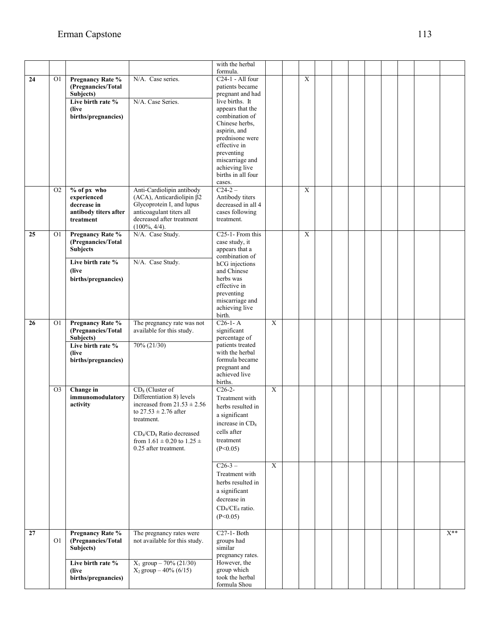|    |                |                                                    |                                                              | with the herbal                           |                 |                |  |  |  |  |          |  |
|----|----------------|----------------------------------------------------|--------------------------------------------------------------|-------------------------------------------|-----------------|----------------|--|--|--|--|----------|--|
| 24 | O1             | Pregnancy Rate %                                   | N/A. Case series.                                            | formula.<br>C <sub>24</sub> -1 - All four |                 | $\mathbf X$    |  |  |  |  |          |  |
|    |                | (Pregnancies/Total                                 |                                                              | patients became                           |                 |                |  |  |  |  |          |  |
|    |                | Subjects)                                          |                                                              | pregnant and had                          |                 |                |  |  |  |  |          |  |
|    |                | Live birth rate %                                  | N/A. Case Series.                                            | live births. It                           |                 |                |  |  |  |  |          |  |
|    |                | (live                                              |                                                              | appears that the                          |                 |                |  |  |  |  |          |  |
|    |                | births/pregnancies)                                |                                                              | combination of<br>Chinese herbs.          |                 |                |  |  |  |  |          |  |
|    |                |                                                    |                                                              | aspirin, and                              |                 |                |  |  |  |  |          |  |
|    |                |                                                    |                                                              | prednisone were                           |                 |                |  |  |  |  |          |  |
|    |                |                                                    |                                                              | effective in                              |                 |                |  |  |  |  |          |  |
|    |                |                                                    |                                                              | preventing                                |                 |                |  |  |  |  |          |  |
|    |                |                                                    |                                                              | miscarriage and                           |                 |                |  |  |  |  |          |  |
|    |                |                                                    |                                                              | achieving live<br>births in all four      |                 |                |  |  |  |  |          |  |
|    |                |                                                    |                                                              | cases.                                    |                 |                |  |  |  |  |          |  |
|    | O <sub>2</sub> | % of px who                                        | Anti-Cardiolipin antibody                                    | $C24-2-$                                  |                 | $\overline{X}$ |  |  |  |  |          |  |
|    |                | experienced                                        | $(ACA)$ , Anticardiolipin $\beta$ 2                          | Antibody titers                           |                 |                |  |  |  |  |          |  |
|    |                | decrease in                                        | Glycoprotein I, and lupus                                    | decreased in all 4                        |                 |                |  |  |  |  |          |  |
|    |                | antibody titers after                              | anticoagulant titers all                                     | cases following                           |                 |                |  |  |  |  |          |  |
|    |                | treatment                                          | decreased after treatment<br>$(100\%, 4/4).$                 | treatment.                                |                 |                |  |  |  |  |          |  |
| 25 | 01             | <b>Pregnancy Rate %</b>                            | N/A. Case Study.                                             | C <sub>25</sub> -1- From this             |                 | X              |  |  |  |  |          |  |
|    |                | (Pregnancies/Total                                 |                                                              | case study, it                            |                 |                |  |  |  |  |          |  |
|    |                | <b>Subjects</b>                                    |                                                              | appears that a                            |                 |                |  |  |  |  |          |  |
|    |                | Live birth rate %                                  | N/A. Case Study.                                             | combination of                            |                 |                |  |  |  |  |          |  |
|    |                | (live                                              |                                                              | hCG injections<br>and Chinese             |                 |                |  |  |  |  |          |  |
|    |                | births/pregnancies)                                |                                                              | herbs was                                 |                 |                |  |  |  |  |          |  |
|    |                |                                                    |                                                              | effective in                              |                 |                |  |  |  |  |          |  |
|    |                |                                                    |                                                              | preventing                                |                 |                |  |  |  |  |          |  |
|    |                |                                                    |                                                              | miscarriage and                           |                 |                |  |  |  |  |          |  |
|    |                |                                                    |                                                              | achieving live<br>birth.                  |                 |                |  |  |  |  |          |  |
| 26 | O1             | <b>Pregnancy Rate %</b>                            | The pregnancy rate was not                                   | $C26-1-A$                                 | $\overline{X}$  |                |  |  |  |  |          |  |
|    |                | (Pregnancies/Total                                 | available for this study.                                    | significant                               |                 |                |  |  |  |  |          |  |
|    |                | Subjects)                                          |                                                              | percentage of                             |                 |                |  |  |  |  |          |  |
|    |                | Live birth rate %<br>(live)<br>births/pregnancies) | 70% (21/30)                                                  | patients treated                          |                 |                |  |  |  |  |          |  |
|    |                |                                                    |                                                              |                                           | with the herbal |                |  |  |  |  |          |  |
|    |                |                                                    |                                                              | formula became<br>pregnant and            |                 |                |  |  |  |  |          |  |
|    |                |                                                    |                                                              | achieved live                             |                 |                |  |  |  |  |          |  |
|    |                |                                                    |                                                              | births.                                   |                 |                |  |  |  |  |          |  |
|    | O <sub>3</sub> | Change in                                          | $CD_8$ (Cluster of                                           | $C26-2-$                                  | $\overline{X}$  |                |  |  |  |  |          |  |
|    |                | immunomodulatory                                   | Differentiation 8) levels                                    | Treatment with                            |                 |                |  |  |  |  |          |  |
|    |                | activity                                           | increased from $21.53 \pm 2.56$<br>to $27.53 \pm 2.76$ after | herbs resulted in                         |                 |                |  |  |  |  |          |  |
|    |                |                                                    | treatment.                                                   | a significant                             |                 |                |  |  |  |  |          |  |
|    |                |                                                    |                                                              | increase in CD <sub>s</sub>               |                 |                |  |  |  |  |          |  |
|    |                |                                                    | $CD_4/CD_8$ Ratio decreased                                  | cells after                               |                 |                |  |  |  |  |          |  |
|    |                |                                                    | from $1.61 \pm 0.20$ to $1.25 \pm$                           | treatment                                 |                 |                |  |  |  |  |          |  |
|    |                |                                                    | 0.25 after treatment.                                        | (P<0.05)                                  |                 |                |  |  |  |  |          |  |
|    |                |                                                    |                                                              | $C26-3-$                                  | X               |                |  |  |  |  |          |  |
|    |                |                                                    |                                                              | Treatment with                            |                 |                |  |  |  |  |          |  |
|    |                |                                                    |                                                              | herbs resulted in                         |                 |                |  |  |  |  |          |  |
|    |                |                                                    |                                                              | a significant                             |                 |                |  |  |  |  |          |  |
|    |                |                                                    |                                                              | decrease in                               |                 |                |  |  |  |  |          |  |
|    |                |                                                    |                                                              | $CD_4/CE_8$ ratio.                        |                 |                |  |  |  |  |          |  |
|    |                |                                                    |                                                              | (P<0.05)                                  |                 |                |  |  |  |  |          |  |
|    |                |                                                    |                                                              |                                           |                 |                |  |  |  |  |          |  |
| 27 |                | Pregnancy Rate %                                   | The pregnancy rates were                                     | $C27-1-Both$                              |                 |                |  |  |  |  | $X^{**}$ |  |
|    | O <sub>1</sub> | (Pregnancies/Total<br>Subjects)                    | not available for this study.                                | groups had<br>similar                     |                 |                |  |  |  |  |          |  |
|    |                |                                                    |                                                              | pregnancy rates.                          |                 |                |  |  |  |  |          |  |
|    |                | Live birth rate %                                  | $X_1$ group $-70\%$ (21/30)                                  | However, the                              |                 |                |  |  |  |  |          |  |
|    |                | (live)                                             | $X_2$ group $-40\%$ (6/15)                                   | group which<br>took the herbal            |                 |                |  |  |  |  |          |  |
|    |                | births/pregnancies)                                |                                                              | formula Shou                              |                 |                |  |  |  |  |          |  |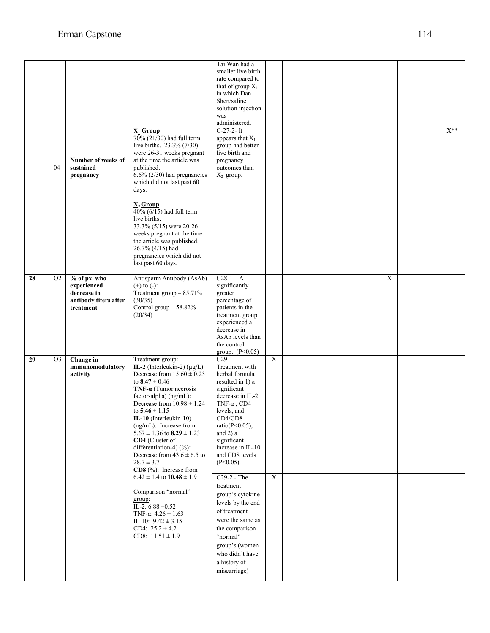|    | 04             | Number of weeks of<br>sustained<br>pregnancy                                    | $X_1$ Group<br>70% (21/30) had full term<br>live births. 23.3% (7/30)<br>were 26-31 weeks pregnant<br>at the time the article was<br>published.<br>$6.6\%$ (2/30) had pregnancies<br>which did not last past 60<br>days.<br>$\underline{X}_2$ Group<br>$40\%$ (6/15) had full term<br>live births.<br>33.3% (5/15) were 20-26<br>weeks pregnant at the time                                                                                                       | Tai Wan had a<br>smaller live birth<br>rate compared to<br>that of group $X_1$<br>in which Dan<br>Shen/saline<br>solution injection<br>was<br>administered.<br>$C-27-2-It$<br>appears that $X_1$<br>group had better<br>live birth and<br>pregnancy<br>outcomes than<br>$X_2$ group. |   |  |  |  |                |  | $X^{\ast\ast}$ |
|----|----------------|---------------------------------------------------------------------------------|-------------------------------------------------------------------------------------------------------------------------------------------------------------------------------------------------------------------------------------------------------------------------------------------------------------------------------------------------------------------------------------------------------------------------------------------------------------------|--------------------------------------------------------------------------------------------------------------------------------------------------------------------------------------------------------------------------------------------------------------------------------------|---|--|--|--|----------------|--|----------------|
|    |                |                                                                                 | the article was published.<br>26.7% (4/15) had<br>pregnancies which did not<br>last past 60 days.                                                                                                                                                                                                                                                                                                                                                                 |                                                                                                                                                                                                                                                                                      |   |  |  |  |                |  |                |
| 28 | O <sub>2</sub> | % of px who<br>experienced<br>decrease in<br>antibody titers after<br>treatment | Antisperm Antibody (AsAb)<br>$(+)$ to $(-)$ :<br>Treatment group $-85.71\%$<br>(30/35)<br>Control group - 58.82%<br>(20/34)                                                                                                                                                                                                                                                                                                                                       | $C28-1-A$<br>significantly<br>greater<br>percentage of<br>patients in the<br>treatment group<br>experienced a<br>decrease in<br>AsAb levels than<br>the control<br>group. $(P<0.05)$                                                                                                 |   |  |  |  | $\overline{X}$ |  |                |
| 29 | O <sub>3</sub> | Change in<br>immunomodulatory<br>activity                                       | Treatment group:<br>IL-2 (Interleukin-2) $(\mu g/L)$ :<br>Decrease from $15.60 \pm 0.23$<br>to $8.47 \pm 0.46$<br>$TNF-\alpha$ (Tumor necrosis<br>factor-alpha) (ng/mL):<br>Decrease from $10.98 \pm 1.24$<br>to $5.46 \pm 1.15$<br>IL-10 (Interleukin-10)<br>$(ng/mL)$ : Increase from<br>$5.67 \pm 1.36$ to $8.29 \pm 1.23$<br>CD4 (Cluster of<br>differentiation-4) $(\% )$ :<br>Decrease from $43.6 \pm 6.5$ to<br>$28.7 \pm 3.7$<br>$CD8$ (%): Increase from | $C29-1-$<br>Treatment with<br>herbal formula<br>resulted in 1) a<br>significant<br>decrease in IL-2,<br>TNF- $\alpha$ , CD4<br>levels, and<br>$\rm CD4/CD8$<br>ratio( $P<0.05$ ),<br>and $2$ ) a<br>significant<br>increase in IL-10<br>and CD8 levels<br>$(P<0.05)$ .               | X |  |  |  |                |  |                |
|    |                |                                                                                 | $6.42 \pm 1.4$ to $10.48 \pm 1.9$<br>Comparison "normal"<br>group:<br>IL-2: $6.88 \pm 0.52$<br>TNF- $\alpha$ : 4.26 $\pm$ 1.63<br>IL-10: $9.42 \pm 3.15$<br>CD4: $25.2 \pm 4.2$<br>CD8: $11.51 \pm 1.9$                                                                                                                                                                                                                                                           | C <sub>29</sub> -2 - The<br>treatment<br>group's cytokine<br>levels by the end<br>of treatment<br>were the same as<br>the comparison<br>"normal"<br>group's (women<br>who didn't have<br>a history of<br>miscarriage)                                                                | X |  |  |  |                |  |                |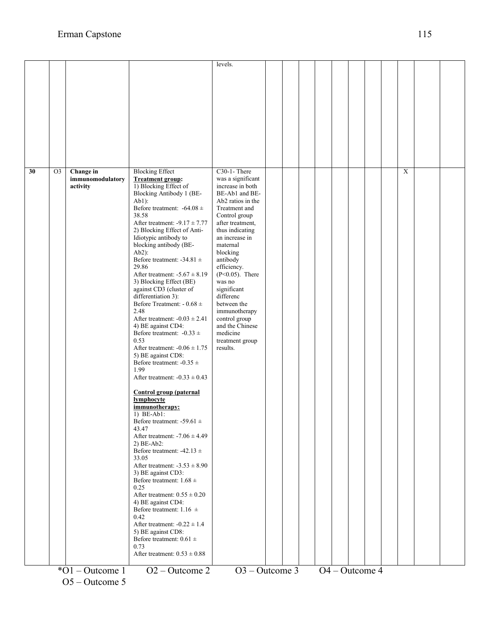|    |                    |                                                                                                                                                                                                                                                                                                                                                                                                                                                                                                                                                                                           | levels.                                                                                                                                                                                                                                                                                                                                                                                      |  |  |  |                |                |  |
|----|--------------------|-------------------------------------------------------------------------------------------------------------------------------------------------------------------------------------------------------------------------------------------------------------------------------------------------------------------------------------------------------------------------------------------------------------------------------------------------------------------------------------------------------------------------------------------------------------------------------------------|----------------------------------------------------------------------------------------------------------------------------------------------------------------------------------------------------------------------------------------------------------------------------------------------------------------------------------------------------------------------------------------------|--|--|--|----------------|----------------|--|
|    |                    |                                                                                                                                                                                                                                                                                                                                                                                                                                                                                                                                                                                           |                                                                                                                                                                                                                                                                                                                                                                                              |  |  |  |                |                |  |
|    |                    |                                                                                                                                                                                                                                                                                                                                                                                                                                                                                                                                                                                           |                                                                                                                                                                                                                                                                                                                                                                                              |  |  |  |                |                |  |
|    |                    |                                                                                                                                                                                                                                                                                                                                                                                                                                                                                                                                                                                           |                                                                                                                                                                                                                                                                                                                                                                                              |  |  |  |                |                |  |
|    |                    |                                                                                                                                                                                                                                                                                                                                                                                                                                                                                                                                                                                           |                                                                                                                                                                                                                                                                                                                                                                                              |  |  |  |                |                |  |
|    |                    |                                                                                                                                                                                                                                                                                                                                                                                                                                                                                                                                                                                           |                                                                                                                                                                                                                                                                                                                                                                                              |  |  |  |                |                |  |
|    |                    |                                                                                                                                                                                                                                                                                                                                                                                                                                                                                                                                                                                           |                                                                                                                                                                                                                                                                                                                                                                                              |  |  |  |                |                |  |
|    |                    |                                                                                                                                                                                                                                                                                                                                                                                                                                                                                                                                                                                           |                                                                                                                                                                                                                                                                                                                                                                                              |  |  |  |                |                |  |
|    |                    |                                                                                                                                                                                                                                                                                                                                                                                                                                                                                                                                                                                           |                                                                                                                                                                                                                                                                                                                                                                                              |  |  |  |                |                |  |
|    |                    |                                                                                                                                                                                                                                                                                                                                                                                                                                                                                                                                                                                           |                                                                                                                                                                                                                                                                                                                                                                                              |  |  |  |                |                |  |
| 30 | Change in          | <b>Blocking Effect</b>                                                                                                                                                                                                                                                                                                                                                                                                                                                                                                                                                                    | $C30-1$ - There                                                                                                                                                                                                                                                                                                                                                                              |  |  |  |                | $\overline{X}$ |  |
|    | activity           | 1) Blocking Effect of<br>Blocking Antibody 1 (BE-<br>$Ab1$ :<br>Before treatment: $-64.08 \pm$<br>38.58<br>After treatment: $-9.17 \pm 7.77$<br>2) Blocking Effect of Anti-<br>Idiotypic antibody to<br>blocking antibody (BE-<br>$Ab2$ :<br>Before treatment: $-34.81 \pm$<br>29.86<br>After treatment: $-5.67 \pm 8.19$<br>3) Blocking Effect (BE)<br>against CD3 (cluster of<br>differentiation 3):<br>Before Treatment: - $0.68 \pm$<br>2.48<br>After treatment: $-0.03 \pm 2.41$<br>4) BE against CD4:<br>Before treatment: $-0.33 \pm$<br>0.53<br>After treatment: $-0.06 \pm 1.75$ | increase in both<br>BE-Ab1 and BE-<br>Ab <sub>2</sub> ratios in the<br>Treatment and<br>Control group<br>after treatment,<br>thus indicating<br>an increase in<br>maternal<br>blocking<br>antibody<br>efficiency.<br>$(P<0.05)$ . There<br>was no<br>significant<br>differenc<br>between the<br>immunotherapy<br>control group<br>and the Chinese<br>medicine<br>treatment group<br>results. |  |  |  |                |                |  |
|    |                    | 5) BE against CD8:<br>Before treatment: $-0.35 \pm$<br>1.99<br>After treatment: $-0.33 \pm 0.43$<br><b>Control group (paternal</b><br>lymphocyte<br>immunotherapy:<br>$1) BE-Ab1:$                                                                                                                                                                                                                                                                                                                                                                                                        |                                                                                                                                                                                                                                                                                                                                                                                              |  |  |  |                |                |  |
|    |                    | Before treatment: -59.61 $\pm$<br>43.47<br>After treatment: $-7.06 \pm 4.49$<br>$2) BE-Ab2:$<br>Before treatment: $-42.13 \pm$                                                                                                                                                                                                                                                                                                                                                                                                                                                            |                                                                                                                                                                                                                                                                                                                                                                                              |  |  |  |                |                |  |
|    |                    | 33.05<br>After treatment: $-3.53 \pm 8.90$<br>3) BE against CD3:<br>Before treatment: $1.68 \pm$<br>0.25                                                                                                                                                                                                                                                                                                                                                                                                                                                                                  |                                                                                                                                                                                                                                                                                                                                                                                              |  |  |  |                |                |  |
|    |                    | After treatment: $0.55 \pm 0.20$<br>4) BE against CD4:<br>Before treatment: $1.16 \pm$<br>0.42                                                                                                                                                                                                                                                                                                                                                                                                                                                                                            |                                                                                                                                                                                                                                                                                                                                                                                              |  |  |  |                |                |  |
|    |                    | After treatment: $-0.22 \pm 1.4$<br>5) BE against CD8:<br>Before treatment: $0.61 \pm$<br>0.73<br>After treatment: $0.53 \pm 0.88$                                                                                                                                                                                                                                                                                                                                                                                                                                                        |                                                                                                                                                                                                                                                                                                                                                                                              |  |  |  |                |                |  |
|    |                    |                                                                                                                                                                                                                                                                                                                                                                                                                                                                                                                                                                                           |                                                                                                                                                                                                                                                                                                                                                                                              |  |  |  |                |                |  |
|    | $*$ O1 – Outcome 1 | $O2 - Outcome 2$                                                                                                                                                                                                                                                                                                                                                                                                                                                                                                                                                                          | $O3 - Outcome 3$                                                                                                                                                                                                                                                                                                                                                                             |  |  |  | O4 - Outcome 4 |                |  |

O5 – Outcome 5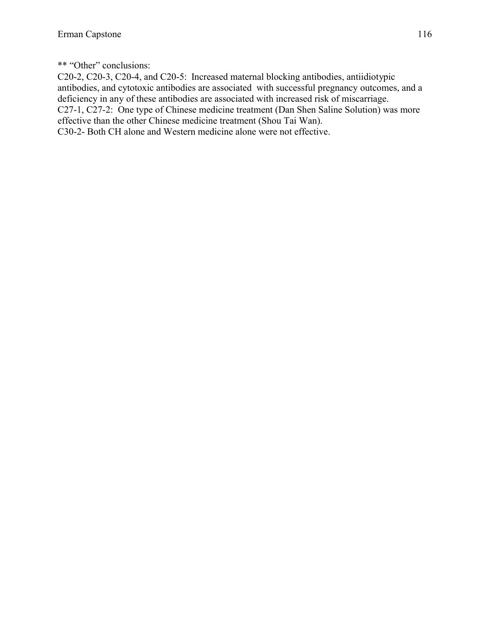\*\* "Other" conclusions:

C20-2, C20-3, C20-4, and C20-5: Increased maternal blocking antibodies, antiidiotypic antibodies, and cytotoxic antibodies are associated with successful pregnancy outcomes, and a deficiency in any of these antibodies are associated with increased risk of miscarriage. C27-1, C27-2: One type of Chinese medicine treatment (Dan Shen Saline Solution) was more effective than the other Chinese medicine treatment (Shou Tai Wan). C30-2- Both CH alone and Western medicine alone were not effective.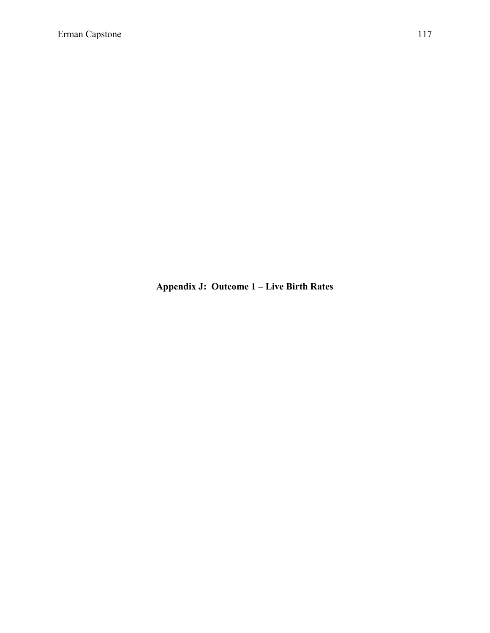**Appendix J: Outcome 1 – Live Birth Rates**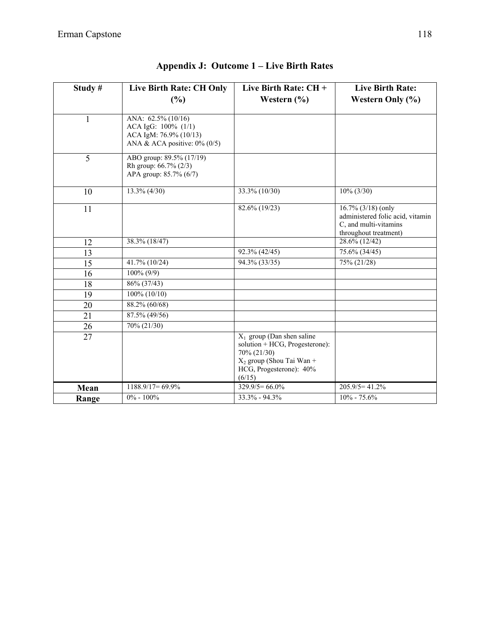| Study#       | Live Birth Rate: CH Only<br>(%)                                                                        | Live Birth Rate: $CH +$<br>Western $(\% )$                                                                                                        | <b>Live Birth Rate:</b><br>Western Only $(\% )$                                                             |
|--------------|--------------------------------------------------------------------------------------------------------|---------------------------------------------------------------------------------------------------------------------------------------------------|-------------------------------------------------------------------------------------------------------------|
| $\mathbf{1}$ | ANA: 62.5% (10/16)<br>ACA IgG: 100% (1/1)<br>ACA IgM: 76.9% (10/13)<br>ANA & ACA positive: $0\%$ (0/5) |                                                                                                                                                   |                                                                                                             |
| 5            | ABO group: 89.5% (17/19)<br>Rh group: 66.7% (2/3)<br>APA group: 85.7% (6/7)                            |                                                                                                                                                   |                                                                                                             |
| 10           | $13.3\% (4/30)$                                                                                        | 33.3% (10/30)                                                                                                                                     | $10\% (3/30)$                                                                                               |
| 11           |                                                                                                        | 82.6% (19/23)                                                                                                                                     | $16.7\%$ (3/18) (only<br>administered folic acid, vitamin<br>C, and multi-vitamins<br>throughout treatment) |
| 12           | 38.3% (18/47)                                                                                          |                                                                                                                                                   | 28.6% (12/42)                                                                                               |
| 13           |                                                                                                        | 92.3% (42/45)                                                                                                                                     | 75.6% (34/45)                                                                                               |
| 15           | 41.7% (10/24)                                                                                          | 94.3% (33/35)                                                                                                                                     | 75% (21/28)                                                                                                 |
| 16           | $100\% (9/9)$                                                                                          |                                                                                                                                                   |                                                                                                             |
| 18           | 86% (37/43)                                                                                            |                                                                                                                                                   |                                                                                                             |
| 19           | 100% (10/10)                                                                                           |                                                                                                                                                   |                                                                                                             |
| 20           | 88.2% (60/68)                                                                                          |                                                                                                                                                   |                                                                                                             |
| 21           | 87.5% (49/56)                                                                                          |                                                                                                                                                   |                                                                                                             |
| 26           | 70% (21/30)                                                                                            |                                                                                                                                                   |                                                                                                             |
| 27           |                                                                                                        | $X_1$ group (Dan shen saline<br>solution + HCG, Progesterone):<br>70% (21/30)<br>$X_2$ group (Shou Tai Wan +<br>HCG, Progesterone): 40%<br>(6/15) |                                                                                                             |
| Mean         | $1188.9/17=69.9\%$                                                                                     | $329.9/5=66.0\%$                                                                                                                                  | $205.9/5=41.2%$                                                                                             |
| Range        | $0\% - 100\%$                                                                                          | $33.3\% - 94.3\%$                                                                                                                                 | $10\% - 75.6\%$                                                                                             |

## **Appendix J: Outcome 1 – Live Birth Rates**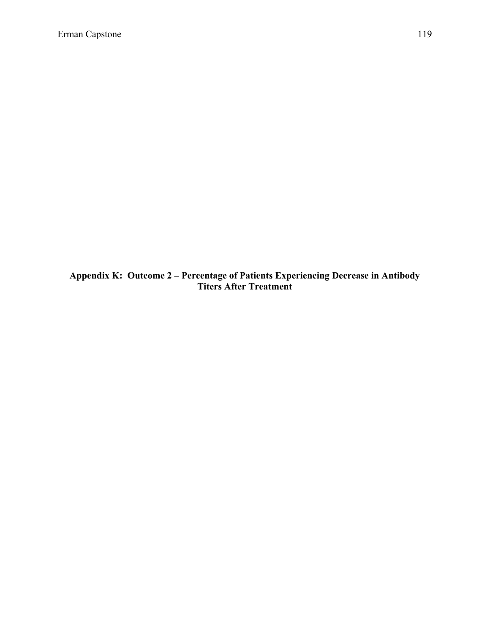**Appendix K: Outcome 2 – Percentage of Patients Experiencing Decrease in Antibody Titers After Treatment**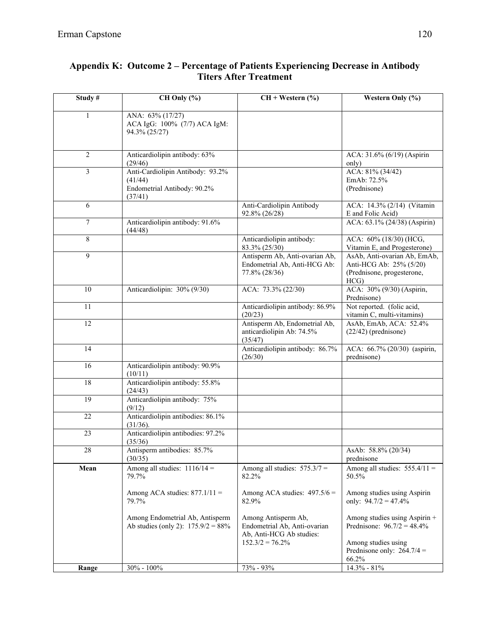| Study#          | CH Only (%)                                                                           | $CH + Western (%)$                                                                                   | Western Only (%)                                                                                                               |
|-----------------|---------------------------------------------------------------------------------------|------------------------------------------------------------------------------------------------------|--------------------------------------------------------------------------------------------------------------------------------|
| 1               | ANA: 63% (17/27)<br>ACA IgG: 100% (7/7) ACA IgM:<br>94.3% (25/27)                     |                                                                                                      |                                                                                                                                |
| $\overline{c}$  | Anticardiolipin antibody: 63%<br>(29/46)                                              |                                                                                                      | ACA: 31.6% (6/19) (Aspirin<br>only)                                                                                            |
| 3               | Anti-Cardiolipin Antibody: 93.2%<br>(41/44)<br>Endometrial Antibody: 90.2%<br>(37/41) |                                                                                                      | ACA: 81% (34/42)<br>EmAb: 72.5%<br>(Prednisone)                                                                                |
| 6               |                                                                                       | Anti-Cardiolipin Antibody<br>92.8% (26/28)                                                           | ACA: 14.3% (2/14) (Vitamin<br>E and Folic Acid)                                                                                |
| 7               | Anticardiolipin antibody: 91.6%<br>(44/48)                                            |                                                                                                      | ACA: 63.1% (24/38) (Aspirin)                                                                                                   |
| 8               |                                                                                       | Anticardiolipin antibody:<br>83.3% (25/30)                                                           | ACA: 60% (18/30) (HCG,<br>Vitamin E, and Progesterone)                                                                         |
| $\overline{9}$  |                                                                                       | Antisperm Ab, Anti-ovarian Ab,<br>Endometrial Ab, Anti-HCG Ab:<br>77.8% (28/36)                      | AsAb, Anti-ovarian Ab, EmAb,<br>Anti-HCG Ab: 25% (5/20)<br>(Prednisone, progesterone,<br>HCG                                   |
| 10              | Anticardiolipin: 30% (9/30)                                                           | ACA: 73.3% (22/30)                                                                                   | ACA: 30% (9/30) (Aspirin,<br>Prednisone)                                                                                       |
| 11              |                                                                                       | Anticardiolipin antibody: 86.9%<br>(20/23)                                                           | Not reported. (folic acid,<br>vitamin C, multi-vitamins)                                                                       |
| 12              |                                                                                       | Antisperm Ab, Endometrial Ab,<br>anticardiolipin Ab: 74.5%<br>(35/47)                                | AsAb, EmAb, ACA: 52.4%<br>$(22/42)$ (prednisone)                                                                               |
| 14              |                                                                                       | Anticardiolipin antibody: 86.7%<br>(26/30)                                                           | ACA: 66.7% (20/30) (aspirin,<br>prednisone)                                                                                    |
| 16              | Anticardiolipin antibody: 90.9%<br>(10/11)                                            |                                                                                                      |                                                                                                                                |
| $\overline{18}$ | Anticardiolipin antibody: 55.8%<br>(24/43)                                            |                                                                                                      |                                                                                                                                |
| 19              | Anticardiolipin antibody: 75%<br>(9/12)                                               |                                                                                                      |                                                                                                                                |
| 22              | Anticardiolipin antibodies: 86.1%<br>(31/36).                                         |                                                                                                      |                                                                                                                                |
| 23              | Anticardiolipin antibodies: 97.2%<br>(35/36)                                          |                                                                                                      |                                                                                                                                |
| 28              | Antisperm antibodies: 85.7%<br>(30/35)                                                |                                                                                                      | AsAb: 58.8% (20/34)<br>prednisone                                                                                              |
| Mean            | Among all studies: $1116/14 =$<br>79.7%                                               | Among all studies: $575.3/7 =$<br>82.2%                                                              | Among all studies: $555.4/11 =$<br>50.5%                                                                                       |
|                 | Among ACA studies: $877.1/11 =$<br>79.7%                                              | Among ACA studies: $497.5/6 =$<br>82.9%                                                              | Among studies using Aspirin<br>only: $94.7/2 = 47.4\%$                                                                         |
|                 | Among Endometrial Ab, Antisperm<br>Ab studies (only 2): $175.9/2 = 88\%$              | Among Antisperm Ab,<br>Endometrial Ab, Anti-ovarian<br>Ab, Anti-HCG Ab studies:<br>$152.3/2 = 76.2%$ | Among studies using Aspirin +<br>Prednisone: $96.7/2 = 48.4\%$<br>Among studies using<br>Prednisone only: $264.7/4 =$<br>66.2% |
| Range           | $30\% - 100\%$                                                                        | $73% - 93%$                                                                                          | $14.3\% - 81\%$                                                                                                                |

#### **Appendix K: Outcome 2 – Percentage of Patients Experiencing Decrease in Antibody Titers After Treatment**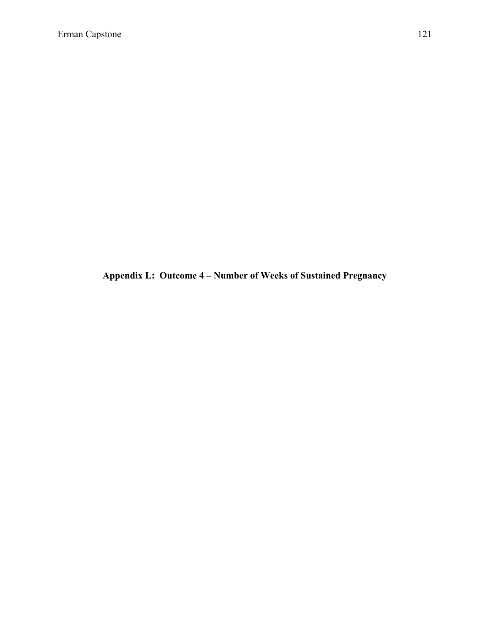**Appendix L: Outcome 4 – Number of Weeks of Sustained Pregnancy**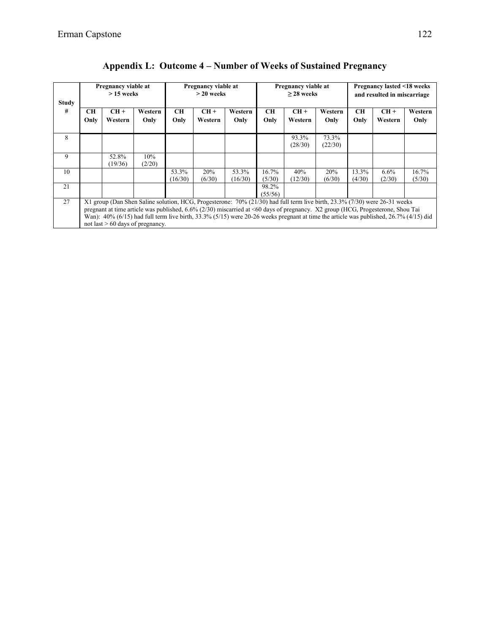| <b>Study</b> |                                                                                                                                                                                                                                                                                                                                                                                                                                                | Pregnancy viable at<br>$>15$ weeks |                 |                   | Pregnancy viable at<br>$>$ 20 weeks |                  | Pregnancy viable at<br>$>$ 28 weeks |                  |                  | Pregnancy lasted <18 weeks<br>and resulted in miscarriage |                   |                 |  |
|--------------|------------------------------------------------------------------------------------------------------------------------------------------------------------------------------------------------------------------------------------------------------------------------------------------------------------------------------------------------------------------------------------------------------------------------------------------------|------------------------------------|-----------------|-------------------|-------------------------------------|------------------|-------------------------------------|------------------|------------------|-----------------------------------------------------------|-------------------|-----------------|--|
| #            | CН<br>Only                                                                                                                                                                                                                                                                                                                                                                                                                                     | $CH+$<br>Western                   | Western<br>Only | <b>CH</b><br>Only | $CH +$<br>Western                   | Western<br>Only  | CН<br>Only                          | $CH+$<br>Western | Western<br>Only  | <b>CH</b><br>Only                                         | $CH +$<br>Western | Western<br>Only |  |
| 8            |                                                                                                                                                                                                                                                                                                                                                                                                                                                |                                    |                 |                   |                                     |                  |                                     | 93.3%<br>(28/30) | 73.3%<br>(22/30) |                                                           |                   |                 |  |
| 9            |                                                                                                                                                                                                                                                                                                                                                                                                                                                | 52.8%<br>(19/36)                   | 10%<br>(2/20)   |                   |                                     |                  |                                     |                  |                  |                                                           |                   |                 |  |
| 10           |                                                                                                                                                                                                                                                                                                                                                                                                                                                |                                    |                 | 53.3%<br>(16/30)  | 20%<br>(6/30)                       | 53.3%<br>(16/30) | 16.7%<br>(5/30)                     | 40%<br>(12/30)   | 20%<br>(6/30)    | 13.3%<br>(4/30)                                           | $6.6\%$<br>(2/30) | 16.7%<br>(5/30) |  |
| 21           |                                                                                                                                                                                                                                                                                                                                                                                                                                                |                                    |                 |                   |                                     |                  | 98.2%<br>(55/56)                    |                  |                  |                                                           |                   |                 |  |
| 27           | X1 group (Dan Shen Saline solution, HCG, Progesterone: 70% (21/30) had full term live birth, 23.3% (7/30) were 26-31 weeks<br>pregnant at time article was published, 6.6% (2/30) miscarried at <60 days of pregnancy. X2 group (HCG, Progesterone, Shou Tai<br>Wan): $40\%$ (6/15) had full term live birth, 33.3% (5/15) were 20-26 weeks pregnant at time the article was published, 26.7% (4/15) did<br>not last $> 60$ days of pregnancy. |                                    |                 |                   |                                     |                  |                                     |                  |                  |                                                           |                   |                 |  |

## **Appendix L: Outcome 4 – Number of Weeks of Sustained Pregnancy**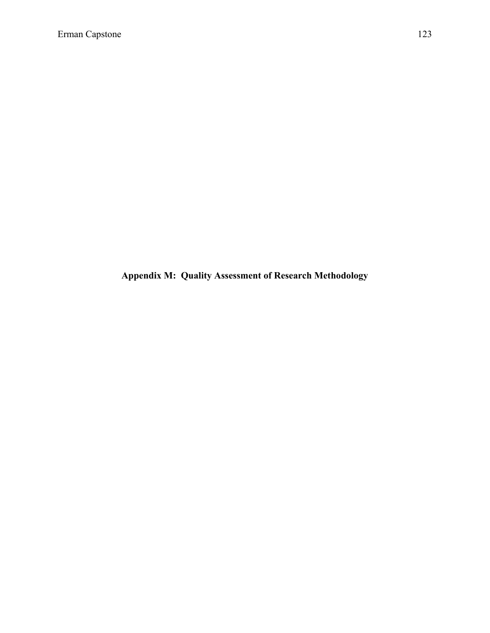**Appendix M: Quality Assessment of Research Methodology**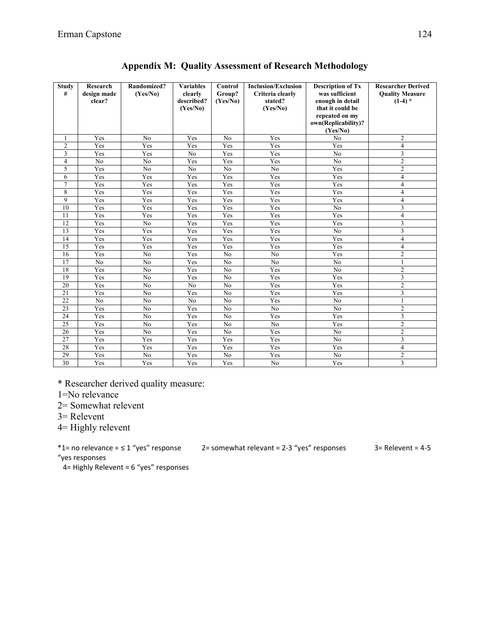| <b>Study</b><br># | Research<br>design made<br>clear? | Randomized?<br>(Yes/No) | <b>Variables</b><br>clearly<br>described?<br>(Yes/No) | <b>Control</b><br>Group?<br>(Yes/No) | <b>Inclusion/Exclusion</b><br>Criteria clearly<br>stated?<br>(Yes/No) | <b>Description of Tx</b><br>was sufficient<br>enough in detail<br>that it could be<br>repeated on my<br>own(Replicability)? | <b>Researcher Derived</b><br><b>Quality Measure</b><br>$(1-4)$ * |
|-------------------|-----------------------------------|-------------------------|-------------------------------------------------------|--------------------------------------|-----------------------------------------------------------------------|-----------------------------------------------------------------------------------------------------------------------------|------------------------------------------------------------------|
|                   |                                   |                         |                                                       |                                      |                                                                       | (Yes/No)                                                                                                                    |                                                                  |
| 1                 | Yes                               | N <sub>0</sub>          | Yes                                                   | No                                   | Yes                                                                   | No                                                                                                                          | $\overline{c}$                                                   |
| $\overline{2}$    | Yes                               | Yes                     | Yes                                                   | Yes                                  | Yes                                                                   | Yes                                                                                                                         | $\overline{\mathbf{4}}$                                          |
| 3                 | Yes                               | Yes                     | N <sub>0</sub>                                        | Yes                                  | Yes                                                                   | N <sub>0</sub>                                                                                                              | $\overline{3}$                                                   |
| $\overline{4}$    | No                                | No                      | Yes                                                   | Yes                                  | Yes                                                                   | No                                                                                                                          | $\overline{2}$                                                   |
| 5                 | Yes                               | No                      | No                                                    | No                                   | $\overline{No}$                                                       | Yes                                                                                                                         | $\overline{2}$                                                   |
| 6                 | Yes                               | Yes                     | Yes                                                   | Yes                                  | Yes                                                                   | Yes                                                                                                                         | $\overline{4}$                                                   |
| $\overline{7}$    | Yes                               | Yes                     | Yes                                                   | Yes                                  | Yes                                                                   | Yes                                                                                                                         | $\overline{4}$                                                   |
| 8                 | Yes                               | Yes                     | Yes                                                   | Yes                                  | Yes                                                                   | Yes                                                                                                                         | $\overline{\mathbf{4}}$                                          |
| 9                 | Yes                               | Yes                     | Yes                                                   | Yes                                  | Yes                                                                   | Yes                                                                                                                         | $\overline{4}$                                                   |
| 10                | Yes                               | Yes                     | Yes                                                   | Yes                                  | Yes                                                                   | $\overline{No}$                                                                                                             | $\overline{3}$                                                   |
| 11                | Yes                               | Yes                     | Yes                                                   | Yes                                  | Yes                                                                   | Yes                                                                                                                         | $\overline{4}$                                                   |
| 12                | Yes                               | N <sub>o</sub>          | Yes                                                   | Yes                                  | Yes                                                                   | Yes                                                                                                                         | 3                                                                |
| 13                | Yes                               | Yes                     | Yes                                                   | Yes                                  | Yes                                                                   | N <sub>0</sub>                                                                                                              | $\overline{\mathbf{3}}$                                          |
| 14                | Yes                               | Yes                     | Yes                                                   | Yes                                  | Yes                                                                   | Yes                                                                                                                         | $\overline{\mathbf{4}}$                                          |
| $\overline{15}$   | Yes                               | Yes                     | Yes                                                   | Yes                                  | Yes                                                                   | Yes                                                                                                                         | $\overline{4}$                                                   |
| 16                | Yes                               | N <sub>o</sub>          | Yes                                                   | N <sub>0</sub>                       | N <sub>o</sub>                                                        | Yes                                                                                                                         | $\overline{2}$                                                   |
| 17                | N <sub>0</sub>                    | N <sub>o</sub>          | Yes                                                   | N <sub>o</sub>                       | N <sub>o</sub>                                                        | No                                                                                                                          | 1                                                                |
| 18                | Yes                               | N <sub>0</sub>          | Yes                                                   | N <sub>o</sub>                       | Yes                                                                   | No                                                                                                                          | $\overline{c}$                                                   |
| 19                | Yes                               | N <sub>0</sub>          | Yes                                                   | N <sub>0</sub>                       | Yes                                                                   | Yes                                                                                                                         | $\overline{3}$                                                   |
| 20                | Yes                               | N <sub>0</sub>          | N <sub>o</sub>                                        | No                                   | Yes                                                                   | Yes                                                                                                                         | $\overline{c}$                                                   |
| 21                | Yes                               | N <sub>0</sub>          | Yes                                                   | N <sub>o</sub>                       | Yes                                                                   | Yes                                                                                                                         | 3                                                                |
| 22                | No                                | N <sub>0</sub>          | N <sub>o</sub>                                        | N <sub>o</sub>                       | Yes                                                                   | No                                                                                                                          | 1                                                                |
| 23                | Yes                               | No                      | Yes                                                   | No                                   | No                                                                    | No                                                                                                                          | $\overline{c}$                                                   |
| 24                | Yes                               | N <sub>0</sub>          | Yes                                                   | N <sub>o</sub>                       | Yes                                                                   | Yes                                                                                                                         | $\overline{\mathbf{3}}$                                          |
| 25                | Yes                               | N <sub>o</sub>          | Yes                                                   | N <sub>o</sub>                       | No                                                                    | Yes                                                                                                                         | $\overline{2}$                                                   |
| 26                | Yes                               | No                      | Yes                                                   | No                                   | Yes                                                                   | No                                                                                                                          | $\overline{c}$                                                   |
| 27                | Yes                               | Yes                     | Yes                                                   | Yes                                  | Yes                                                                   | No                                                                                                                          | 3                                                                |
| 28                | Yes                               | Yes                     | Yes                                                   | Yes                                  | Yes                                                                   | Yes                                                                                                                         | $\overline{\mathbf{4}}$                                          |
| 29                | Yes                               | No                      | Yes                                                   | No                                   | Yes                                                                   | No                                                                                                                          | $\mathbf{2}$                                                     |
| $\overline{30}$   | Yes                               | Yes                     | Yes                                                   | Yes                                  | No                                                                    | Yes                                                                                                                         | $\overline{\mathbf{3}}$                                          |

|  |  | <b>Appendix M: Quality Assessment of Research Methodology</b> |  |
|--|--|---------------------------------------------------------------|--|
|--|--|---------------------------------------------------------------|--|

\* Researcher derived quality measure:

1=No relevance

2= Somewhat relevent

3= Relevent

4= Highly relevent

 $*1$ = no relevance =  $\leq 1$  "yes" response 2= somewhat relevant = 2-3 "yes" responses 3= Relevent = 4-5

"yes responses

4= Highly Relevent = 6 "yes" responses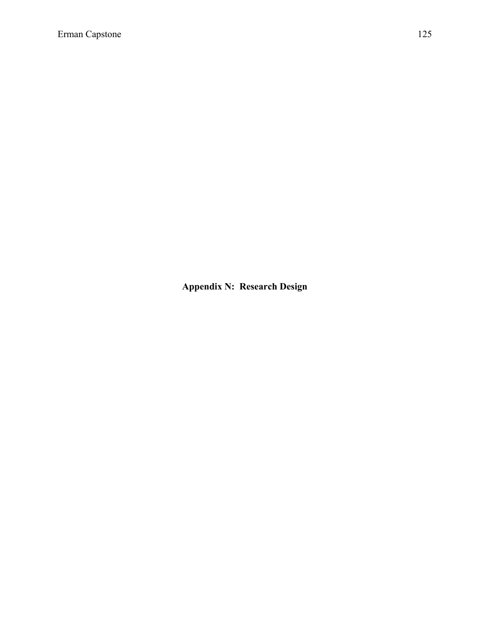**Appendix N: Research Design**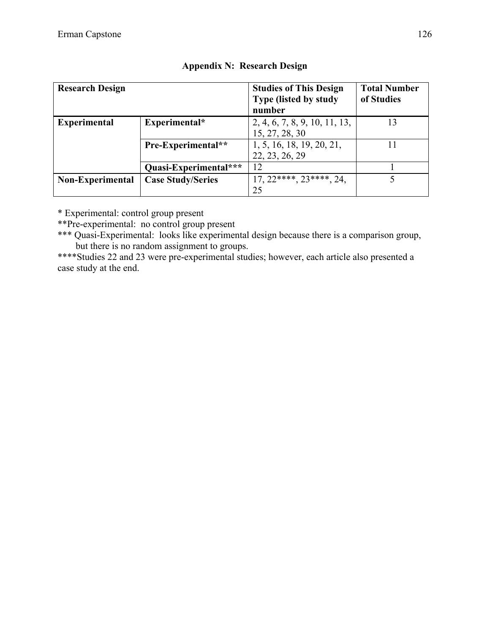| <b>Research Design</b> |                          | <b>Studies of This Design</b><br>Type (listed by study<br>number | <b>Total Number</b><br>of Studies |
|------------------------|--------------------------|------------------------------------------------------------------|-----------------------------------|
| <b>Experimental</b>    | Experimental*            | 2, 4, 6, 7, 8, 9, 10, 11, 13,<br>15, 27, 28, 30                  | 13                                |
|                        | Pre-Experimental**       | 1, 5, 16, 18, 19, 20, 21,<br>22, 23, 26, 29                      |                                   |
|                        | Quasi-Experimental***    | 12                                                               |                                   |
| Non-Experimental       | <b>Case Study/Series</b> | $17, 22***$ , $23***$ , $24$ ,                                   |                                   |
|                        |                          | 25                                                               |                                   |

#### **Appendix N: Research Design**

\* Experimental: control group present

\*\*Pre-experimental: no control group present

\*\*\* Quasi-Experimental: looks like experimental design because there is a comparison group, but there is no random assignment to groups.

\*\*\*\*Studies 22 and 23 were pre-experimental studies; however, each article also presented a case study at the end.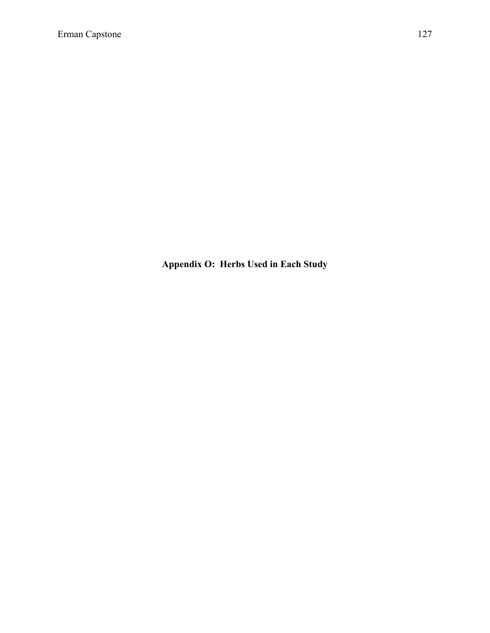**Appendix O: Herbs Used in Each Study**